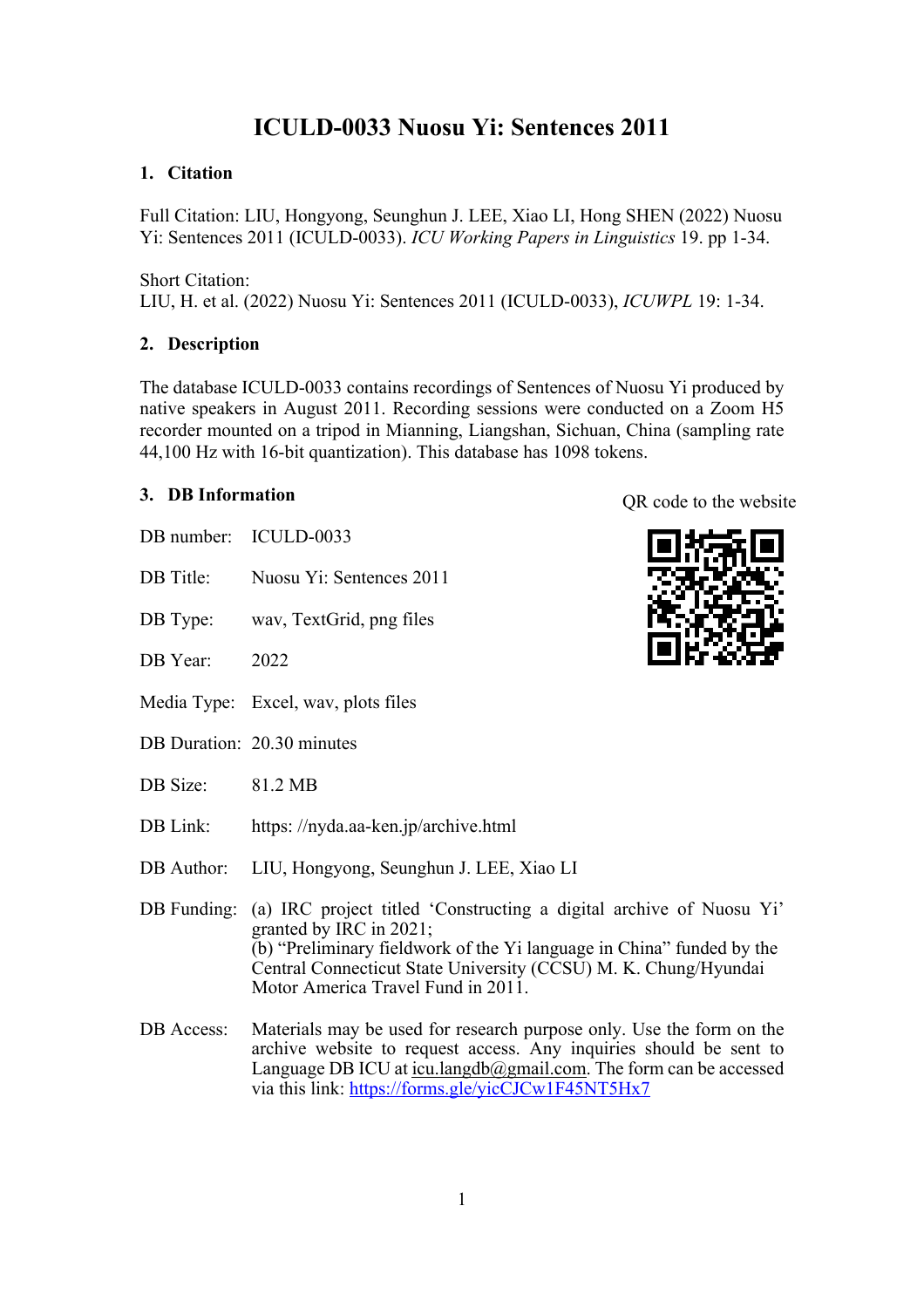## **ICULD-0033 Nuosu Yi: Sentences 2011**

### **1. Citation**

Full Citation: LIU, Hongyong, Seunghun J. LEE, Xiao LI, Hong SHEN (2022) Nuosu Yi: Sentences 2011 (ICULD-0033). *ICU Working Papers in Linguistics* 19. pp 1-34.

Short Citation: LIU, H. et al. (2022) Nuosu Yi: Sentences 2011 (ICULD-0033), *ICUWPL* 19: 1-34.

## **2. Description**

The database ICULD-0033 contains recordings of Sentences of Nuosu Yi produced by native speakers in August 2011. Recording sessions were conducted on a Zoom H5 recorder mounted on a tripod in Mianning, Liangshan, Sichuan, China (sampling rate 44,100 Hz with 16-bit quantization). This database has 1098 tokens.

### **3. DB Information**

- DB number: ICULD-0033
- DB Title: Nuosu Yi: Sentences 2011
- DB Type: wav, TextGrid, png files
- DB Year: 2022
- Media Type: Excel, wav, plots files
- DB Duration: 20.30 minutes
- DB Size: 81.2 MB
- DB Link: https://nyda.aa-ken.jp/archive.html
- DB Author: LIU, Hongyong, Seunghun J. LEE, Xiao LI
- DB Funding: (a) IRC project titled 'Constructing a digital archive of Nuosu Yi' granted by IRC in 2021; (b) "Preliminary fieldwork of the Yi language in China" funded by the Central Connecticut State University (CCSU) M. K. Chung/Hyundai Motor America Travel Fund in 2011.
- DB Access: Materials may be used for research purpose only. Use the form on the archive website to request access. Any inquiries should be sent to Language DB ICU at icu.langdb $@g$ mail.com. The form can be accessed via this link: https://forms.gle/yicCJCw1F45NT5Hx7

QR code to the website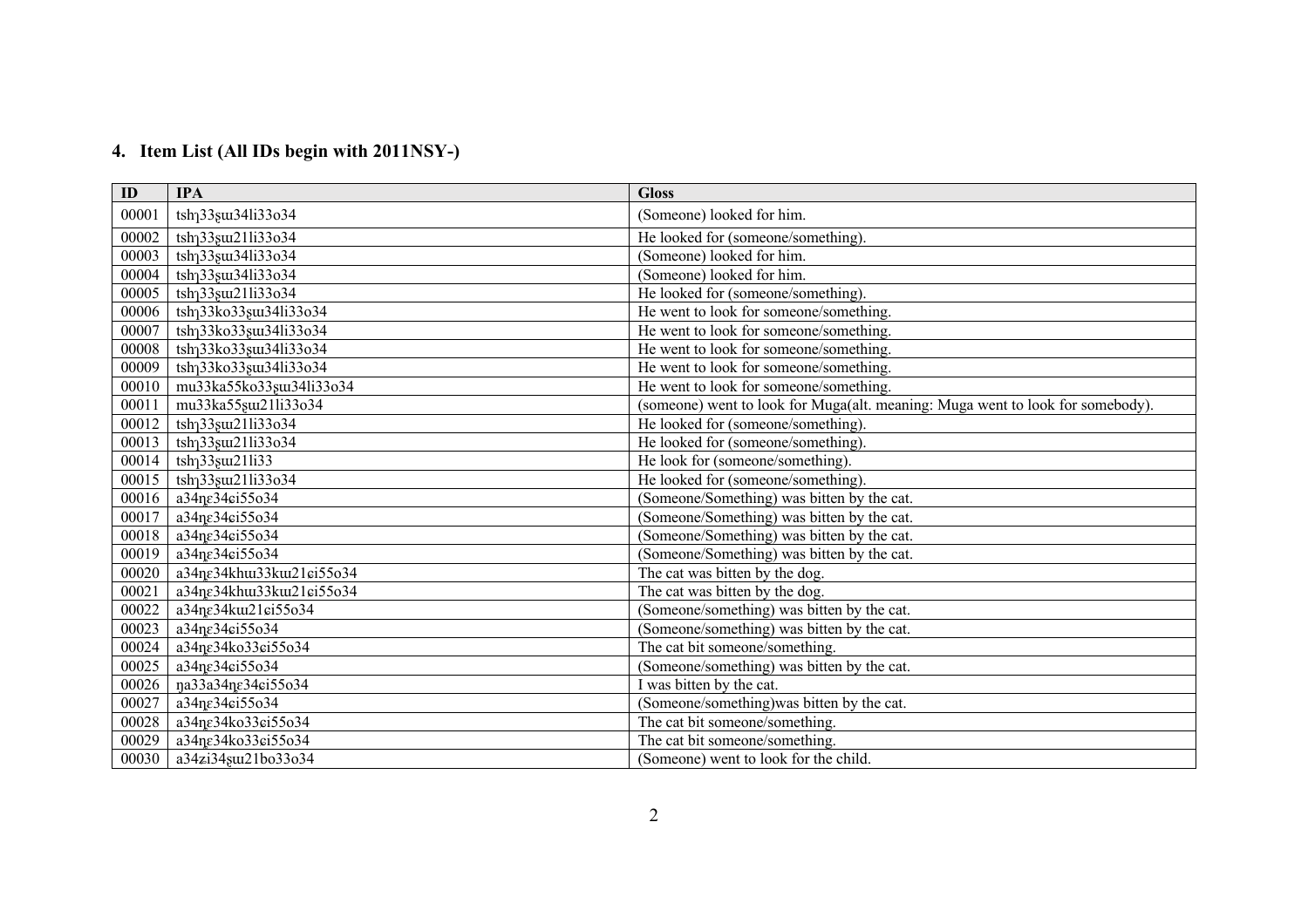# **4. Item List (All IDs begin with 2011NSY-)**

| ID    | <b>IPA</b>                                              | <b>Gloss</b>                                                                   |
|-------|---------------------------------------------------------|--------------------------------------------------------------------------------|
| 00001 | tsh <sub>1</sub> 33 <sub>s</sub> u <sub>34li33o34</sub> | (Someone) looked for him.                                                      |
| 00002 | tsh <sub>1</sub> 33 <sub>8</sub> u21li33o34             | He looked for (someone/something).                                             |
| 00003 | tsh <sub>1</sub> 33 <sub>8</sub> u34li33o34             | (Someone) looked for him.                                                      |
| 00004 | tsh <sub>1</sub> 33 <sub>8</sub> u34li33o34             | (Someone) looked for him.                                                      |
| 00005 | tsh <sub>1</sub> 33 <sub>s</sub> u21li33o34             | He looked for (someone/something).                                             |
| 00006 | tsh <sub>1</sub> 33ko33gu134li33o34                     | He went to look for someone/something.                                         |
| 00007 | tsh <sub>1</sub> 33ko33 <sub>8</sub> u134li33o34        | He went to look for someone/something.                                         |
| 00008 | tsh <sub>1</sub> 33ko33 <sub>8</sub> u134li33o34        | He went to look for someone/something.                                         |
| 00009 | tsh <sub>1</sub> 33ko33 <sub>8</sub> u134li33o34        | He went to look for someone/something.                                         |
| 00010 | mu33ka55ko33su134li33o34                                | He went to look for someone/something.                                         |
| 00011 | mu33ka55stu21li33o34                                    | (someone) went to look for Muga(alt. meaning: Muga went to look for somebody). |
| 00012 | tsh <sub>1</sub> 33 <sub>s</sub> u21li33o34             | He looked for (someone/something).                                             |
| 00013 | tsh <sub>1</sub> 33 <sub>8</sub> ut21li33o34            | He looked for (someone/something).                                             |
| 00014 | $tsh133$ su $t211i33$                                   | He look for (someone/something).                                               |
| 00015 | tsh <sub>1</sub> 33 <sub>s</sub> u21li33o34             | He looked for (someone/something).                                             |
| 00016 | a34ne34ei55o34                                          | (Someone/Something) was bitten by the cat.                                     |
| 00017 | a34ne34ei55o34                                          | (Someone/Something) was bitten by the cat.                                     |
| 00018 | a34ne34ei55o34                                          | (Someone/Something) was bitten by the cat.                                     |
| 00019 | a34ne34ei55o34                                          | (Someone/Something) was bitten by the cat.                                     |
| 00020 | a34ne34khuu33kuu21ei55o34                               | The cat was bitten by the dog.                                                 |
| 00021 | a34ne34khuu33kuu21ei55o34                               | The cat was bitten by the dog.                                                 |
| 00022 | a34ne34kut21ei55o34                                     | (Someone/something) was bitten by the cat.                                     |
| 00023 | a34ne34ei55o34                                          | (Someone/something) was bitten by the cat.                                     |
| 00024 | a34ne34ko33ei55o34                                      | The cat bit someone/something.                                                 |
| 00025 | a34ne34ei55o34                                          | (Someone/something) was bitten by the cat.                                     |
| 00026 | na33a34ne34ci55o34                                      | I was bitten by the cat.                                                       |
| 00027 | a34ne34ei55o34                                          | (Someone/something) was bitten by the cat.                                     |
| 00028 | a34ne34ko33ei55o34                                      | The cat bit someone/something.                                                 |
| 00029 | a34ne34ko33ei55o34                                      | The cat bit someone/something.                                                 |
| 00030 | a34zi34suu21bo33o34                                     | (Someone) went to look for the child.                                          |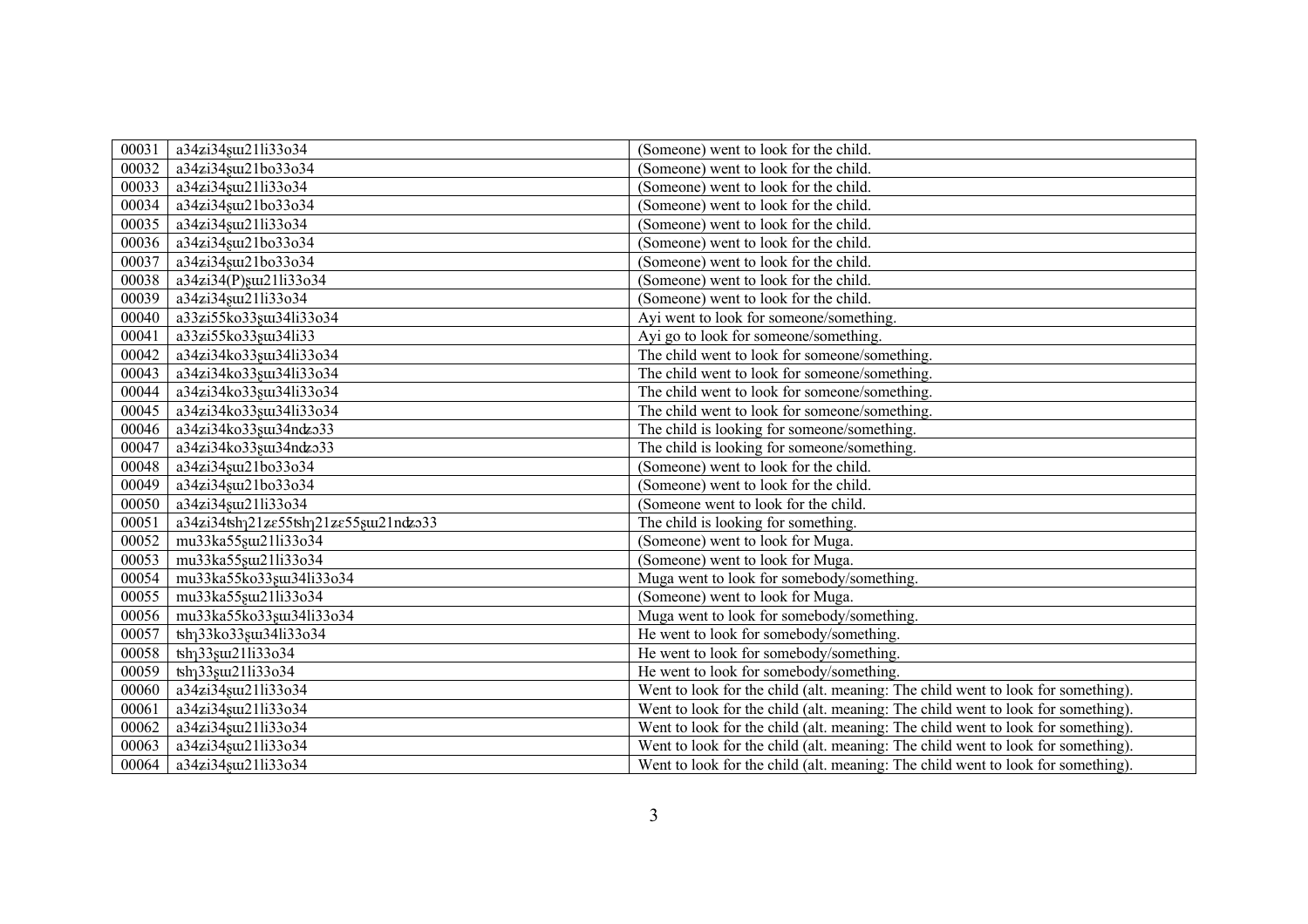| 00031 | a34zi34suu21li33o34                              | (Someone) went to look for the child.                                            |
|-------|--------------------------------------------------|----------------------------------------------------------------------------------|
| 00032 | a34zi34su121bo33o34                              | (Someone) went to look for the child.                                            |
| 00033 | a34zi34suu21li33o34                              | (Someone) went to look for the child.                                            |
| 00034 | a34zi34sui21bo33o34                              | (Someone) went to look for the child.                                            |
| 00035 | a34zi34suu21li33o34                              | (Someone) went to look for the child.                                            |
| 00036 | a34zi34suu21bo33o34                              | (Someone) went to look for the child.                                            |
| 00037 | a34zi34suu21bo33o34                              | (Someone) went to look for the child.                                            |
| 00038 | a34zi34(P)su21li33o34                            | (Someone) went to look for the child.                                            |
| 00039 | a34zi34suu21li33o34                              | (Someone) went to look for the child.                                            |
| 00040 | a33zi55ko33su134li33o34                          | Ayi went to look for someone/something.                                          |
| 00041 | a33zi55ko33su134li33                             | Ayi go to look for someone/something.                                            |
| 00042 | a34zi34ko33su134li33o34                          | The child went to look for someone/something.                                    |
| 00043 | a34zi34ko33su134li33o34                          | The child went to look for someone/something.                                    |
| 00044 | a34zi34ko33su134li33o34                          | The child went to look for someone/something.                                    |
| 00045 | a34zi34ko33su134li33o34                          | The child went to look for someone/something.                                    |
| 00046 | a34zi34ko33su134ndzo33                           | The child is looking for someone/something.                                      |
| 00047 | a34zi34ko33gu134ndzo33                           | The child is looking for someone/something.                                      |
| 00048 | a34zi34suu21bo33o34                              | (Someone) went to look for the child.                                            |
| 00049 | a34zi34suu21bo33o34                              | (Someone) went to look for the child.                                            |
| 00050 | a34zi34suu21li33o34                              | (Someone went to look for the child.                                             |
| 00051 | a34zi34tshq21ze55tshq21ze55stu21ndzo33           | The child is looking for something.                                              |
| 00052 | mu33ka55stu21li33o34                             | (Someone) went to look for Muga.                                                 |
| 00053 | mu33ka55gm21li33o34                              | (Someone) went to look for Muga.                                                 |
| 00054 | mu33ka55ko33su134li33o34                         | Muga went to look for somebody/something.                                        |
| 00055 | mu33ka55stu21li33o34                             | (Someone) went to look for Muga.                                                 |
| 00056 | mu33ka55ko33suu34li33o34                         | Muga went to look for somebody/something.                                        |
| 00057 | tsh <sub>1</sub> 33ko33 <sub>8</sub> u134li33o34 | He went to look for somebody/something.                                          |
| 00058 | tsh <sub>1</sub> 33 <sub>s</sub> u21li33o34      | He went to look for somebody/something.                                          |
| 00059 | tsh <sub>1</sub> 33 <sub>s</sub> ut21li33o34     | He went to look for somebody/something.                                          |
| 00060 | a34zi34stu21li33o34                              | Went to look for the child (alt. meaning: The child went to look for something). |
| 00061 | a34zi34suu21li33o34                              | Went to look for the child (alt. meaning: The child went to look for something). |
| 00062 | a34zi34suu21li33o34                              | Went to look for the child (alt. meaning: The child went to look for something). |
| 00063 | a34zi34suu21li33o34                              | Went to look for the child (alt. meaning: The child went to look for something). |
| 00064 | a34zi34suu21li33o34                              | Went to look for the child (alt. meaning: The child went to look for something). |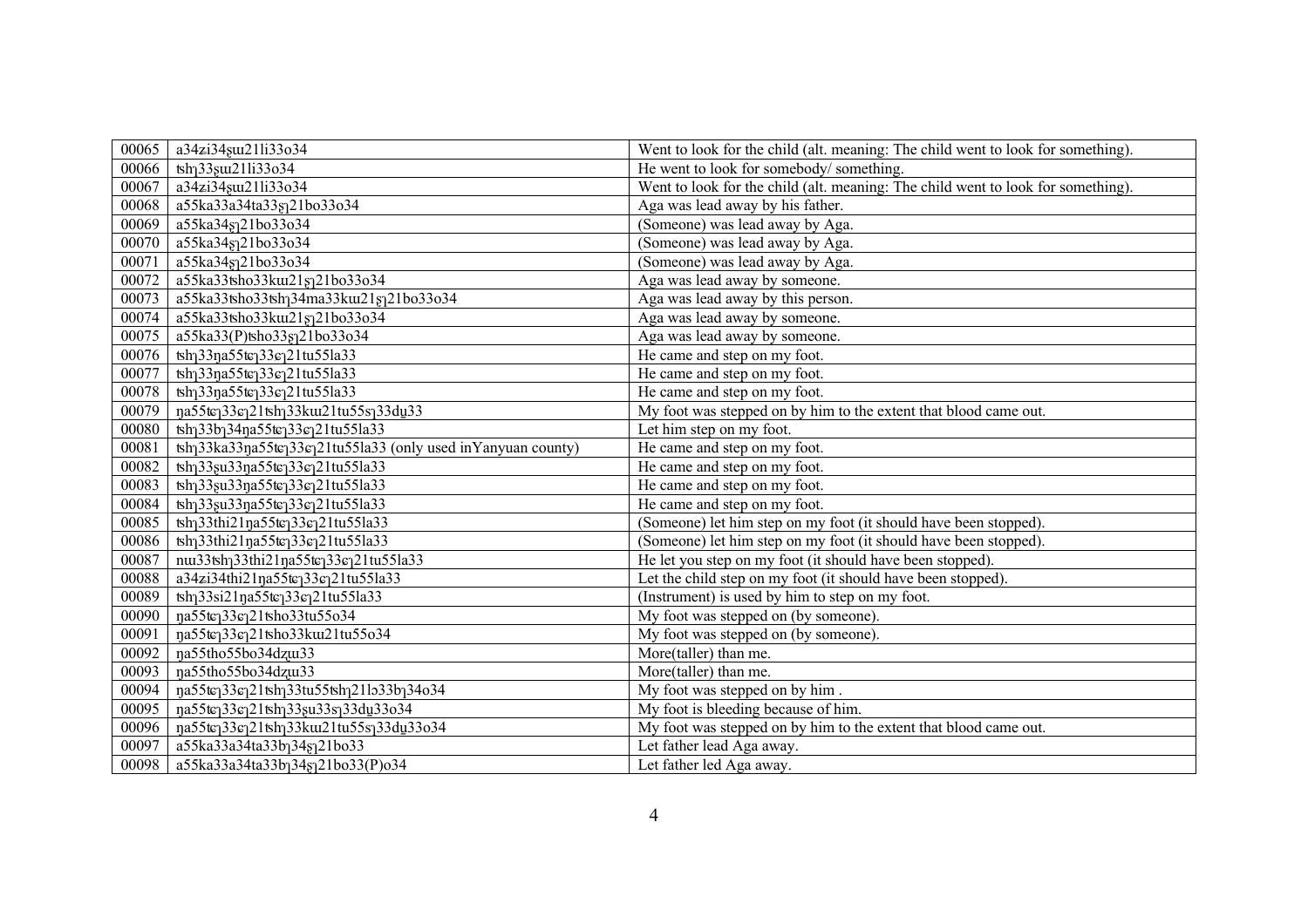| 00065 | a34zi34suu21li33o34                                                                                       | Went to look for the child (alt. meaning: The child went to look for something). |
|-------|-----------------------------------------------------------------------------------------------------------|----------------------------------------------------------------------------------|
| 00066 | tsh <sub>1</sub> 33 <sub>s</sub> u21li33o34                                                               | He went to look for somebody/something.                                          |
| 00067 | a34zi34suu21li33o34                                                                                       | Went to look for the child (alt. meaning: The child went to look for something). |
| 00068 | a55ka33a34ta33gq21bo33o34                                                                                 | Aga was lead away by his father.                                                 |
| 00069 | a55ka34sq21bo33o34                                                                                        | (Someone) was lead away by Aga.                                                  |
| 00070 | a55ka34s121bo33o34                                                                                        | (Someone) was lead away by Aga.                                                  |
| 00071 | a55ka34s121bo33o34                                                                                        | (Someone) was lead away by Aga.                                                  |
| 00072 | a55ka33tsho33kut21sq21bo33o34                                                                             | Aga was lead away by someone.                                                    |
| 00073 | a55ka33tsho33tshq34ma33ku121sq21bo33o34                                                                   | Aga was lead away by this person.                                                |
| 00074 | a55ka33tsho33kut21sq21bo33o34                                                                             | Aga was lead away by someone.                                                    |
| 00075 | a55ka33(P)tsho33sq21bo33o34                                                                               | Aga was lead away by someone.                                                    |
| 00076 | tsh <sub>1</sub> 33 <sub>n</sub> a55tc <sub>1</sub> 33c <sub>1</sub> 21tu55la33                           | He came and step on my foot.                                                     |
| 00077 | $\frac{1}{10}$ tsh <sub>1</sub> 33 <sub>n</sub> a55te <sub>1</sub> 33e <sub>1</sub> 21tu55la33            | He came and step on my foot.                                                     |
| 00078 | tsh <sub>1</sub> 33 <sub>n</sub> a55tc <sub>1</sub> 33c <sub>1</sub> 21tu55la33                           | He came and step on my foot.                                                     |
| 00079 | na55tc <sub>1</sub> 33c <sub>1</sub> 21tsh <sub>1</sub> 33ku21tu55s <sub>1</sub> 33du33                   | My foot was stepped on by him to the extent that blood came out.                 |
| 00080 | tsh <sub>1</sub> 33b <sub>1</sub> 34na55te <sub>1</sub> 33e <sub>1</sub> 21tu55la33                       | Let him step on my foot.                                                         |
| 00081 | tsh <sub>1</sub> 33ka33na55tc <sub>1</sub> 33c <sub>1</sub> 21tu55la33 (only used inYanyuan county)       | He came and step on my foot.                                                     |
| 00082 | tsh <sub>1</sub> 33 <sub>8</sub> u33 <sub>n</sub> a55te <sub>1</sub> 33e <sub>1</sub> 21tu55la33          | He came and step on my foot.                                                     |
| 00083 | tsh <sub>1</sub> 33 <sub>8</sub> u33 <sub>n</sub> a55tc <sub>1</sub> 33c <sub>1</sub> 21tu55la33          | He came and step on my foot.                                                     |
| 00084 | tsh <sub>1</sub> 33 <sub>8</sub> u33 <sub>n</sub> a55tc <sub>1</sub> 33c <sub>1</sub> 21tu55la33          | He came and step on my foot.                                                     |
| 00085 | tsh <sub>1</sub> 33thi21na55te <sub>1</sub> 33e <sub>1</sub> 21tu55la33                                   | (Someone) let him step on my foot (it should have been stopped).                 |
| 00086 | tsh <sub>1</sub> 33thi21na55te <sub>1</sub> 33e <sub>1</sub> 21tu55la33                                   | (Someone) let him step on my foot (it should have been stopped).                 |
| 00087 | nus3sh133thi21na55tc133c121tu55la33                                                                       | He let you step on my foot (it should have been stopped).                        |
| 00088 | a34zi34thi21na55tcq33cq21tu55la33                                                                         | Let the child step on my foot (it should have been stopped).                     |
| 00089 | tsh <sub>1</sub> 33si21na55tc <sub>1</sub> 33c <sub>1</sub> 21tu55la33                                    | (Instrument) is used by him to step on my foot.                                  |
| 00090 | na55te133e121tsho33tu55o34                                                                                | My foot was stepped on (by someone).                                             |
| 00091 | na55tej33ej21tsho33ku21tu55o34                                                                            | My foot was stepped on (by someone).                                             |
| 00092 | na55tho55bo34dzux33                                                                                       | More(taller) than me.                                                            |
| 00093 | na55tho55bo34dzw33                                                                                        | More(taller) than me.                                                            |
| 00094 | na55tc <sub>1</sub> 33c <sub>1</sub> 21tsh <sub>1</sub> 33tu55tsh <sub>1</sub> 21lo33b <sub>1</sub> 34o34 | My foot was stepped on by him.                                                   |
| 00095 | na55te133e121tsh133gu33s133du33o34                                                                        | My foot is bleeding because of him.                                              |
| 00096 | na55tc <sub>1</sub> 33c <sub>1</sub> 21tsh <sub>1</sub> 33ku21tu55s <sub>1</sub> 33du33o34                | My foot was stepped on by him to the extent that blood came out.                 |
| 00097 | a55ka33a34ta33b <sub>1</sub> 34 <sub>§1</sub> 21bo33                                                      | Let father lead Aga away.                                                        |
| 00098 | a55ka33a34ta33b <sub>1</sub> 34 <sub>§1</sub> 21bo33(P)o34                                                | Let father led Aga away.                                                         |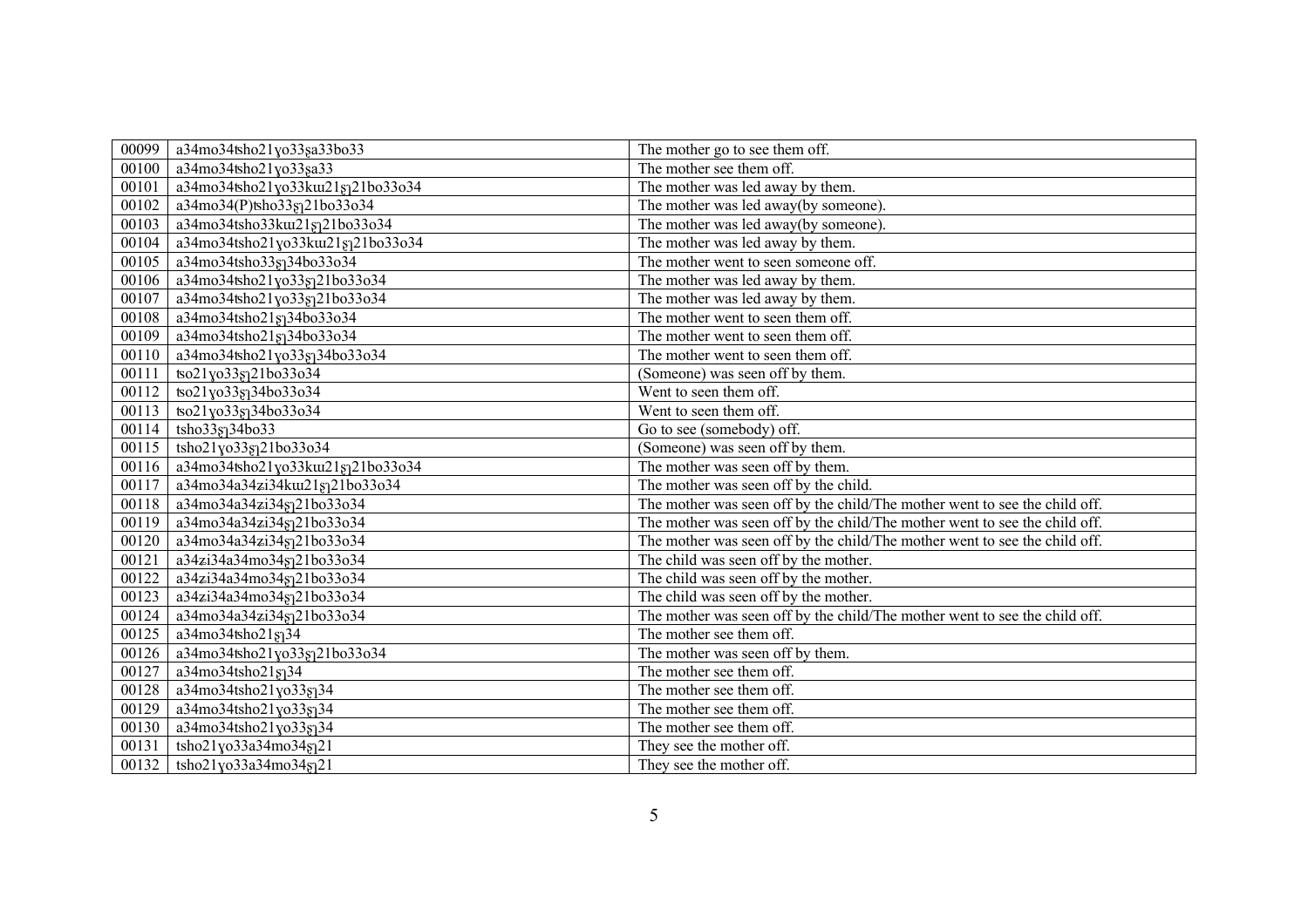| 00099 | a34mo34tsho21yo33sa33bo33          | The mother go to see them off.                                             |
|-------|------------------------------------|----------------------------------------------------------------------------|
| 00100 | a34mo34tsho21yo33sa33              | The mother see them off.                                                   |
| 00101 | a34mo34tsho21yo33ku1218121bo33o34  | The mother was led away by them.                                           |
| 00102 | a34mo34(P)tsho33gq21bo33o34        | The mother was led away(by someone).                                       |
| 00103 | a34mo34tsho33ku21sq21bo33o34       | The mother was led away(by someone).                                       |
| 00104 | a34mo34tsho21yo33ku21sq21bo33o34   | The mother was led away by them.                                           |
| 00105 | a34mo34tsho33sq34bo33o34           | The mother went to seen someone off.                                       |
| 00106 | a34mo34tsho21yo33gq21bo33o34       | The mother was led away by them.                                           |
| 00107 | a34mo34tsho21yo33sq21bo33o34       | The mother was led away by them.                                           |
| 00108 | a34mo34tsho21§134bo33o34           | The mother went to seen them off.                                          |
| 00109 | a34mo34tsho21sq34bo33o34           | The mother went to seen them off.                                          |
| 00110 | a34mo34tsho21yo33gq34bo33o34       | The mother went to seen them off.                                          |
| 00111 | tso21yo33gq21bo33o34               | (Someone) was seen off by them.                                            |
| 00112 | tso21yo338134bo33o34               | Went to seen them off.                                                     |
| 00113 | tso21yo33sq34bo33o34               | Went to seen them off.                                                     |
| 00114 | tsho33s <sub>1</sub> 34bo33        | Go to see (somebody) off.                                                  |
| 00115 | tsho21yo33gq21bo33o34              | (Someone) was seen off by them.                                            |
| 00116 | a34mo34tsho21yo33ku1218121bo33o34  | The mother was seen off by them.                                           |
| 00117 | a34mo34a34zi34kui21sj21bo33o34     | The mother was seen off by the child.                                      |
| 00118 | a34mo34a34zi34sq21bo33o34          | The mother was seen off by the child/The mother went to see the child off. |
| 00119 | a34mo34a34zi34gq21bo33o34          | The mother was seen off by the child/The mother went to see the child off. |
| 00120 | a34mo34a34zi34sq21bo33o34          | The mother was seen off by the child/The mother went to see the child off. |
| 00121 | a34zi34a34mo34gq21bo33o34          | The child was seen off by the mother.                                      |
| 00122 | a34zi34a34mo34gq21bo33o34          | The child was seen off by the mother.                                      |
| 00123 | a34zi34a34mo34sq21bo33o34          | The child was seen off by the mother.                                      |
| 00124 | a34mo34a34zi34gq21bo33o34          | The mother was seen off by the child/The mother went to see the child off. |
| 00125 | a34mo34tsho21sq34                  | The mother see them off.                                                   |
| 00126 | a34mo34tsho21yo33sq21bo33o34       | The mother was seen off by them.                                           |
| 00127 | a34mo34tsho21g134                  | The mother see them off.                                                   |
| 00128 | $\sqrt{a^3}4$ mo34tsho21yo33gq34   | The mother see them off.                                                   |
| 00129 | a34mo34tsho21yo33sq34              | The mother see them off.                                                   |
| 00130 | a34mo34tsho21yo33sq34              | The mother see them off.                                                   |
| 00131 | tsho21yo33a34mo34s <sub>1</sub> 21 | They see the mother off.                                                   |
| 00132 | tsho21yo33a34mo34s <sub>1</sub> 21 | They see the mother off.                                                   |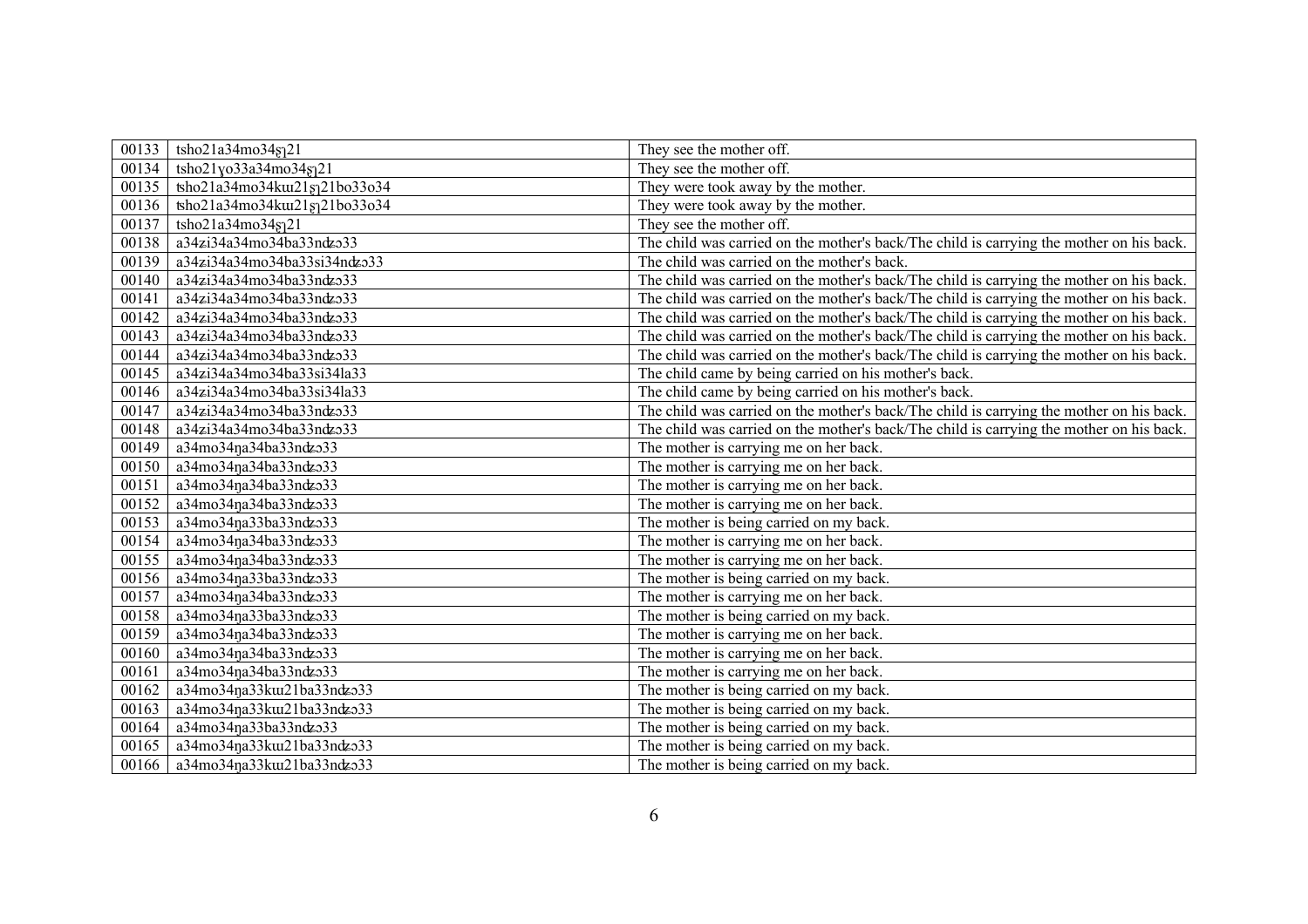| 00133 | tsho21a34mo34sq21                     | They see the mother off.                                                                 |
|-------|---------------------------------------|------------------------------------------------------------------------------------------|
| 00134 | tsho21yo33a34mo34g21                  | They see the mother off.                                                                 |
| 00135 | tsho21a34mo34ku21821bo33o34           | They were took away by the mother.                                                       |
| 00136 | tsho21a34mo34ku21sq21bo33o34          | They were took away by the mother.                                                       |
| 00137 | tsho21a34mo34§121                     | They see the mother off.                                                                 |
| 00138 | a34zi34a34mo34ba33ndzo33              | The child was carried on the mother's back/The child is carrying the mother on his back. |
| 00139 | a34zi34a34mo34ba33si34ndzo33          | The child was carried on the mother's back.                                              |
| 00140 | a34zi34a34mo34ba33ndzo33              | The child was carried on the mother's back/The child is carrying the mother on his back. |
| 00141 | a34zi34a34mo34ba33ndzo33              | The child was carried on the mother's back/The child is carrying the mother on his back. |
| 00142 | a34zi34a34mo34ba33ndzo33              | The child was carried on the mother's back/The child is carrying the mother on his back. |
| 00143 | a34zi34a34mo34ba33ndzo33              | The child was carried on the mother's back/The child is carrying the mother on his back. |
| 00144 | a34zi34a34mo34ba33ndzo33              | The child was carried on the mother's back/The child is carrying the mother on his back. |
| 00145 | $\sqrt{a^34z}$ i34a34mo34ba33si34la33 | The child came by being carried on his mother's back.                                    |
| 00146 | a34zi34a34mo34ba33si34la33            | The child came by being carried on his mother's back.                                    |
| 00147 | a34zi34a34mo34ba33ndzo33              | The child was carried on the mother's back/The child is carrying the mother on his back. |
| 00148 | a34zi34a34mo34ba33ndzo33              | The child was carried on the mother's back/The child is carrying the mother on his back. |
| 00149 | a34mo34na34ba33ndzo33                 | The mother is carrying me on her back.                                                   |
| 00150 | a34mo34na34ba33ndzo33                 | The mother is carrying me on her back.                                                   |
| 00151 | a34mo34na34ba33ndzo33                 | The mother is carrying me on her back.                                                   |
| 00152 | a34mo34na34ba33ndzo33                 | The mother is carrying me on her back.                                                   |
| 00153 | a34mo34na33ba33ndzo33                 | The mother is being carried on my back.                                                  |
| 00154 | $\overline{a34}$ mo34ŋa34ba33ndzo33   | The mother is carrying me on her back.                                                   |
| 00155 | a34mo34ŋa34ba33ndzo33                 | The mother is carrying me on her back.                                                   |
| 00156 | a34mo34na33ba33ndzo33                 | The mother is being carried on my back.                                                  |
| 00157 | a34mo34na34ba33ndzo33                 | The mother is carrying me on her back.                                                   |
| 00158 | a34mo34na33ba33ndzo33                 | The mother is being carried on my back.                                                  |
| 00159 | a34mo34na34ba33ndzo33                 | The mother is carrying me on her back.                                                   |
| 00160 | a34mo34na34ba33ndzo33                 | The mother is carrying me on her back.                                                   |
| 00161 | a34mo34na34ba33ndzo33                 | The mother is carrying me on her back.                                                   |
| 00162 | a34mo34na33ku121ba33ndzo33            | The mother is being carried on my back.                                                  |
| 00163 | a34mo34na33ku121ba33ndzo33            | The mother is being carried on my back.                                                  |
| 00164 | a34mo34na33ba33ndzo33                 | The mother is being carried on my back.                                                  |
| 00165 | a34mo34na33ku121ba33ndzo33            | The mother is being carried on my back.                                                  |
| 00166 | a34mo34na33ku21ba33ndzo33             | The mother is being carried on my back.                                                  |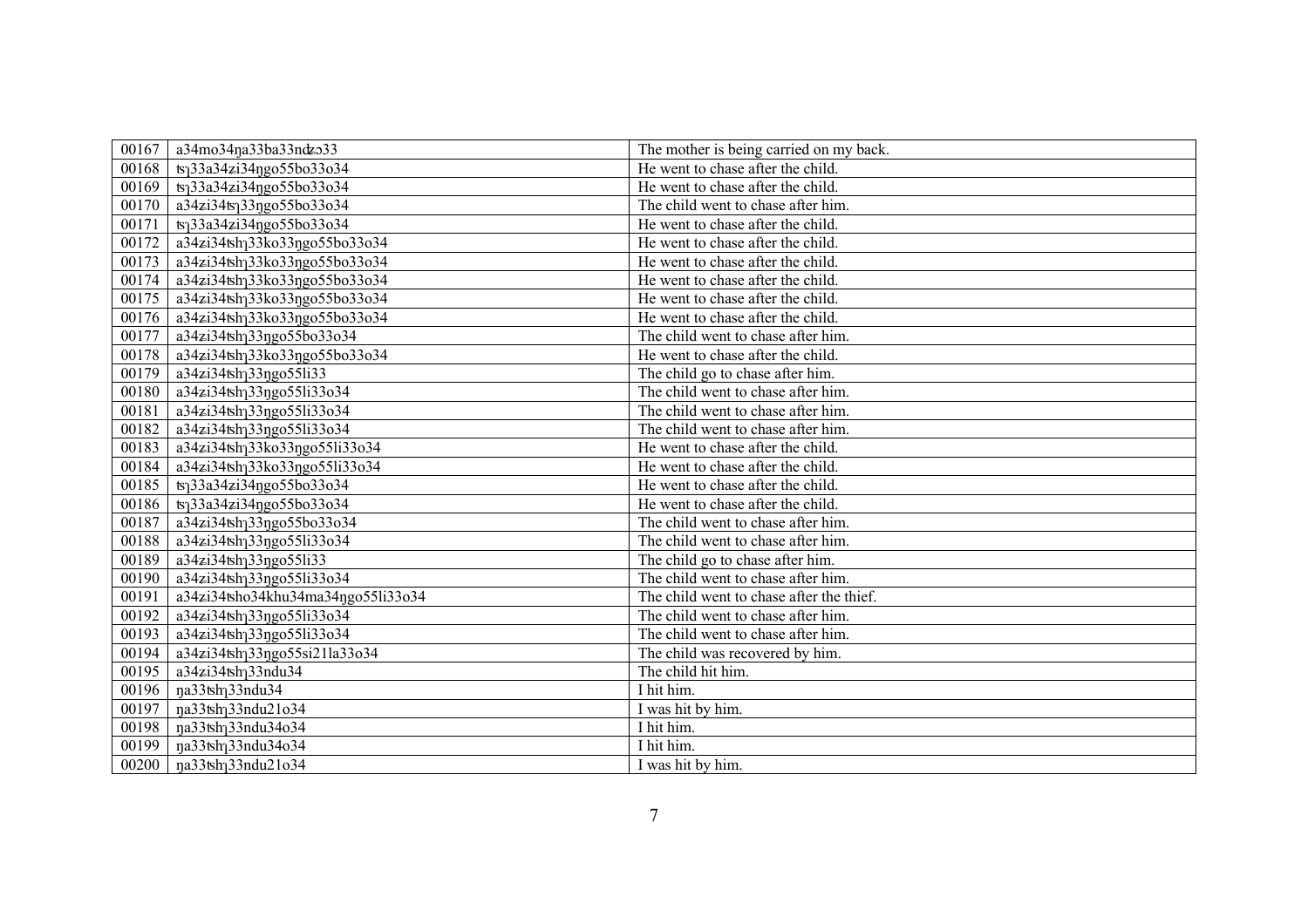| 00167 | a34mo34na33ba33ndzo33                      | The mother is being carried on my back.  |
|-------|--------------------------------------------|------------------------------------------|
| 00168 | ts <sub>1</sub> 33a34zi34ngo55bo33o34      | He went to chase after the child.        |
| 00169 | ts <sub>1</sub> 33a34zi34ŋgo55bo33o34      | He went to chase after the child.        |
| 00170 | a34zi34ts <sub>1</sub> 33ngo55bo33o34      | The child went to chase after him.       |
| 00171 | ts <sub>1</sub> 33a34zi34ngo55bo33o34      | He went to chase after the child.        |
| 00172 | a34zi34tsh <sub>1</sub> 33ko33ngo55bo33o34 | He went to chase after the child.        |
| 00173 | a34zi34tsh <sub>1</sub> 33ko33ngo55bo33o34 | He went to chase after the child.        |
| 00174 | a34zi34tsh <sub>1</sub> 33ko33ngo55bo33o34 | He went to chase after the child.        |
| 00175 | a34zi34tsh <sub>1</sub> 33ko33ngo55bo33o34 | He went to chase after the child.        |
| 00176 | a34zi34tsh <sub>1</sub> 33ko33ngo55bo33o34 | He went to chase after the child.        |
| 00177 | a34zi34tsh133ngo55bo33o34                  | The child went to chase after him.       |
| 00178 | a34zi34tsh <sub>1</sub> 33ko33ngo55bo33o34 | He went to chase after the child.        |
| 00179 | a34zi34tsh <sub>1</sub> 33ngo55li33        | The child go to chase after him.         |
| 00180 | a34zi34tsh <sub>1</sub> 33ngo55li33o34     | The child went to chase after him.       |
| 00181 | a34zi34tsh <sub>1</sub> 33ngo55li33o34     | The child went to chase after him.       |
| 00182 | a34zi34tsh <sub>1</sub> 33ngo55li33o34     | The child went to chase after him.       |
| 00183 | a34zi34tsh <sub>1</sub> 33ko33ngo55li33o34 | He went to chase after the child.        |
| 00184 | a34zi34tsh <sub>1</sub> 33ko33ngo55li33o34 | He went to chase after the child.        |
| 00185 | ts <sub>1</sub> 33a34zi34ngo55bo33o34      | He went to chase after the child.        |
| 00186 | ts <sub>1</sub> 33a34zi34ggo55bo33o34      | He went to chase after the child.        |
| 00187 | a34zi34tsh <sub>1</sub> 33ngo55bo33o34     | The child went to chase after him.       |
| 00188 | a34zi34tsh <sub>1</sub> 33ngo55li33o34     | The child went to chase after him.       |
| 00189 | a34zi34tsh <sub>1</sub> 33ngo55li33        | The child go to chase after him.         |
| 00190 | a34zi34tsh <sub>1</sub> 33ngo55li33o34     | The child went to chase after him.       |
| 00191 | a34zi34tsho34khu34ma34ngo55li33o34         | The child went to chase after the thief. |
| 00192 | a34zi34tsh <sub>1</sub> 33ngo55li33o34     | The child went to chase after him.       |
| 00193 | a34zi34tsh <sub>1</sub> 33ngo55li33o34     | The child went to chase after him.       |
| 00194 | a34zi34tsh <sub>1</sub> 33ngo55si21la33o34 | The child was recovered by him.          |
| 00195 | a34zi34tsh <sub>1</sub> 33ndu34            | The child hit him.                       |
| 00196 | na33tsh <sub>1</sub> 33ndu34               | I hit him.                               |
| 00197 | na33tsh <sub>1</sub> 33ndu21o34            | I was hit by him.                        |
| 00198 | na33tsh <sub>1</sub> 33ndu34o34            | I hit him.                               |
| 00199 | na33tsh <sub>1</sub> 33ndu34o34            | I hit him.                               |
| 00200 | na33tsh <sub>1</sub> 33ndu21o34            | I was hit by him.                        |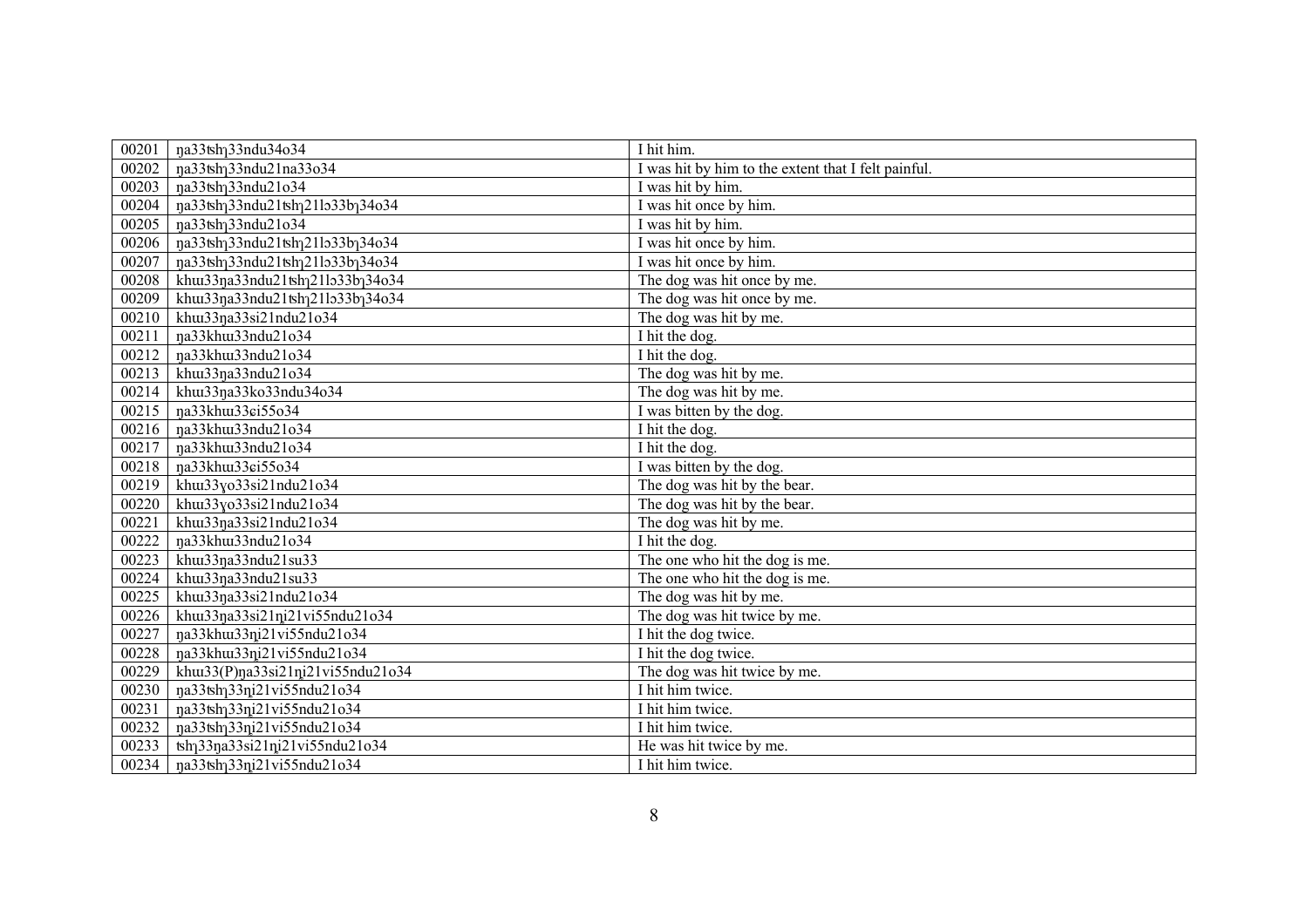| 00201 | na33tsh <sub>1</sub> 33ndu34o34                                         | I hit him.                                          |
|-------|-------------------------------------------------------------------------|-----------------------------------------------------|
| 00202 | na33tsh <sub>1</sub> 33ndu21na33o34                                     | I was hit by him to the extent that I felt painful. |
| 00203 | na33tsh <sub>1</sub> 33ndu21o34                                         | I was hit by him.                                   |
| 00204 | na33tshq33ndu21tshq21lo33bq34o34                                        | I was hit once by him.                              |
| 00205 | na33tsh <sub>1</sub> 33ndu21o34                                         | I was hit by him.                                   |
| 00206 | na33tsh <sub>1</sub> 33ndu21tsh <sub>1</sub> 21lo33b <sub>1</sub> 34o34 | I was hit once by him.                              |
| 00207 | na33tsh <sub>1</sub> 33ndu21tsh <sub>1</sub> 21lo33b <sub>1</sub> 34o34 | I was hit once by him.                              |
| 00208 | khu33na33ndu21tshq21lo33bq34o34                                         | The dog was hit once by me.                         |
| 00209 | khu33na33ndu21tshq21lo33bq34o34                                         | The dog was hit once by me.                         |
| 00210 | khu33na33si21ndu21o34                                                   | The dog was hit by me.                              |
| 00211 | na33khu33ndu21o34                                                       | I hit the dog.                                      |
| 00212 | na33khu33ndu21o34                                                       | I hit the dog.                                      |
| 00213 | khu33na33ndu21o34                                                       | The dog was hit by me.                              |
| 00214 | khu33na33ko33ndu34o34                                                   | The dog was hit by me.                              |
| 00215 | na33khu133ci55o34                                                       | I was bitten by the dog.                            |
| 00216 | na33khu33ndu21o34                                                       | I hit the dog.                                      |
| 00217 | na33khu33ndu21o34                                                       | I hit the dog.                                      |
| 00218 | na33khu33ci55o34                                                        | I was bitten by the dog.                            |
| 00219 | khu33yo33si21ndu21o34                                                   | The dog was hit by the bear.                        |
| 00220 | khu33yo33si21ndu21o34                                                   | The dog was hit by the bear.                        |
| 00221 | khu33na33si21ndu21o34                                                   | The dog was hit by me.                              |
| 00222 | ŋa33khui33ndu21o34                                                      | I hit the dog.                                      |
| 00223 | khu33ŋa33ndu21su33                                                      | The one who hit the dog is me.                      |
| 00224 | khu33na33ndu21su33                                                      | The one who hit the dog is me.                      |
| 00225 | khu33na33si21ndu21o34                                                   | The dog was hit by me.                              |
| 00226 | khw33na33si21ni21vi55ndu21o34                                           | The dog was hit twice by me.                        |
| 00227 | na33khu33ni21vi55ndu21o34                                               | I hit the dog twice.                                |
| 00228 | na33khu33ni21vi55ndu21o34                                               | I hit the dog twice.                                |
| 00229 | khu33(P)na33si21ni21vi55ndu21o34                                        | The dog was hit twice by me.                        |
| 00230 | ŋa33tsh <sub>1</sub> 33ni21vi55ndu21o34                                 | I hit him twice.                                    |
| 00231 | na33tshq33ni21vi55ndu21o34                                              | I hit him twice.                                    |
| 00232 | na33tsh <sub>1</sub> 33ni21vi55ndu21o34                                 | I hit him twice.                                    |
| 00233 | tsh <sub>1</sub> 33na33si21ni21vi55ndu21o34                             | He was hit twice by me.                             |
| 00234 | na33tsh <sub>1</sub> 33ni21vi55ndu21o34                                 | I hit him twice.                                    |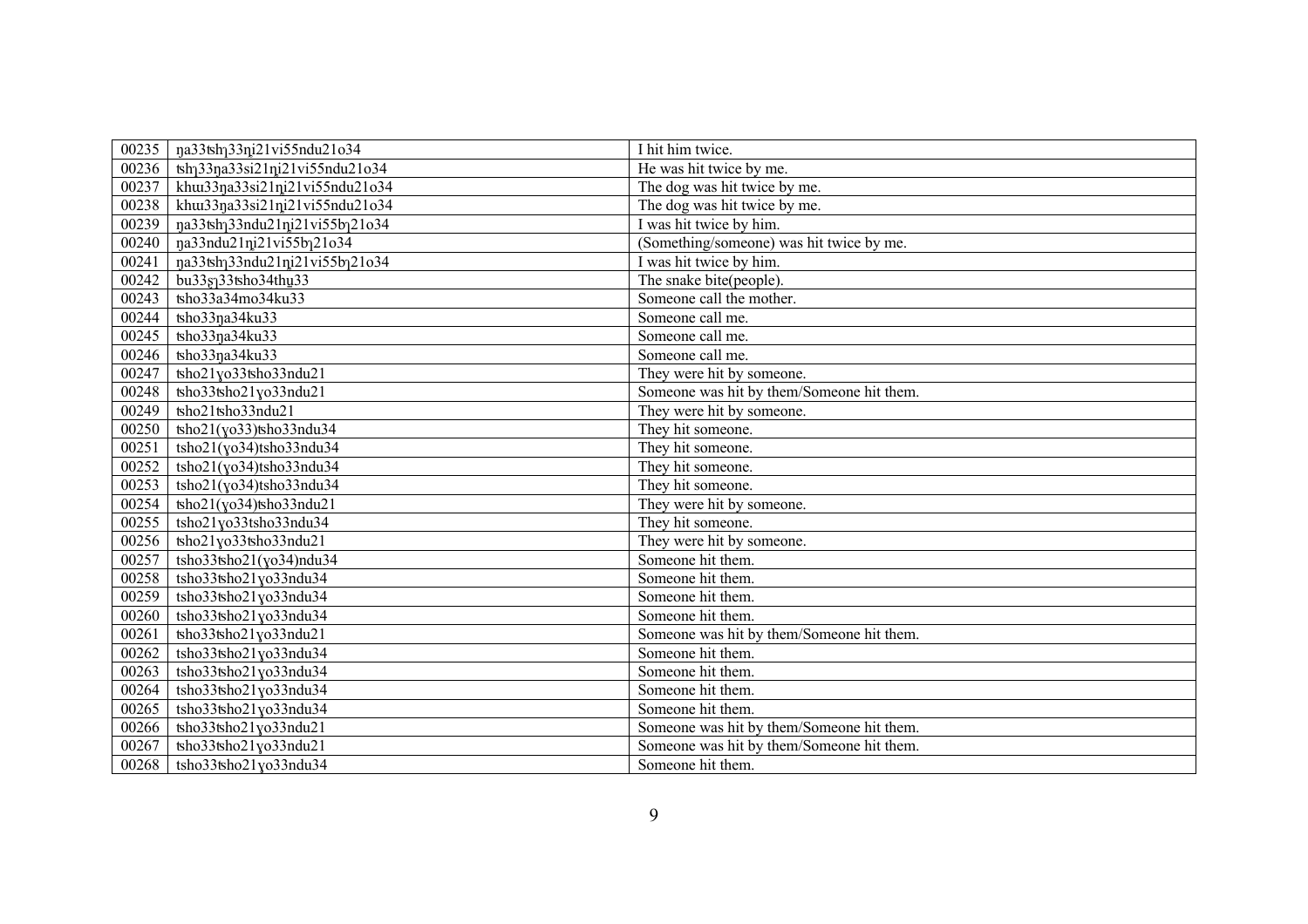| 00235 | na33tsh <sub>1</sub> 33ni21vi55ndu21o34                  | I hit him twice.                          |
|-------|----------------------------------------------------------|-------------------------------------------|
| 00236 | tsh <sub>1</sub> 33na33si21ni21vi55ndu21o34              | He was hit twice by me.                   |
| 00237 | khw33na33si21ni21vi55ndu21o34                            | The dog was hit twice by me.              |
| 00238 | khw33na33si21ni21vi55ndu21o34                            | The dog was hit twice by me.              |
| 00239 | na33tsh <sub>1</sub> 33ndu21ni21vi55b <sub>1</sub> 21o34 | I was hit twice by him.                   |
| 00240 | na33ndu21ni21vi55b121o34                                 | (Something/someone) was hit twice by me.  |
| 00241 | na33tsh <sub>1</sub> 33ndu21ni21vi55b <sub>1</sub> 21o34 | I was hit twice by him.                   |
| 00242 | bu338133tsho34thu33                                      | The snake bite(people).                   |
| 00243 | tsho33a34mo34ku33                                        | Someone call the mother.                  |
| 00244 | tsho33na34ku33                                           | Someone call me.                          |
| 00245 | tsho33na34ku33                                           | Someone call me.                          |
| 00246 | tsho33na34ku33                                           | Someone call me.                          |
| 00247 | tsho21yo33tsho33ndu21                                    | They were hit by someone.                 |
| 00248 | tsho33tsho21yo33ndu21                                    | Someone was hit by them/Someone hit them. |
| 00249 | tsho21tsho33ndu21                                        | They were hit by someone.                 |
| 00250 | $\frac{\text{tho21}}{\text{v033}}$ tho 33ndu34           | They hit someone.                         |
| 00251 | tsho21(yo34)tsho33ndu34                                  | They hit someone.                         |
| 00252 | tsho21(yo34)tsho33ndu34                                  | They hit someone.                         |
| 00253 | tsho21(yo34)tsho33ndu34                                  | They hit someone.                         |
| 00254 | $\frac{\tanh(21(\gamma_0)^2)}{\tanh(33)}$                | They were hit by someone.                 |
| 00255 | tsho21yo33tsho33ndu34                                    | They hit someone.                         |
| 00256 | tsho21yo33tsho33ndu21                                    | They were hit by someone.                 |
| 00257 | tsho33tsho21(yo34)ndu34                                  | Someone hit them.                         |
| 00258 | tsho33tsho21yo33ndu34                                    | Someone hit them.                         |
| 00259 | tsho33tsho21yo33ndu34                                    | Someone hit them.                         |
| 00260 | tsho33tsho21yo33ndu34                                    | Someone hit them.                         |
| 00261 | tsho33tsho21yo33ndu21                                    | Someone was hit by them/Someone hit them. |
| 00262 | tsho33tsho21yo33ndu34                                    | Someone hit them.                         |
| 00263 | tsho33tsho21yo33ndu34                                    | Someone hit them.                         |
| 00264 | tsho33tsho21yo33ndu34                                    | Someone hit them.                         |
| 00265 | tsho33tsho21yo33ndu34                                    | Someone hit them.                         |
| 00266 | tsho33tsho21yo33ndu21                                    | Someone was hit by them/Someone hit them. |
| 00267 | tsho33tsho21yo33ndu21                                    | Someone was hit by them/Someone hit them. |
| 00268 | tsho33tsho21yo33ndu34                                    | Someone hit them.                         |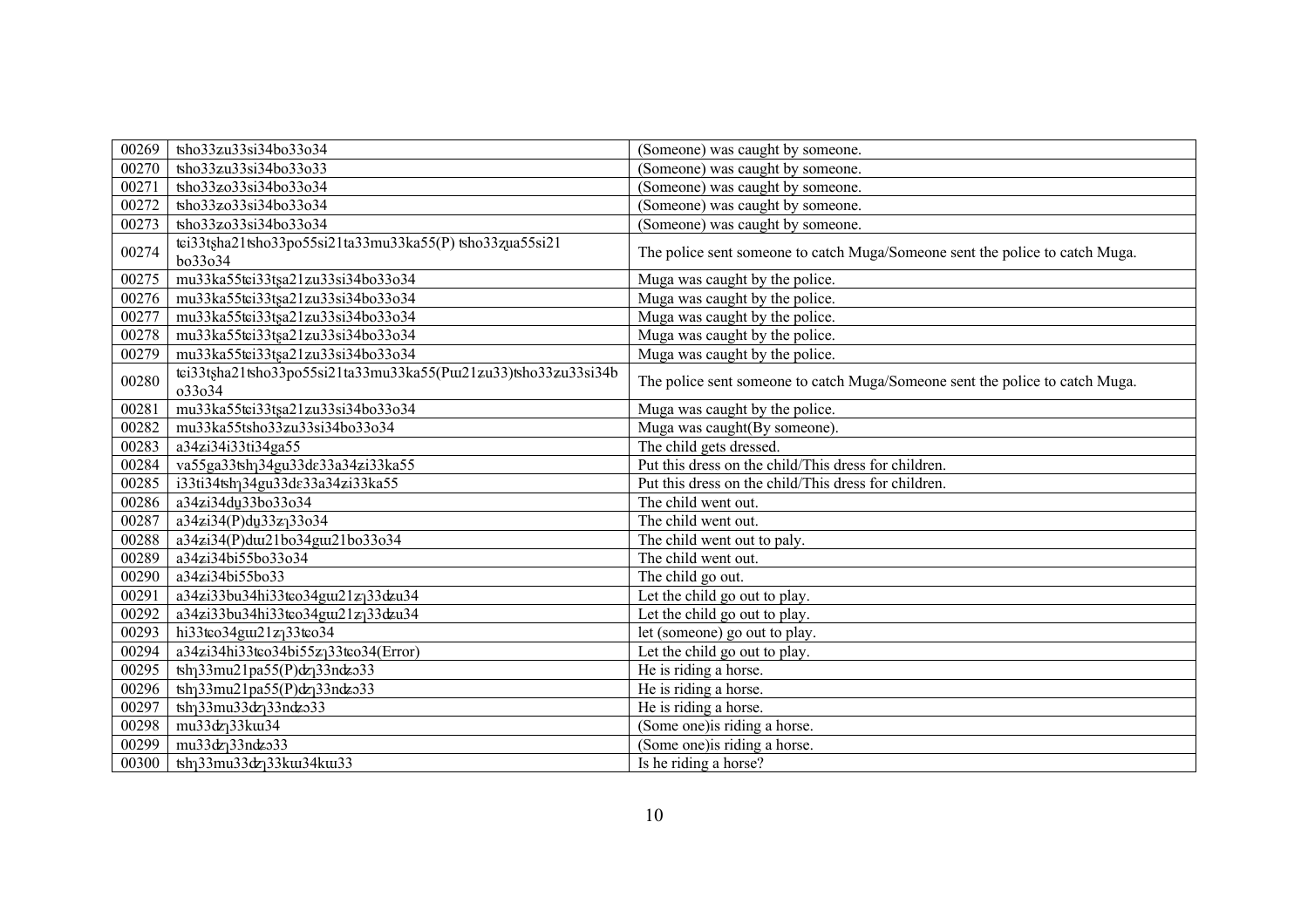| 00269 | tsho33zu33si34bo33o34                                                     | (Someone) was caught by someone.                                             |
|-------|---------------------------------------------------------------------------|------------------------------------------------------------------------------|
| 00270 | tsho33zu33si34bo33o33                                                     | (Someone) was caught by someone.                                             |
| 00271 | tsho33zo33si34bo33o34                                                     | (Someone) was caught by someone.                                             |
| 00272 | tsho33zo33si34bo33o34                                                     | (Someone) was caught by someone.                                             |
| 00273 | tsho33zo33si34bo33o34                                                     | (Someone) was caught by someone.                                             |
| 00274 | tei33tsha21tsho33po55si21ta33mu33ka55(P) tsho33zua55si21<br>bo33o34       | The police sent someone to catch Muga/Someone sent the police to catch Muga. |
| 00275 | mu33ka55tei33tsa21zu33si34bo33o34                                         | Muga was caught by the police.                                               |
| 00276 | mu33ka55tei33tsa21zu33si34bo33o34                                         | Muga was caught by the police.                                               |
| 00277 | mu33ka55tei33tsa21zu33si34bo33o34                                         | Muga was caught by the police.                                               |
| 00278 | mu33ka55tei33tsa21zu33si34bo33o34                                         | Muga was caught by the police.                                               |
| 00279 | mu33ka55tci33tsa21zu33si34bo33o34                                         | Muga was caught by the police.                                               |
| 00280 | tei33tsha21tsho33po55si21ta33mu33ka55(Puz21zu33)tsho33zu33si34b<br>033034 | The police sent someone to catch Muga/Someone sent the police to catch Muga. |
| 00281 | mu33ka55tei33tsa21zu33si34bo33o34                                         | Muga was caught by the police.                                               |
| 00282 | mu33ka55tsho33zu33si34bo33o34                                             | Muga was caught (By someone).                                                |
| 00283 | a34zi34i33ti34ga55                                                        | The child gets dressed.                                                      |
| 00284 | va55ga33tshq34gu33de33a34zi33ka55                                         | Put this dress on the child/This dress for children.                         |
| 00285 | i33ti34tshq34gu33de33a34zi33ka55                                          | Put this dress on the child/This dress for children.                         |
| 00286 | a34zi34du33bo33o34                                                        | The child went out.                                                          |
| 00287 | a34zi34(P)du33z <sub>1</sub> 33o34                                        | The child went out.                                                          |
| 00288 | a34zi34(P)dui21bo34gui21bo33o34                                           | The child went out to paly.                                                  |
| 00289 | a34zi34bi55bo33o34                                                        | The child went out.                                                          |
| 00290 | a34zi34bi55bo33                                                           | The child go out.                                                            |
| 00291 | a34zi33bu34hi33tco34gu121z <sub>1</sub> 33dzu34                           | Let the child go out to play.                                                |
| 00292 | a34zi33bu34hi33tco34gu21z <sub>1</sub> 33dzu34                            | Let the child go out to play.                                                |
| 00293 | hi33teo34gut21z <sub>1</sub> 33teo34                                      | let (someone) go out to play.                                                |
| 00294 | a34zi34hi33tco34bi55z <sub>1</sub> 33tco34(Error)                         | Let the child go out to play.                                                |
| 00295 | $\frac{\tanh{33mu21pa55(P)}dx}{33nds33}$                                  | He is riding a horse.                                                        |
| 00296 | tsh <sub>1</sub> 33mu21pa55(P)dz <sub>1</sub> 33ndzo33                    | He is riding a horse.                                                        |
| 00297 | tsh <sub>1</sub> 33mu33dz <sub>1</sub> 33ndzo33                           | He is riding a horse.                                                        |
| 00298 | mu33dz <sub>1</sub> 33ku34                                                | (Some one) is riding a horse.                                                |
| 00299 | mu33dz <sub>1</sub> 33ndz <sub>333</sub>                                  | (Some one) is riding a horse.                                                |
| 00300 | tsh <sub>1</sub> 33mu33dz <sub>1</sub> 33ku34ku33                         | Is he riding a horse?                                                        |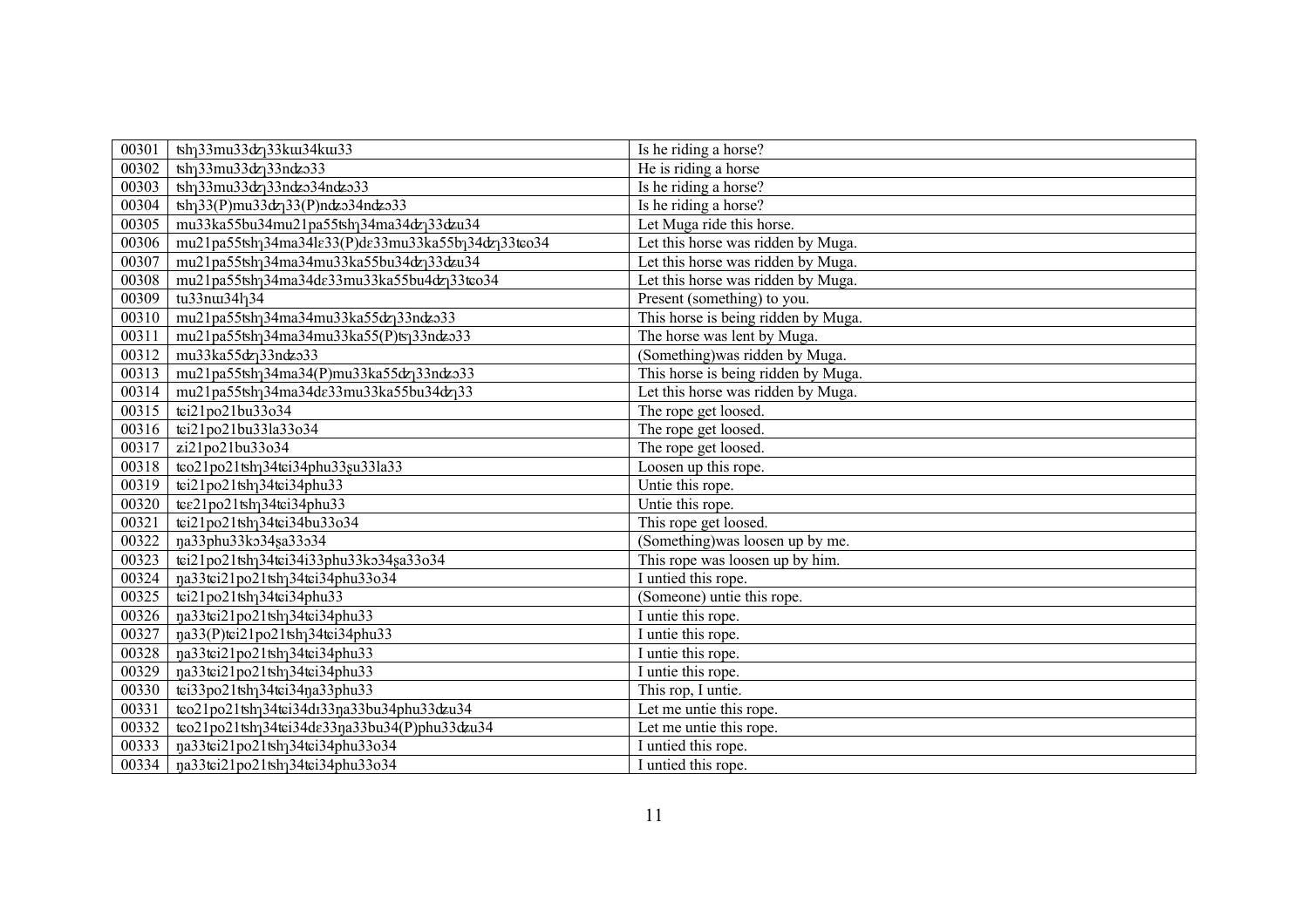| 00301 | tsh <sub>1</sub> 33mu33dz <sub>1</sub> 33ku34ku33                     | Is he riding a horse?               |
|-------|-----------------------------------------------------------------------|-------------------------------------|
| 00302 | tsh <sub>1</sub> 33mu33dz <sub>1</sub> 33ndzo33                       | He is riding a horse                |
| 00303 |                                                                       | Is he riding a horse?               |
| 00304 | tsh <sub>1</sub> 33(P)mu33dz <sub>1</sub> 33(P)ndzo34ndzo33           | Is he riding a horse?               |
| 00305 | mu33ka55bu34mu21pa55tshq34ma34dzq33dzu34                              | Let Muga ride this horse.           |
| 00306 | mu21pa55tshq34ma34le33(P)de33mu33ka55bq34dzq33teo34                   | Let this horse was ridden by Muga.  |
| 00307 | mu21pa55tsh <sub>1</sub> 34ma34mu33ka55bu34dz <sub>1</sub> 33dzu34    | Let this horse was ridden by Muga.  |
| 00308 | mu21pa55tsh <sub>1</sub> 34ma34de33mu33ka55bu4dz <sub>1</sub> 33teo34 | Let this horse was ridden by Muga.  |
| 00309 | tu33nu341134                                                          | Present (something) to you.         |
| 00310 | mu21pa55tsh <sub>1</sub> 34ma34mu33ka55dz <sub>1</sub> 33ndzo33       | This horse is being ridden by Muga. |
| 00311 | mu21pa55tsh <sub>1</sub> 34ma34mu33ka55(P)ts <sub>1</sub> 33ndzo33    | The horse was lent by Muga.         |
| 00312 | mu33ka55dz <sub>1</sub> 33ndzo33                                      | (Something) was ridden by Muga.     |
| 00313 | mu21pa55tsh <sub>1</sub> 34ma34(P)mu33ka55dz <sub>1</sub> 33ndzo33    | This horse is being ridden by Muga. |
| 00314 | mu21pa55tsh <sub>1</sub> 34ma34de33mu33ka55bu34dz <sub>1</sub> 33     | Let this horse was ridden by Muga.  |
| 00315 | tei21po21bu33o34                                                      | The rope get loosed.                |
| 00316 | tei21po21bu33la33o34                                                  | The rope get loosed.                |
| 00317 | zi21po21bu33o34                                                       | The rope get loosed.                |
| 00318 | teo21po21tsh <sub>1</sub> 34tei34phu33su33la33                        | Loosen up this rope.                |
| 00319 | tei21po21tsh <sub>1</sub> 34tei34phu33                                | Untie this rope.                    |
| 00320 | $\overline{\text{te}21\text{po}21}$ tsh <sub>1</sub> 34tei34phu33     | Untie this rope.                    |
| 00321 | tei21po21tsh <sub>1</sub> 34tei34bu33o34                              | This rope get loosed.               |
| 00322 | na33phu33ko34sa33o34                                                  | (Something) was loosen up by me.    |
| 00323 | tei21po21tshq34tei34i33phu33ko34sa33o34                               | This rope was loosen up by him.     |
| 00324 | na33tei21po21tshq34tei34phu33o34                                      | I untied this rope.                 |
| 00325 | tei21po21tsh <sub>1</sub> 34tei34phu33                                | (Someone) untie this rope.          |
| 00326 | na33tei21po21tshq34tei34phu33                                         | I untie this rope.                  |
| 00327 | na33(P)tei21po21tshq34tei34phu33                                      | I untie this rope.                  |
| 00328 | na33tei21po21tshq34tei34phu33                                         | I untie this rope.                  |
| 00329 | na33tei21po21tshq34tei34phu33                                         | I untie this rope.                  |
| 00330 | tei33po21tsh <sub>1</sub> 34tei34na33phu33                            | This rop, I untie.                  |
| 00331 | teo21po21tshq34tei34di33qa33bu34phu33dzu34                            | Let me untie this rope.             |
| 00332 | teo21po21tshq34tei34de33qa33bu34(P)phu33dzu34                         | Let me untie this rope.             |
| 00333 | na33tei21po21tshq34tei34phu33o34                                      | I untied this rope.                 |
| 00334 | na33tei21po21tshq34tei34phu33o34                                      | I untied this rope.                 |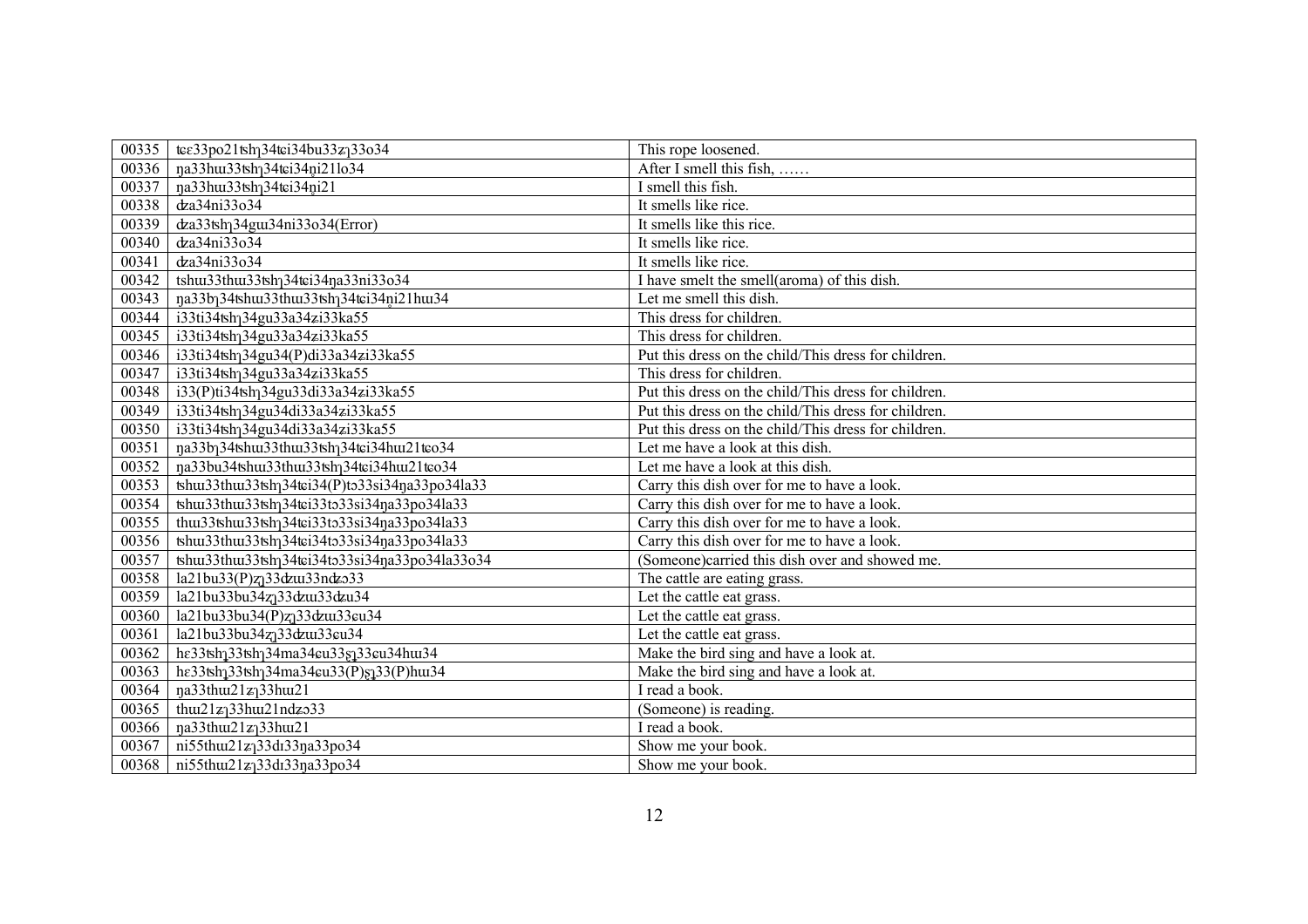| 00335 | tee33po21tsh <sub>1</sub> 34tei34bu33z <sub>1</sub> 33o34                   | This rope loosened.                                  |
|-------|-----------------------------------------------------------------------------|------------------------------------------------------|
| 00336 | na33hu33tshq34tei34ni21lo34                                                 | After I smell this fish,                             |
| 00337 | na33hu33tsh134tei34ni21                                                     | I smell this fish.                                   |
| 00338 | dza34ni33o34                                                                | It smells like rice.                                 |
| 00339 | dza33tsh <sub>1</sub> 34gu134ni33o34(Error)                                 | It smells like this rice.                            |
| 00340 | dza34ni33o34                                                                | It smells like rice.                                 |
| 00341 | dza34ni33o34                                                                | It smells like rice.                                 |
| 00342 | tshu33thu33tsh <sub>1</sub> 34tei34na33ni33o34                              | I have smelt the smell(aroma) of this dish.          |
| 00343 | na33b134tshu33thu33tsh134tei34ni21hu34                                      | Let me smell this dish.                              |
| 00344 | i33ti34tshq34gu33a34zi33ka55                                                | This dress for children.                             |
| 00345 | i33ti34tsh <sub>1</sub> 34gu33a34zi33ka55                                   | This dress for children.                             |
| 00346 | i33ti34tshq34gu34(P)di33a34zi33ka55                                         | Put this dress on the child/This dress for children. |
| 00347 | i33ti34tshq34gu33a34zi33ka55                                                | This dress for children.                             |
| 00348 | i33(P)ti34tsh <sub>1</sub> 34gu33di33a34zi33ka55                            | Put this dress on the child/This dress for children. |
| 00349 | i33ti34tsh <sub>1</sub> 34gu34di33a34zi33ka55                               | Put this dress on the child/This dress for children. |
| 00350 | i33ti34tshq34gu34di33a34zi33ka55                                            | Put this dress on the child/This dress for children. |
| 00351 | na33b134tshtu33thtu33tsh134tei34htu21teo34                                  | Let me have a look at this dish.                     |
| 00352 | na33bu34tshu33thu33tshq34tei34hu121teo34                                    | Let me have a look at this dish.                     |
| 00353 | tshu33thu33tshq34tei34(P)to33si34na33po34la33                               | Carry this dish over for me to have a look.          |
| 00354 | tshu33thu33tshq34tei33to33si34qa33po34la33                                  | Carry this dish over for me to have a look.          |
| 00355 | thu33tshu33tshq34tei33to33si34qa33po34la33                                  | Carry this dish over for me to have a look.          |
| 00356 | tshu33thu33tshq34tei34to33si34na33po34la33                                  | Carry this dish over for me to have a look.          |
| 00357 | tshu33thu33tsh <sub>1</sub> 34tei34to33si34na33po34la33o34                  | (Someone)carried this dish over and showed me.       |
| 00358 | $la21bu33(P)z_133dzu33ndz33$                                                | The cattle are eating grass.                         |
| 00359 | la21bu33bu34z <sub>1</sub> 33dzu33dzu34                                     | Let the cattle eat grass.                            |
| 00360 | la21bu33bu34(P)z <sub>1</sub> 33dzu33eu34                                   | Let the cattle eat grass.                            |
| 00361 | la21bu33bu34z <sub>1</sub> 33dzu33eu34                                      | Let the cattle eat grass.                            |
| 00362 | he33tsh <sub>1</sub> 33tsh <sub>1</sub> 34ma34eu33s <sub>1</sub> 33eu34hu34 | Make the bird sing and have a look at.               |
| 00363 | he33tsh <sub>1</sub> 33tsh <sub>1</sub> 34ma34eu33(P)§133(P)hu34            | Make the bird sing and have a look at.               |
| 00364 | ŋa33thw21z <sub>1</sub> 33hw21                                              | I read a book.                                       |
| 00365 | thu $21z$ <sup>33</sup> hu $21ndz$ <sup>33</sup>                            | (Someone) is reading.                                |
| 00366 | na33thu21z <sub>1</sub> 33hu21                                              | I read a book.                                       |
| 00367 | ni55thu21z <sub>1</sub> 33d133na33po34                                      | Show me your book.                                   |
| 00368 | ni55thui21z <sub>1</sub> 33di33na33po34                                     | Show me your book.                                   |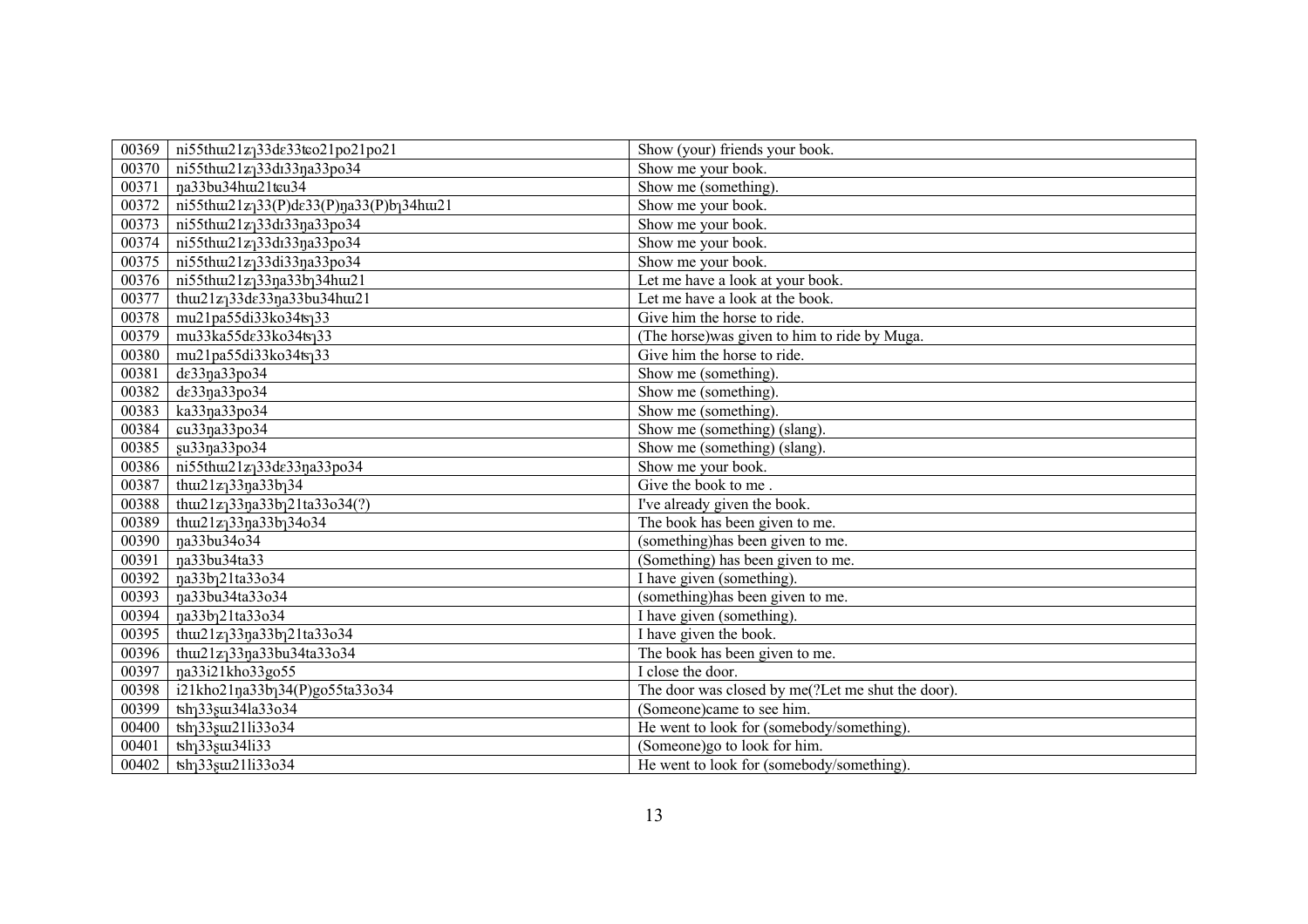| 00369 | ni55thu21z <sub>1</sub> 33de33teo21po21po21                                             | Show (your) friends your book.                    |
|-------|-----------------------------------------------------------------------------------------|---------------------------------------------------|
| 00370 | ni55thui21z <sub>1</sub> 33di33na33po34                                                 | Show me your book.                                |
| 00371 | na33bu34hu121tcu34                                                                      | Show me (something).                              |
| 00372 | $ni55thu21z_133(P)$ de33(P)na33(P)bq34hu21                                              | Show me your book.                                |
| 00373 | ni55thui21zj33di33na33po34                                                              | Show me your book.                                |
| 00374 | ni55thui21zj33di33na33po34                                                              | Show me your book.                                |
| 00375 | ni55thu121z <sub>1</sub> 33di33na33po34                                                 | Show me your book.                                |
| 00376 | $\overline{\text{ni55}}$ thus21z <sub>1</sub> 33 <sub>n</sub> a33b <sub>1</sub> 34hus21 | Let me have a look at your book.                  |
| 00377 | thu21z <sub>1</sub> 33de33na33bu34hu21                                                  | Let me have a look at the book.                   |
| 00378 | mu21pa55di33ko34ts <sub>1</sub> 33                                                      | Give him the horse to ride.                       |
| 00379 | mu33ka55de33ko34ts <sub>1</sub> 33                                                      | (The horse) was given to him to ride by Muga.     |
| 00380 | mu21pa55di33ko34ts <sub>1</sub> 33                                                      | Give him the horse to ride.                       |
| 00381 | de33na33po34                                                                            | Show me (something).                              |
| 00382 | de33ŋa33po34                                                                            | Show me (something).                              |
| 00383 | ka33na33po34                                                                            | Show me (something).                              |
| 00384 | cu33na33po34                                                                            | Show me (something) (slang).                      |
| 00385 | su33na33po34                                                                            | Show me (something) (slang).                      |
| 00386 | ni55thu21z <sub>1</sub> 33de33na33po34                                                  | Show me your book.                                |
| 00387 | thui21zj33na33bj34                                                                      | Give the book to me.                              |
| 00388 | thui21z <sub>1</sub> 33na33b <sub>1</sub> 21ta33o34(?)                                  | I've already given the book.                      |
| 00389 | thui21zj33na33bj34o34                                                                   | The book has been given to me.                    |
| 00390 | na33bu34o34                                                                             | (something) has been given to me.                 |
| 00391 | na33bu34ta33                                                                            | (Something) has been given to me.                 |
| 00392 | na33b121ta33o34                                                                         | I have given (something).                         |
| 00393 | na33bu34ta33o34                                                                         | (something) has been given to me.                 |
| 00394 | na33b121ta33o34                                                                         | I have given (something).                         |
| 00395 | thu21z <sub>1</sub> 33na33b <sub>1</sub> 21ta33o34                                      | I have given the book.                            |
| 00396 | thui21z <sub>1</sub> 33na33bu34ta33o34                                                  | The book has been given to me.                    |
| 00397 | na33i21kho33go55                                                                        | I close the door.                                 |
| 00398 | i21kho21na33b134(P)go55ta33o34                                                          | The door was closed by me(?Let me shut the door). |
| 00399 | tsh <sub>1</sub> 33 <sub>s</sub> u <sub>34la33o34</sub>                                 | (Someone)came to see him.                         |
| 00400 | tsh <sub>1</sub> 33 <sub>s</sub> u21li33o34                                             | He went to look for (somebody/something).         |
| 00401 | $tsh$ <sub>1</sub> 33 <sub>su34li33</sub>                                               | (Someone)go to look for him.                      |
| 00402 | tsh <sub>1</sub> 33 <sub>s</sub> u21li33o34                                             | He went to look for (somebody/something).         |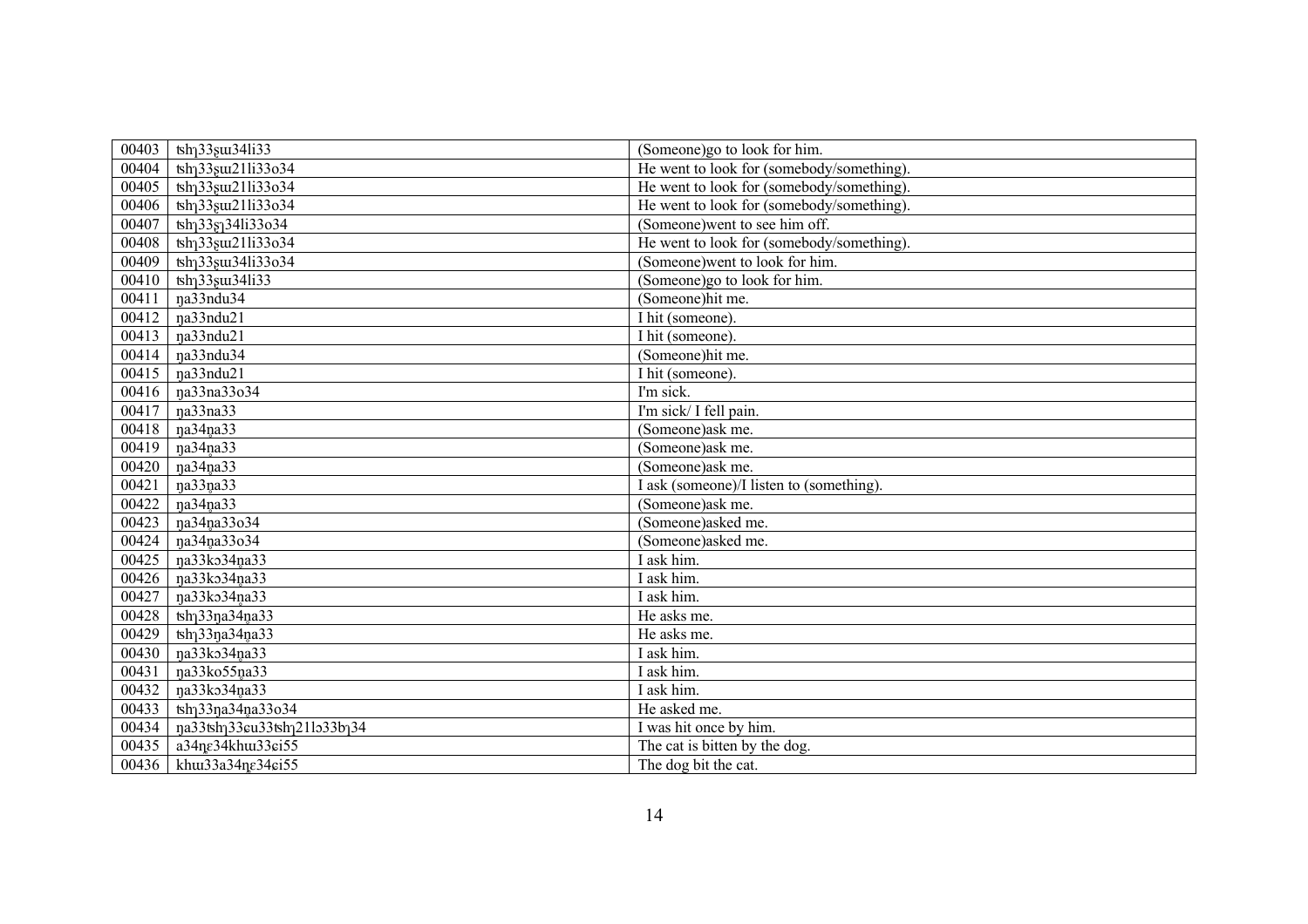| 00403 | $\text{tsh}_133\text{su}_341i33$                        | (Someone)go to look for him.              |
|-------|---------------------------------------------------------|-------------------------------------------|
| 00404 | tsh <sub>1</sub> 33 <sub>s</sub> u21li33o34             | He went to look for (somebody/something). |
| 00405 | tsh <sub>1</sub> 33 <sub>s</sub> u21li33o34             | He went to look for (somebody/something). |
| 00406 | tsh <sub>1</sub> 33 <sub>s</sub> u21li33o34             | He went to look for (somebody/something). |
| 00407 | tsh <sub>1</sub> 33g <sub>1</sub> 34li33o34             | (Someone) went to see him off.            |
| 00408 | tsh <sub>1</sub> 33 <sub>s</sub> u21li33o34             | He went to look for (somebody/something). |
| 00409 | tsh <sub>1</sub> 33 <sub>s</sub> u <sub>34li33o34</sub> | (Someone) went to look for him.           |
| 00410 | $\text{tsh}_133\text{su}_341\text{i}33$                 | (Someone)go to look for him.              |
| 00411 | na33ndu34                                               | (Someone)hit me.                          |
| 00412 | na33ndu21                                               | $\overline{I}$ hit (someone).             |
| 00413 | na33ndu21                                               | I hit (someone).                          |
| 00414 | na33ndu34                                               | (Someone)hit me.                          |
| 00415 | na33ndu21                                               | $\overline{I}$ hit (someone).             |
| 00416 | na33na33o34                                             | I'm sick.                                 |
| 00417 | na33na33                                                | I'm sick/ I fell pain.                    |
| 00418 | na34na33                                                | (Someone)ask me.                          |
| 00419 | na34na33                                                | (Someone)ask me.                          |
| 00420 | na34na33                                                | (Someone)ask me.                          |
| 00421 | na33na33                                                | I ask (someone)/I listen to (something).  |
| 00422 | na34na33                                                | (Someone)ask me.                          |
| 00423 | na34na33o34                                             | (Someone)asked me.                        |
| 00424 | na34na33o34                                             | (Someone)asked me.                        |
| 00425 | na33ko34na33                                            | I ask him.                                |
| 00426 | na33ko34na33                                            | I ask him.                                |
| 00427 | na33ko34na33                                            | I ask him.                                |
| 00428 | $tsh$ <sub>1</sub> 33 $n$ a34 $n$ a33                   | He asks me.                               |
| 00429 | $tsh133na34na33$                                        | He asks me.                               |
| 00430 | na33ko34na33                                            | I ask him.                                |
| 00431 | na33ko55na33                                            | I ask him.                                |
| 00432 | na33ko34na33                                            | I ask him.                                |
| 00433 | tsh <sub>1</sub> 33na34na33o34                          | He asked me.                              |
| 00434 | na33tshq33cu33tshq21lo33bq34                            | I was hit once by him.                    |
| 00435 | a34ne34khua33ei55                                       | The cat is bitten by the dog.             |
| 00436 | khu33a34ne34ei55                                        | The dog bit the cat.                      |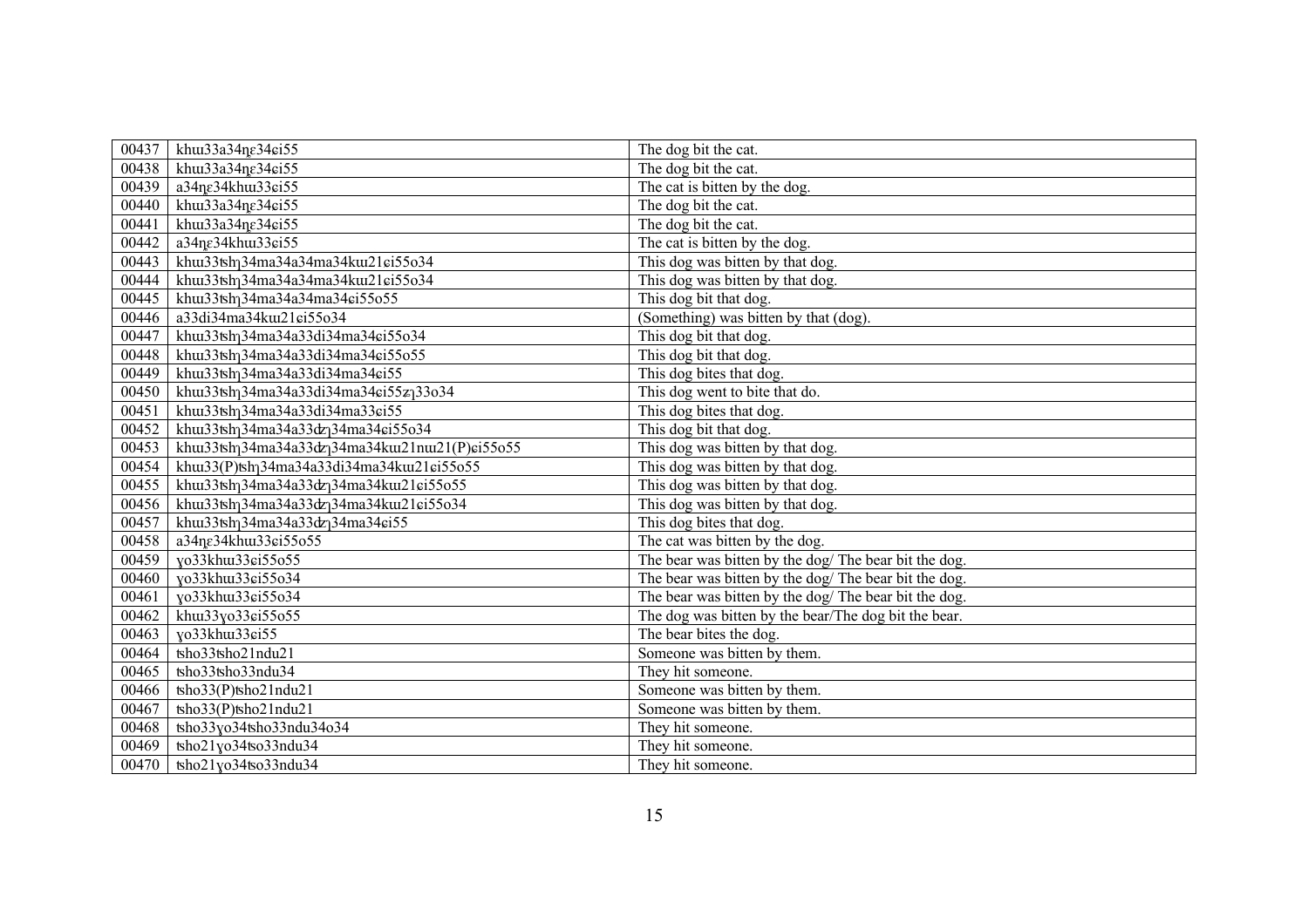| 00437 | khui33a34ne34ei55                                                | The dog bit the cat.                                  |
|-------|------------------------------------------------------------------|-------------------------------------------------------|
| 00438 | khu33a34ne34ei55                                                 | The dog bit the cat.                                  |
| 00439 | a34ne34khui33ei55                                                | The cat is bitten by the dog.                         |
| 00440 | khui33a34ne34ei55                                                | The dog bit the cat.                                  |
| 00441 | khu $33a34n\varepsilon34\sin 55$                                 | The dog bit the cat.                                  |
| 00442 | a34ne34khui33ei55                                                | The cat is bitten by the dog.                         |
| 00443 | khw33tshq34ma34a34ma34kw21ei55o34                                | This dog was bitten by that dog.                      |
| 00444 | khu33tshq34ma34a34ma34ku121ci55o34                               | This dog was bitten by that dog.                      |
| 00445 | khuu33tshq34ma34a34ma34ei55o55                                   | This dog bit that dog.                                |
| 00446 | a33di34ma34kuz1ci55o34                                           | (Something) was bitten by that (dog).                 |
| 00447 | khuu33tshq34ma34a33di34ma34ei55o34                               | This dog bit that dog.                                |
| 00448 | khuu33tshq34ma34a33di34ma34ei55o55                               | This dog bit that dog.                                |
| 00449 | khuu33tshq34ma34a33di34ma34ei55                                  | This dog bites that dog.                              |
| 00450 | khu33tsh <sub>1</sub> 34ma34a33di34ma34ei55z <sub>1</sub> 33o34  | This dog went to bite that do.                        |
| 00451 | khw33tsh <sub>1</sub> 34ma34a33di34ma33ei55                      | This dog bites that dog.                              |
| 00452 | khw33tshq34ma34a33dzq34ma34ei55o34                               | This dog bit that dog.                                |
| 00453 | khuu33tshq34ma34a33dzq34ma34kuu21nuu21(P)ei55o55                 | This dog was bitten by that dog.                      |
| 00454 | khu33(P)tsh <sub>1</sub> 34ma34a33di34ma34ku121ci55o55           | This dog was bitten by that dog.                      |
| 00455 | khw33tsh <sub>1</sub> 34ma34a33dz <sub>1</sub> 34ma34kw21ei55o55 | This dog was bitten by that dog.                      |
| 00456 | khu33tshq34ma34a33dzq34ma34ku121ci55o34                          | This dog was bitten by that dog.                      |
| 00457 | khu33tsh <sub>1</sub> 34ma34a33dz <sub>1</sub> 34ma34ei55        | This dog bites that dog.                              |
| 00458 | a34ne34khu133ei55o55                                             | The cat was bitten by the dog.                        |
| 00459 | yo33khu133ci55o55                                                | The bear was bitten by the dog/ The bear bit the dog. |
| 00460 | yo33khu33ci55o34                                                 | The bear was bitten by the dog/ The bear bit the dog. |
| 00461 | yo33khu33ci55o34                                                 | The bear was bitten by the dog/ The bear bit the dog. |
| 00462 | khu33yo33ci55o55                                                 | The dog was bitten by the bear/The dog bit the bear.  |
| 00463 | yo33khu33ci55                                                    | The bear bites the dog.                               |
| 00464 | tsho33tsho21ndu21                                                | Someone was bitten by them.                           |
| 00465 | tsho33tsho33ndu34                                                | They hit someone.                                     |
| 00466 | tsho33(P)tsho21ndu21                                             | Someone was bitten by them.                           |
| 00467 | tsho33(P)tsho21ndu21                                             | Someone was bitten by them.                           |
| 00468 | tsho33yo34tsho33ndu34o34                                         | They hit someone.                                     |
| 00469 | tsho21yo34tso33ndu34                                             | They hit someone.                                     |
| 00470 | tsho21yo34tso33ndu34                                             | They hit someone.                                     |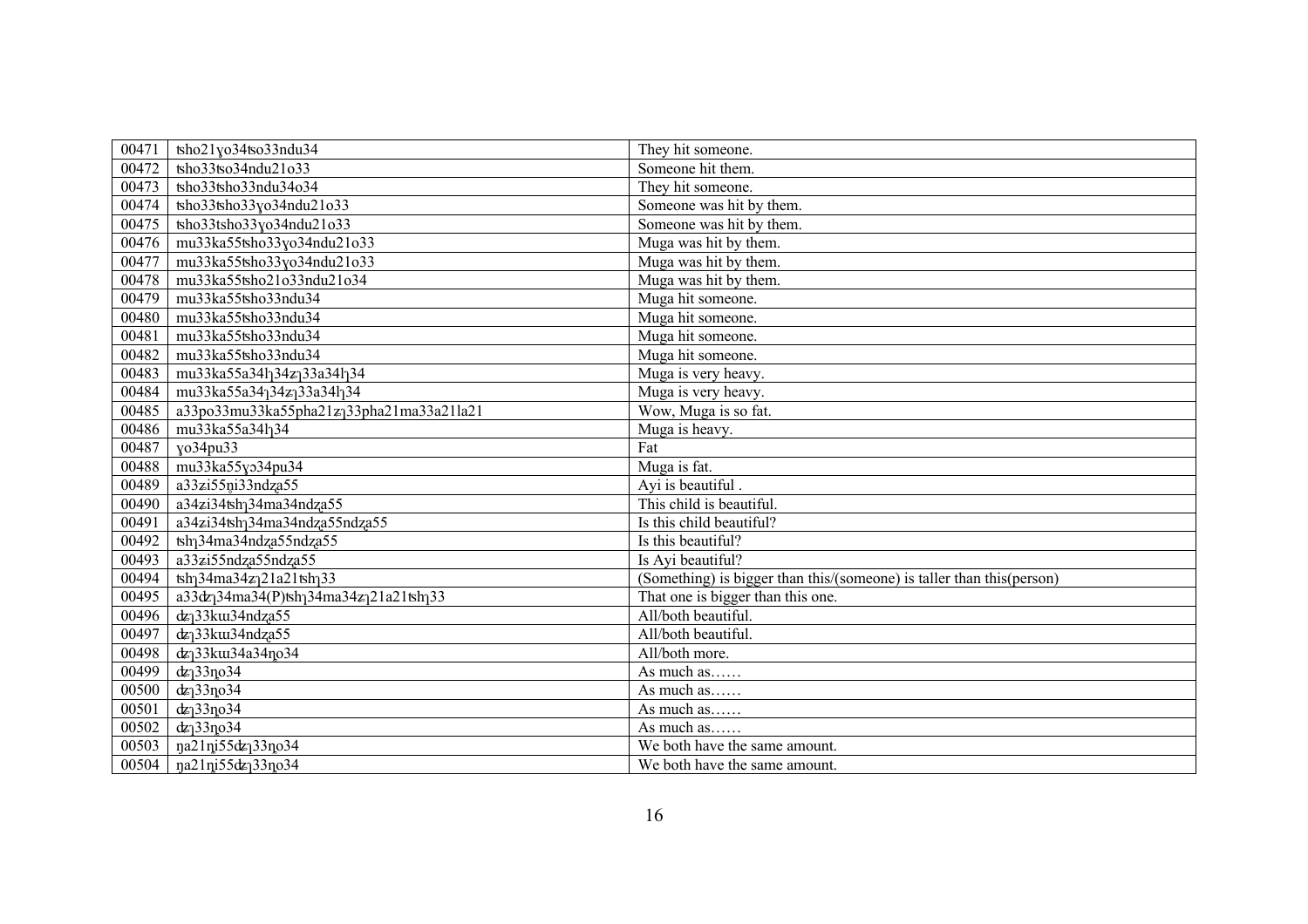| 00471 | tsho21yo34tso33ndu34                                                                       | They hit someone.                                                     |
|-------|--------------------------------------------------------------------------------------------|-----------------------------------------------------------------------|
| 00472 | tsho33tso34ndu21o33                                                                        | Someone hit them.                                                     |
| 00473 | tsho33tsho33ndu34o34                                                                       | They hit someone.                                                     |
| 00474 | tsho33tsho33yo34ndu21o33                                                                   | Someone was hit by them.                                              |
| 00475 | tsho33tsho33yo34ndu21o33                                                                   | Someone was hit by them.                                              |
| 00476 | mu33ka55tsho33yo34ndu21o33                                                                 | Muga was hit by them.                                                 |
| 00477 | mu33ka55tsho33yo34ndu21o33                                                                 | Muga was hit by them.                                                 |
| 00478 | mu33ka55tsho21o33ndu21o34                                                                  | Muga was hit by them.                                                 |
| 00479 | mu33ka55tsho33ndu34                                                                        | Muga hit someone.                                                     |
| 00480 | mu33ka55tsho33ndu34                                                                        | Muga hit someone.                                                     |
| 00481 | mu33ka55tsho33ndu34                                                                        | Muga hit someone.                                                     |
| 00482 | mu33ka55tsho33ndu34                                                                        | Muga hit someone.                                                     |
| 00483 | mu33ka55a34l <sub>1</sub> 34z <sub>1</sub> 33a34l <sub>1</sub> 34                          | Muga is very heavy.                                                   |
| 00484 | mu33ka55a34 <sub>1</sub> 34z <sub>1</sub> 33a341 <sub>1</sub> 34                           | Muga is very heavy.                                                   |
| 00485 | a33po33mu33ka55pha21z <sub>1</sub> 33pha21ma33a21la21                                      | Wow, Muga is so fat.                                                  |
| 00486 | mu33ka55a34l <sub>1</sub> 34                                                               | Muga is heavy.                                                        |
| 00487 | yo34pu33                                                                                   | Fat                                                                   |
| 00488 | mu33ka55yo34pu34                                                                           | Muga is fat.                                                          |
| 00489 | a33zi55ni33ndza55                                                                          | Ayi is beautiful.                                                     |
| 00490 | $a34z$ i34tsh <sub>1</sub> 34ma34ndza55                                                    | This child is beautiful.                                              |
| 00491 | a34zi34tsh <sub>1</sub> 34ma34ndza55ndza55                                                 | Is this child beautiful?                                              |
| 00492 | tsh <sub>1</sub> 34ma34ndza55ndza55                                                        | Is this beautiful?                                                    |
| 00493 | a33zi55ndza55ndza55                                                                        | Is Ayi beautiful?                                                     |
| 00494 | $\frac{1}{2}$ h 34ma 34z 21a 21tsh 33                                                      | (Something) is bigger than this/(someone) is taller than this(person) |
| 00495 | a33dz <sub>1</sub> 34ma34(P)tsh <sub>1</sub> 34ma34z <sub>1</sub> 21a21tsh <sub>1</sub> 33 | That one is bigger than this one.                                     |
| 00496 | dz <sub>1</sub> 33ku34ndza55                                                               | All/both beautiful.                                                   |
| 00497 | $dz$ <sup>33</sup> ku34ndza55                                                              | All/both beautiful.                                                   |
| 00498 | dz <sub>1</sub> 33ku34a34no34                                                              | All/both more.                                                        |
| 00499 | $dz$ <sup>33<math>\log</math>34</sup>                                                      | As much as                                                            |
| 00500 | $dz$ <sup>33</sup> no <sup>34</sup>                                                        | As much as                                                            |
| 00501 | $d\mathbf{z}$ ] 33 $\mathbf{p}$ 034                                                        | As much as                                                            |
| 00502 | $dz_1$ 33no 34                                                                             | As much as                                                            |
| 00503 | na21ni55dz <sub>1</sub> 33no34                                                             | We both have the same amount.                                         |
| 00504 | na21ni55dz <sub>1</sub> 33no34                                                             | We both have the same amount.                                         |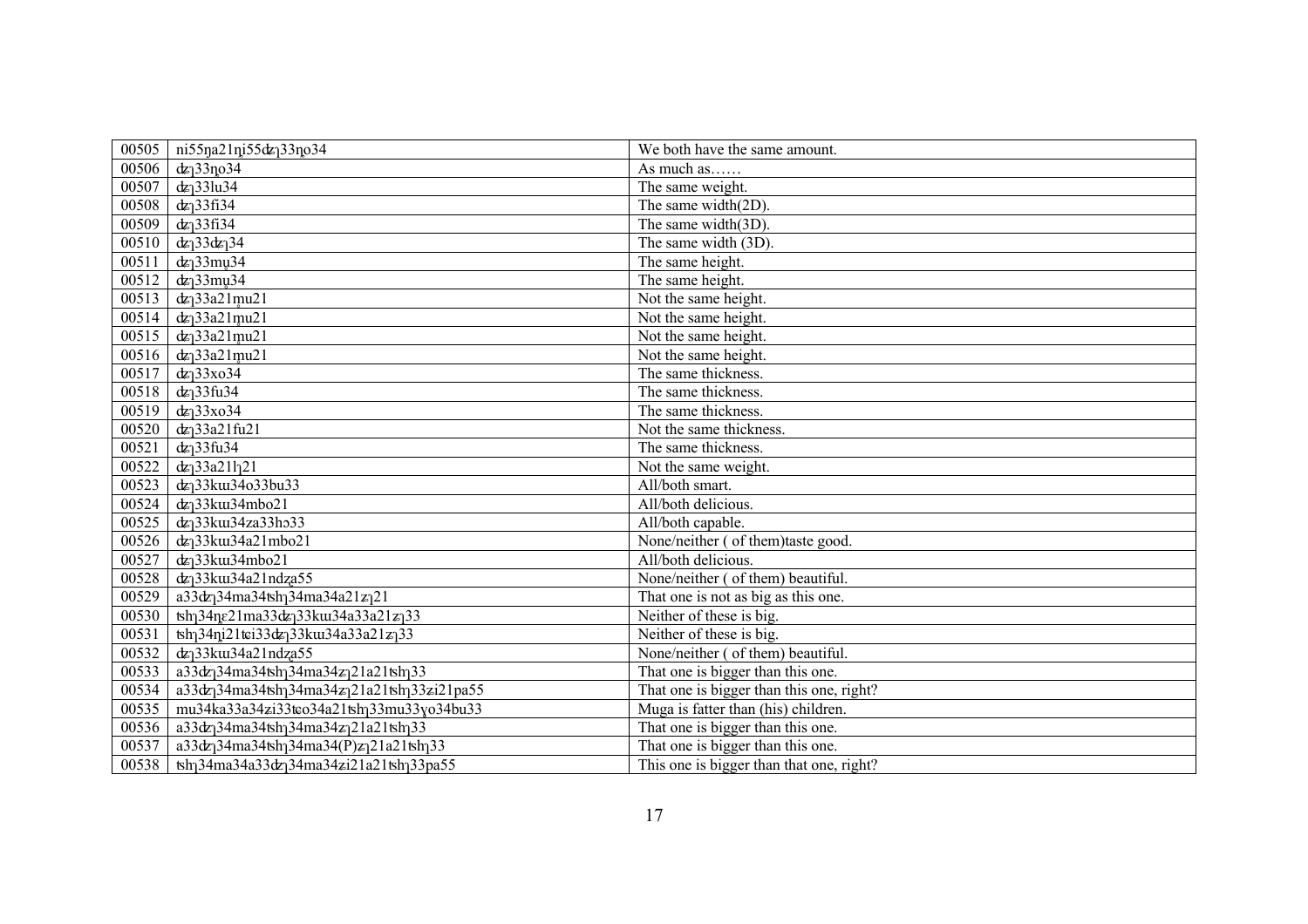| 00505 | ni55na21ni55dz <sub>1</sub> 33no34                                                              | We both have the same amount.            |
|-------|-------------------------------------------------------------------------------------------------|------------------------------------------|
| 00506 | $dz$ <sup>33<math>\log</math>34</sup>                                                           | As much as                               |
| 00507 | $dz$ <sup>33</sup> lu34                                                                         | The same weight.                         |
| 00508 | $dz$ <sup>33fi34</sup>                                                                          | The same width(2D).                      |
| 00509 | $dz$ <sup>33fi34</sup>                                                                          | The same width(3D).                      |
| 00510 | $dz_1$ 33 $dz_1$ 34                                                                             | The same width (3D).                     |
| 00511 | $dz_1$ 33 $mu34$                                                                                | The same height.                         |
| 00512 | $dz_1$ 33 $mu34$                                                                                | The same height.                         |
| 00513 | $dz_1$ 33a21mu21                                                                                | Not the same height.                     |
| 00514 | $dz$ <sup>33a21mu21</sup>                                                                       | Not the same height.                     |
| 00515 | $dz_1$ 33a21mu21                                                                                | Not the same height.                     |
| 00516 | $dz_1$ 33a21mu21                                                                                | Not the same height.                     |
| 00517 | $dz$ <sup>33xo34</sup>                                                                          | The same thickness.                      |
| 00518 | $dz$ <sup>33fu34</sup>                                                                          | The same thickness.                      |
| 00519 | $dz$ <sup>33xo34</sup>                                                                          | The same thickness.                      |
| 00520 | $dz$ <sup>33a21fu21</sup>                                                                       | Not the same thickness.                  |
| 00521 | $dz_1$ 33fu34                                                                                   | The same thickness.                      |
| 00522 | $dz_133a21l_121$                                                                                | Not the same weight.                     |
| 00523 | dz <sub>1</sub> 33ku34o33bu33                                                                   | All/both smart.                          |
| 00524 | dz <sub>1</sub> 33ku34mbo21                                                                     | All/both delicious.                      |
| 00525 | dz <sub>1</sub> 33ku34za33ho33                                                                  | All/both capable.                        |
| 00526 | dz <sub>1</sub> 33ku34a21mbo21                                                                  | None/neither ( of them)taste good.       |
| 00527 | dz <sub>1</sub> 33ku34mbo21                                                                     | All/both delicious.                      |
| 00528 | dz <sub>1</sub> 33ku34a21ndza55                                                                 | None/neither (of them) beautiful.        |
| 00529 | a33dz <sub>1</sub> 34ma34tsh <sub>1</sub> 34ma34a21z <sub>1</sub> 21                            | That one is not as big as this one.      |
| 00530 | tsh <sub>1</sub> 34ne21ma33dz <sub>1</sub> 33ku34a33a21z <sub>1</sub> 33                        | Neither of these is big.                 |
| 00531 | $\frac{1}{2}$ 11 ti33 dz 33 kw34 a 33 a 21 z 33                                                 | Neither of these is big.                 |
| 00532 | $dz$ <sup>33</sup> ku34a21ndza55                                                                | None/neither (of them) beautiful.        |
| 00533 | a33dz <sub>1</sub> 34ma34tsh <sub>1</sub> 34ma34z <sub>1</sub> 21a21tsh <sub>1</sub> 33         | That one is bigger than this one.        |
| 00534 | a33dz <sub>1</sub> 34ma34tsh <sub>1</sub> 34ma34z <sub>1</sub> 21a21tsh <sub>1</sub> 33zi21pa55 | That one is bigger than this one, right? |
| 00535 | mu34ka33a34zi33tco34a21tshq33mu33yo34bu33                                                       | Muga is fatter than (his) children.      |
| 00536 | a33dz <sub>1</sub> 34ma34tsh <sub>1</sub> 34ma34z <sub>1</sub> 21a21tsh <sub>1</sub> 33         | That one is bigger than this one.        |
| 00537 | a33dz <sub>1</sub> 34ma34tsh <sub>1</sub> 34ma34(P)z <sub>1</sub> 21a21tsh <sub>1</sub> 33      | That one is bigger than this one.        |
| 00538 | tsh <sub>1</sub> 34ma34a33dz <sub>1</sub> 34ma34zi21a21tsh <sub>1</sub> 33pa55                  | This one is bigger than that one, right? |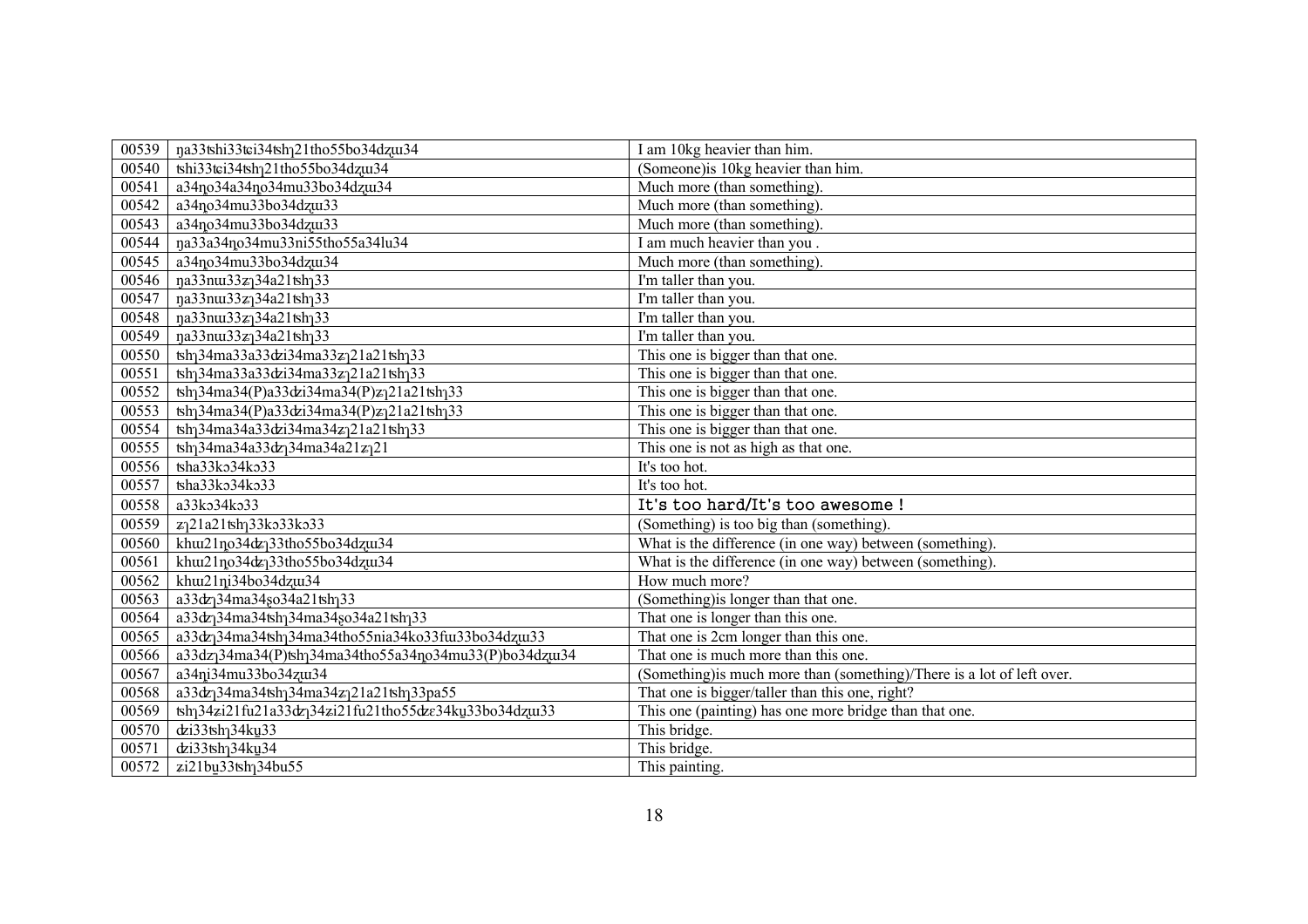| 00539          | na33tshi33tci34tsh <sub>1</sub> 21tho55bo34dzw34                                            | I am 10kg heavier than him.                                            |
|----------------|---------------------------------------------------------------------------------------------|------------------------------------------------------------------------|
| 00540          | tshi33tei34tsh <sub>1</sub> 21tho55bo34dzui34                                               | (Someone) is 10kg heavier than him.                                    |
| 00541          | a34no34a34no34mu33bo34dzux34                                                                | Much more (than something).                                            |
| 00542          | a34no34mu33bo34dzu33                                                                        | Much more (than something).                                            |
| 00543          | a34no34mu33bo34dzu33                                                                        | Much more (than something).                                            |
| 00544          | na33a34no34mu33ni55tho55a34lu34                                                             | I am much heavier than you.                                            |
| 00545          | $\sqrt{a^34}$ no34mu33bo34dzu34                                                             | Much more (than something).                                            |
| 00546          | na33nu33z134a21tsh133                                                                       | I'm taller than you.                                                   |
| 00547          | na33nu33z134a21tsh133                                                                       | I'm taller than you.                                                   |
| 00548          | na33nu33z134a21tsh133                                                                       | I'm taller than you.                                                   |
| 00549          | na33nu33z134a21tsh133                                                                       | I'm taller than you.                                                   |
| 00550          | tsh <sub>1</sub> 34ma33a33dzi34ma33z <sub>1</sub> 21a21tsh <sub>1</sub> 33                  | This one is bigger than that one.                                      |
| 00551          | tsh <sub>1</sub> 34ma33a33dzi34ma33z <sub>1</sub> 21a21tsh <sub>1</sub> 33                  | This one is bigger than that one.                                      |
| 00552          | $\frac{\tanh{34ma^{34}(P)a^{33}dzi^{34ma^{34}(P)z}}{21a^{21}\tanh{33}}$                     | This one is bigger than that one.                                      |
| 00553          | $\frac{\tanh{34ma^{34}(P)a^{33}dzi^{34ma^{34}(P)z}}{21a^{21}\tanh{33}}$                     | This one is bigger than that one.                                      |
| 00554          | tsh <sub>1</sub> 34ma34a33dzi34ma34z <sub>1</sub> 21a21tsh <sub>1</sub> 33                  | This one is bigger than that one.                                      |
| 00555          | $\frac{\tanh{34ma34a33d}}{24ma34a21z}$ 21                                                   | This one is not as high as that one.                                   |
|                |                                                                                             |                                                                        |
| 00556          | tsha33ko34ko33                                                                              | It's too hot.                                                          |
| 00557          | tsha33ko34ko33                                                                              | It's too hot.                                                          |
| 00558          | a33ko34ko33                                                                                 | It's too hard/It's too awesome !                                       |
| 00559          | z <sub>1</sub> 21a21tsh <sub>1</sub> 33ko33ko33                                             | (Something) is too big than (something).                               |
| 00560          | khw21no34dz <sub>1</sub> 33tho55bo34dzw34                                                   | What is the difference (in one way) between (something).               |
| 00561          | khw21no34dz <sub>1</sub> 33tho55bo34dzw34                                                   | What is the difference (in one way) between (something).               |
| 00562          | khw21ni34bo34dzw34                                                                          | How much more?                                                         |
| 00563          | a33dz <sub>1</sub> 34ma34so34a21tsh <sub>1</sub> 33                                         | (Something) is longer than that one.                                   |
| 00564          | a33dz <sub>1</sub> 34ma34tsh <sub>1</sub> 34ma34so34a21tsh <sub>1</sub> 33                  | That one is longer than this one.                                      |
| 00565          | a33dz <sub>1</sub> 34ma34tsh <sub>1</sub> 34ma34tho55nia34ko33fur33bo34dzur33               | That one is 2cm longer than this one.                                  |
| 00566          | a33dz <sub>1</sub> 34ma34(P)tsh <sub>1</sub> 34ma34tho55a34no34mu33(P)bo34dzu34             | That one is much more than this one.                                   |
| 00567          | a34ni34mu33bo34zu34                                                                         | (Something) is much more than (something)/There is a lot of left over. |
| 00568          | a33dz <sub>1</sub> 34ma34tsh <sub>1</sub> 34ma34z <sub>1</sub> 21a21tsh <sub>1</sub> 33pa55 | That one is bigger/taller than this one, right?                        |
| 00569          | tsh <sub>1</sub> 34zi21fu21a33dz <sub>1</sub> 34zi21fu21tho55dze34ku33bo34dzu33             | This one (painting) has one more bridge than that one.                 |
| 00570          | dzi33tsh <sub>1</sub> 34ku <sub>33</sub>                                                    | This bridge.                                                           |
| 00571<br>00572 | dzi33tsh <sub>1</sub> 34ku <sub>34</sub>                                                    | This bridge.<br>This painting.                                         |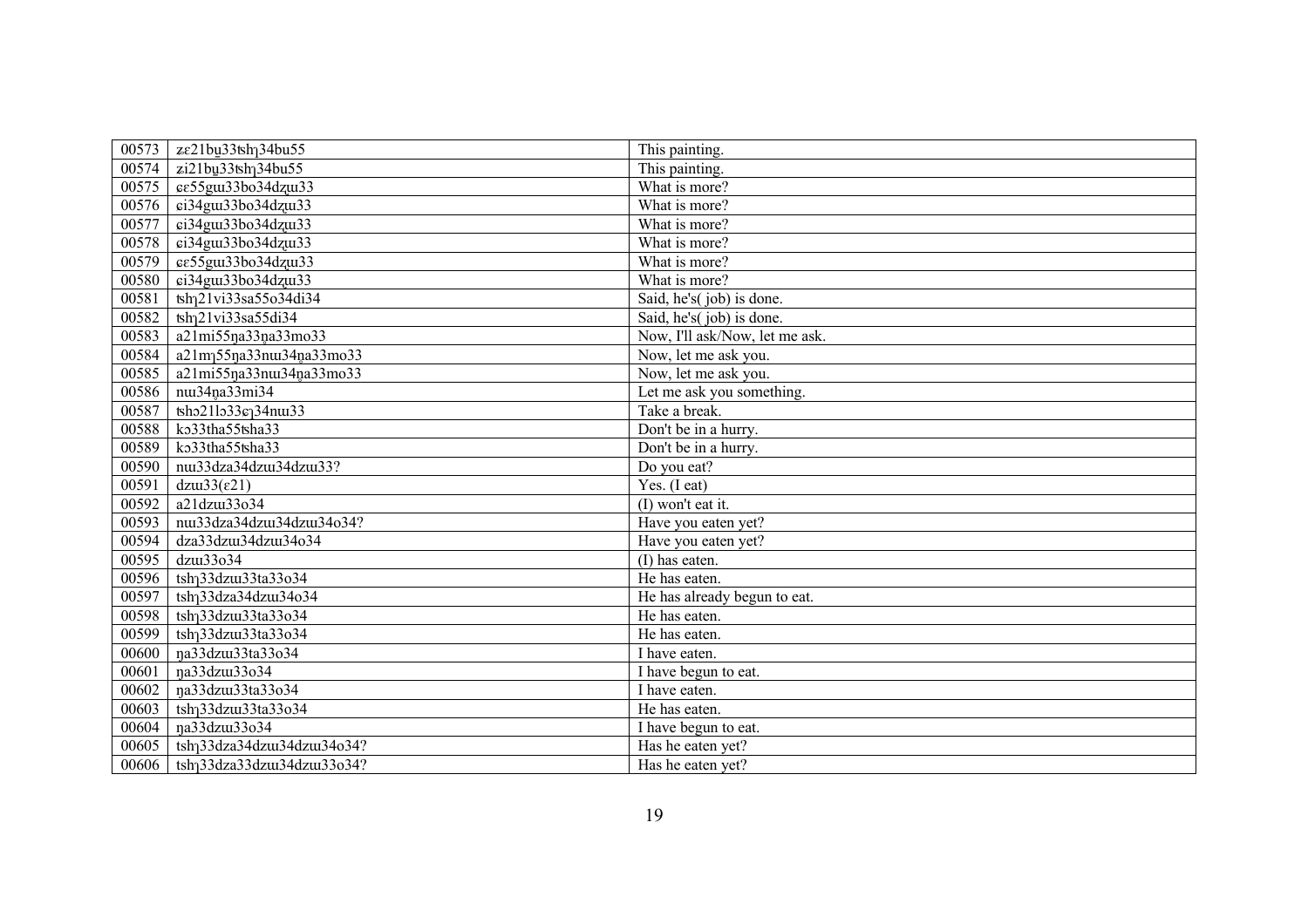| 00573 | ze21bu33tsh <sub>1</sub> 34bu55                                      | This painting.                 |
|-------|----------------------------------------------------------------------|--------------------------------|
| 00574 | zi21bu33tsh <sub>1</sub> 34bu55                                      | This painting.                 |
| 00575 | εε55gm33bo34dzm33                                                    | What is more?                  |
| 00576 | ci34gut33bo34dzut33                                                  | What is more?                  |
| 00577 | ci34gui33bo34dzui33                                                  | What is more?                  |
| 00578 | ci34gui33bo34dzui33                                                  | What is more?                  |
| 00579 | εε55gm33bo34dzm33                                                    | What is more?                  |
| 00580 | ci34gut33bo34dzut33                                                  | What is more?                  |
| 00581 | tsh <sub>1</sub> 21vi33sa55o34di34                                   | Said, he's(job) is done.       |
| 00582 | tsh <sub>1</sub> 21vi33sa55di34                                      | Said, he's(job) is done.       |
| 00583 | a21mi55na33na33mo33                                                  | Now, I'll ask/Now, let me ask. |
| 00584 | a21m <sub>1</sub> 55na33nu34na33mo33                                 | Now, let me ask you.           |
| 00585 | a21mi55ŋa33nu34na33mo33                                              | Now, let me ask you.           |
| 00586 | nui34na33mi34                                                        | Let me ask you something.      |
| 00587 | $\text{tho21}$ l $\text{o33}$ $\text{c}$ $\text{o34}$ n $\text{u33}$ | Take a break.                  |
| 00588 | ko33tha55tsha33                                                      | Don't be in a hurry.           |
| 00589 | ko33tha55tsha33                                                      | Don't be in a hurry.           |
| 00590 | nu33dza34dzu34dzu33?                                                 | Do you eat?                    |
| 00591 | $dzu33(\epsilon21)$                                                  | Yes. $(I eat)$                 |
| 00592 | a21dzu33o34                                                          | (I) won't eat it.              |
| 00593 | nu33dza34dzu34dzu34o34?                                              | Have you eaten yet?            |
| 00594 | dza33dzw34dzw34o34                                                   | Have you eaten yet?            |
| 00595 | dzw33o34                                                             | (I) has eaten.                 |
| 00596 | tsh <sub>1</sub> 33dzu33ta33o34                                      | He has eaten.                  |
| 00597 | tsh <sub>1</sub> 33dza34dzu34o34                                     | He has already begun to eat.   |
| 00598 | tsh <sub>1</sub> 33dzu33ta33o34                                      | He has eaten.                  |
| 00599 | tsh <sub>1</sub> 33dzu33ta33o34                                      | He has eaten.                  |
| 00600 | na33dzux33ta33o34                                                    | I have eaten.                  |
| 00601 | na33dzu33o34                                                         | I have begun to eat.           |
| 00602 | na33dzux33ta33o34                                                    | I have eaten.                  |
| 00603 | tsh <sub>1</sub> 33dzu33ta33o34                                      | He has eaten.                  |
| 00604 | na33dzu33o34                                                         | I have begun to eat.           |
| 00605 | tsh <sub>1</sub> 33dza34dzu34dzu34o34?                               | Has he eaten yet?              |
| 00606 | tsh <sub>1</sub> 33dza33dzu134dzu133o34?                             | Has he eaten yet?              |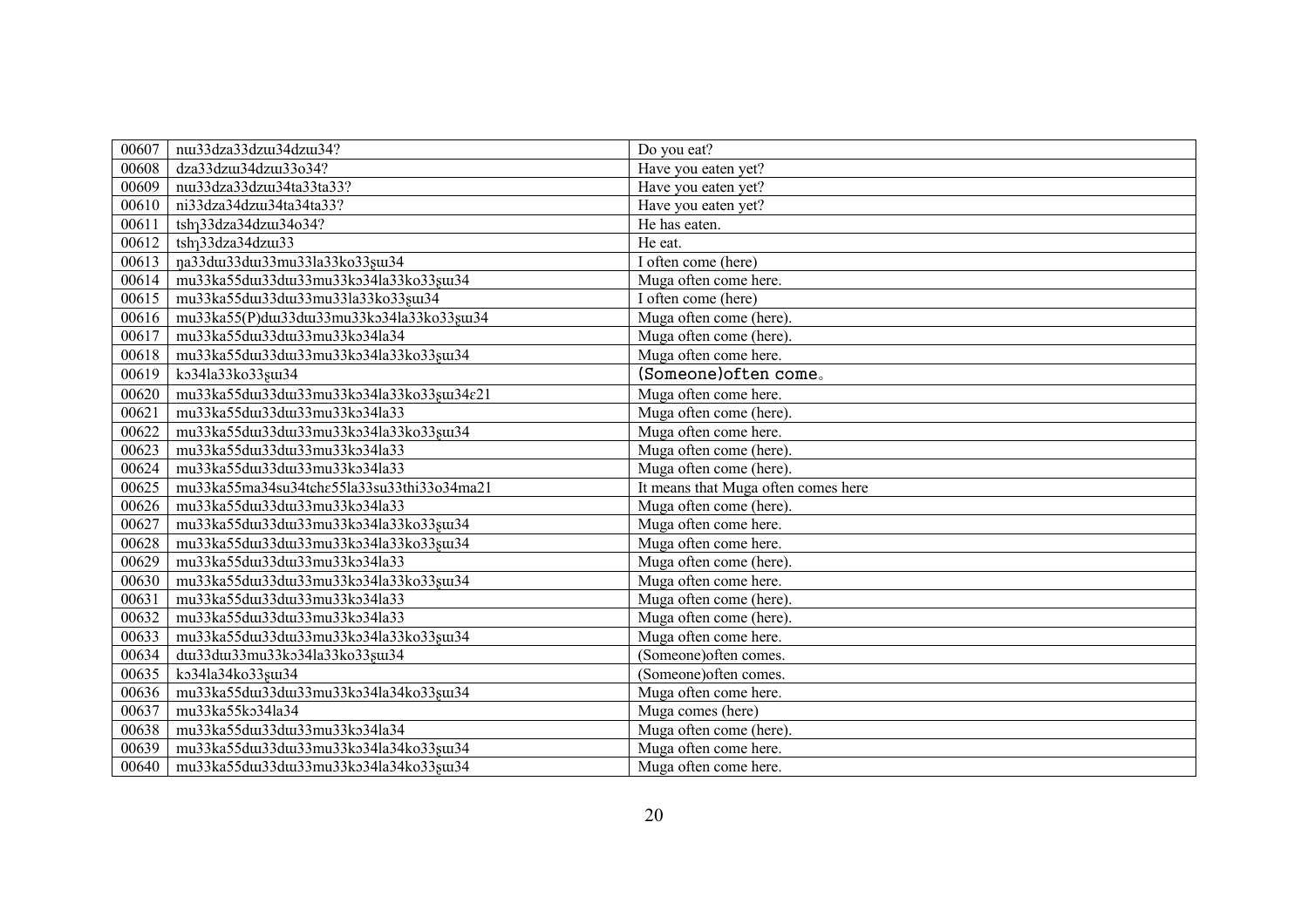| 00607 | nus3dza33dzus34dzus34?                     | Do you eat?                                 |
|-------|--------------------------------------------|---------------------------------------------|
| 00608 | dza33dzw34dzw33o34?                        | Have you eaten yet?                         |
| 00609 | nui33dza33dzui34ta33ta33?                  | Have you eaten yet?                         |
| 00610 | ni33dza34dzui34ta34ta33?                   | Have you eaten yet?                         |
| 00611 | tsh <sub>1</sub> 33dza34dzu34o34?          | He has eaten.                               |
| 00612 | tsh <sub>1</sub> 33dza34dzu33              | He eat.                                     |
| 00613 | na33dui33dui33mu33la33ko33gui34            | I often come (here)                         |
| 00614 | mu33ka55du133du133mu33ko34la33ko33su134    | Muga often come here.                       |
| 00615 | mu33ka55du133du133mu33la33ko33su134        | $\overline{I}$ often come (here)            |
| 00616 | mu33ka55(P)du133du133mu33ko34la33ko33su134 | Muga often come (here).                     |
| 00617 | mu33ka55du133du133mu33ko34la34             | Muga often come (here).                     |
| 00618 | mu33ka55du133du133mu33ko34la33ko33gu134    | Muga often come here.                       |
| 00619 | ko34la33ko33gu134                          | (Someone) often come.                       |
| 00620 | mu33ka55du133du133mu33ko34la33ko33su134e21 | Muga often come here.                       |
| 00621 | mu33ka55du133du133mu33ko34la33             | Muga often come (here).                     |
| 00622 | mu33ka55du133du133mu33ko34la33ko33su134    | Muga often come here.                       |
| 00623 | mu33ka55du133du133mu33ko34la33             | $\overline{\text{Muga}}$ often come (here). |
| 00624 | mu33ka55du133du133mu33ko34la33             | Muga often come (here).                     |
| 00625 | mu33ka55ma34su34tche55la33su33thi33o34ma21 | It means that Muga often comes here         |
| 00626 | mu33ka55du133du133mu33ko34la33             | $\overline{\text{Muga}}$ often come (here). |
| 00627 | mu33ka55du133du133mu33ko34la33ko33su134    | Muga often come here.                       |
| 00628 | mu33ka55du133du133mu33ko34la33ko33su134    | Muga often come here.                       |
| 00629 | mu33ka55du133du133mu33ko34la33             | Muga often come (here).                     |
| 00630 | mu33ka55du133du133mu33ko34la33ko33su134    | Muga often come here.                       |
| 00631 | mu33ka55du133du133mu33ko34la33             | Muga often come (here).                     |
| 00632 | mu33ka55du133du133mu33ko34la33             | Muga often come (here).                     |
| 00633 | mu33ka55du133du133mu33ko34la33ko33su134    | Muga often come here.                       |
| 00634 | dw33dw33mu33ko34la33ko33sw34               | (Someone) often comes.                      |
| 00635 | ko34la34ko33su134                          | (Someone) often comes.                      |
| 00636 | mu33ka55du133du133mu33ko34la34ko33su134    | Muga often come here.                       |
| 00637 | mu33ka55ko34la34                           | Muga comes (here)                           |
| 00638 | mu33ka55du133du133mu33ko34la34             | Muga often come (here).                     |
| 00639 | mu33ka55du133du133mu33ko34la34ko33su134    | Muga often come here.                       |
| 00640 | mu33ka55du133du133mu33ko34la34ko33su134    | Muga often come here.                       |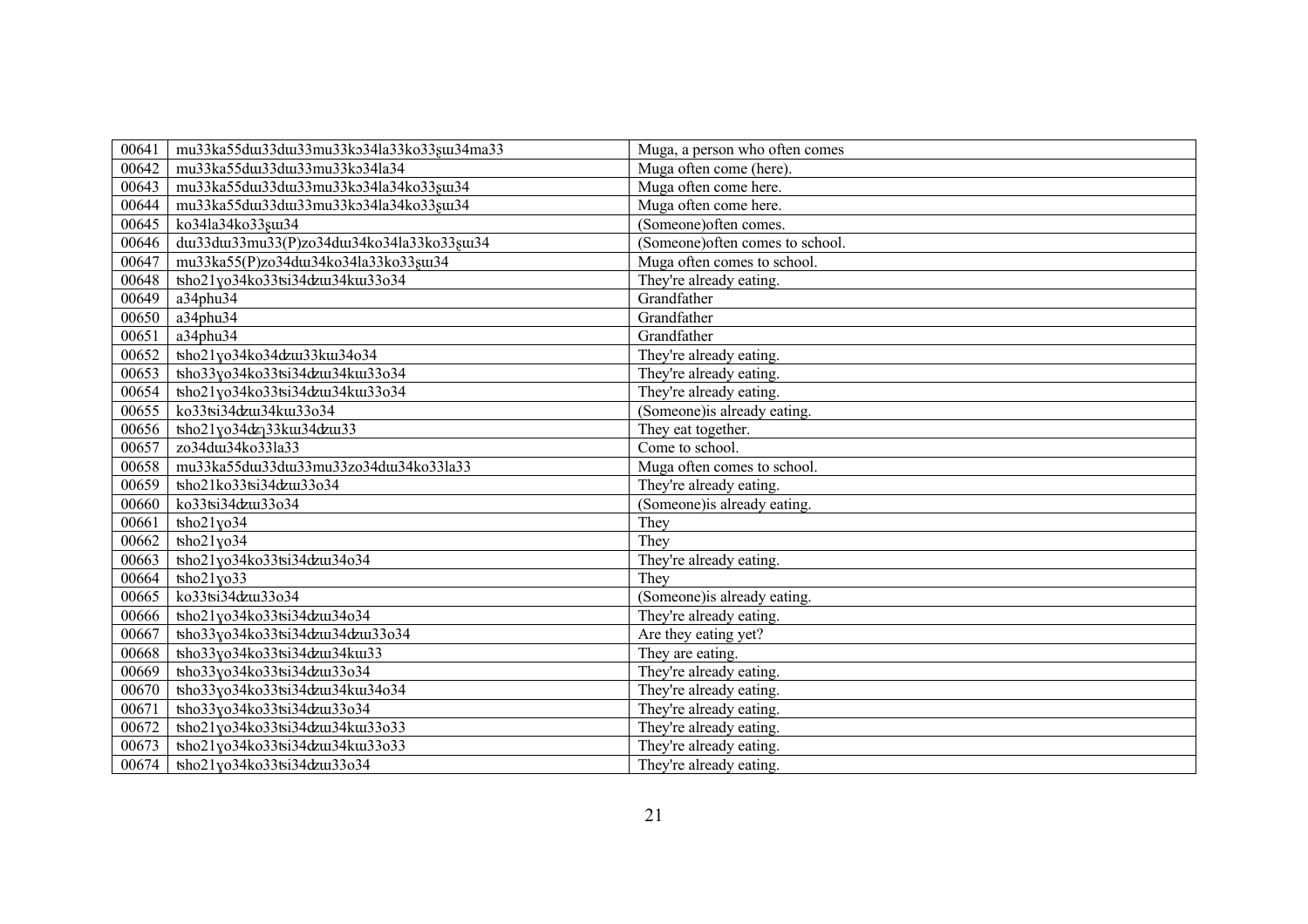| 00641 | mu33ka55du133du133mu33ko34la33ko33su134ma33 | Muga, a person who often comes   |
|-------|---------------------------------------------|----------------------------------|
| 00642 | mu33ka55du133du133mu33ko34la34              | Muga often come (here).          |
| 00643 | mu33ka55du133du133mu33ko34la34ko33su134     | Muga often come here.            |
| 00644 | mu33ka55du133du133mu33ko34la34ko33su134     | Muga often come here.            |
| 00645 | ko34la34ko33su134                           | (Someone) often comes.           |
| 00646 | dw33dw33mu33(P)zo34dw34ko34la33ko33sw34     | (Someone) often comes to school. |
| 00647 | mu33ka55(P)zo34du134ko34la33ko33su134       | Muga often comes to school.      |
| 00648 | tsho21yo34ko33tsi34dzui34kui33o34           | They're already eating.          |
| 00649 | a34phu34                                    | Grandfather                      |
| 00650 | a34phu34                                    | Grandfather                      |
| 00651 | a34phu34                                    | Grandfather                      |
| 00652 | tsho21yo34ko34dzux33kux34o34                | They're already eating.          |
| 00653 | tsho33yo34ko33tsi34dzux34kux33o34           | They're already eating.          |
| 00654 | tsho21yo34ko33tsi34dzui34kui33o34           | They're already eating.          |
| 00655 | ko33tsi34dzui34kui33o34                     | (Someone) is already eating.     |
| 00656 | tsho21yo34dz <sub>1</sub> 33ku34dzu33       | They eat together.               |
| 00657 | zo34du134ko33la33                           | Come to school.                  |
| 00658 | mu33ka55du133du133mu33zo34du134ko33la33     | Muga often comes to school.      |
| 00659 | tsho21ko33tsi34dzui33o34                    | They're already eating.          |
| 00660 | ko33tsi34dzu133o34                          | (Someone) is already eating.     |
| 00661 | $\frac{1}{2}$                               | They                             |
| 00662 | $\frac{1}{2}$ kho $\frac{21}{10}$ 34        | They                             |
| 00663 | tsho21yo34ko33tsi34dzux34o34                | They're already eating.          |
| 00664 | tsho21yo33                                  | They                             |
| 00665 | ko33tsi34dzui33o34                          | (Someone) is already eating.     |
| 00666 | tsho21yo34ko33tsi34dzux34o34                | They're already eating.          |
| 00667 | tsho33yo34ko33tsi34dzux34dzux33o34          | Are they eating yet?             |
| 00668 | tsho33yo34ko33tsi34dzux34kux33              | They are eating.                 |
| 00669 | tsho33yo34ko33tsi34dzui33o34                | They're already eating.          |
| 00670 | tsho33yo34ko33tsi34dzux34kux34o34           | They're already eating.          |
| 00671 | tsho33yo34ko33tsi34dzui33o34                | They're already eating.          |
| 00672 | tsho21yo34ko33tsi34dzux34kux33o33           | They're already eating.          |
| 00673 | tsho21yo34ko33tsi34dzux34kux33o33           | They're already eating.          |
| 00674 | tsho21yo34ko33tsi34dzui33o34                | They're already eating.          |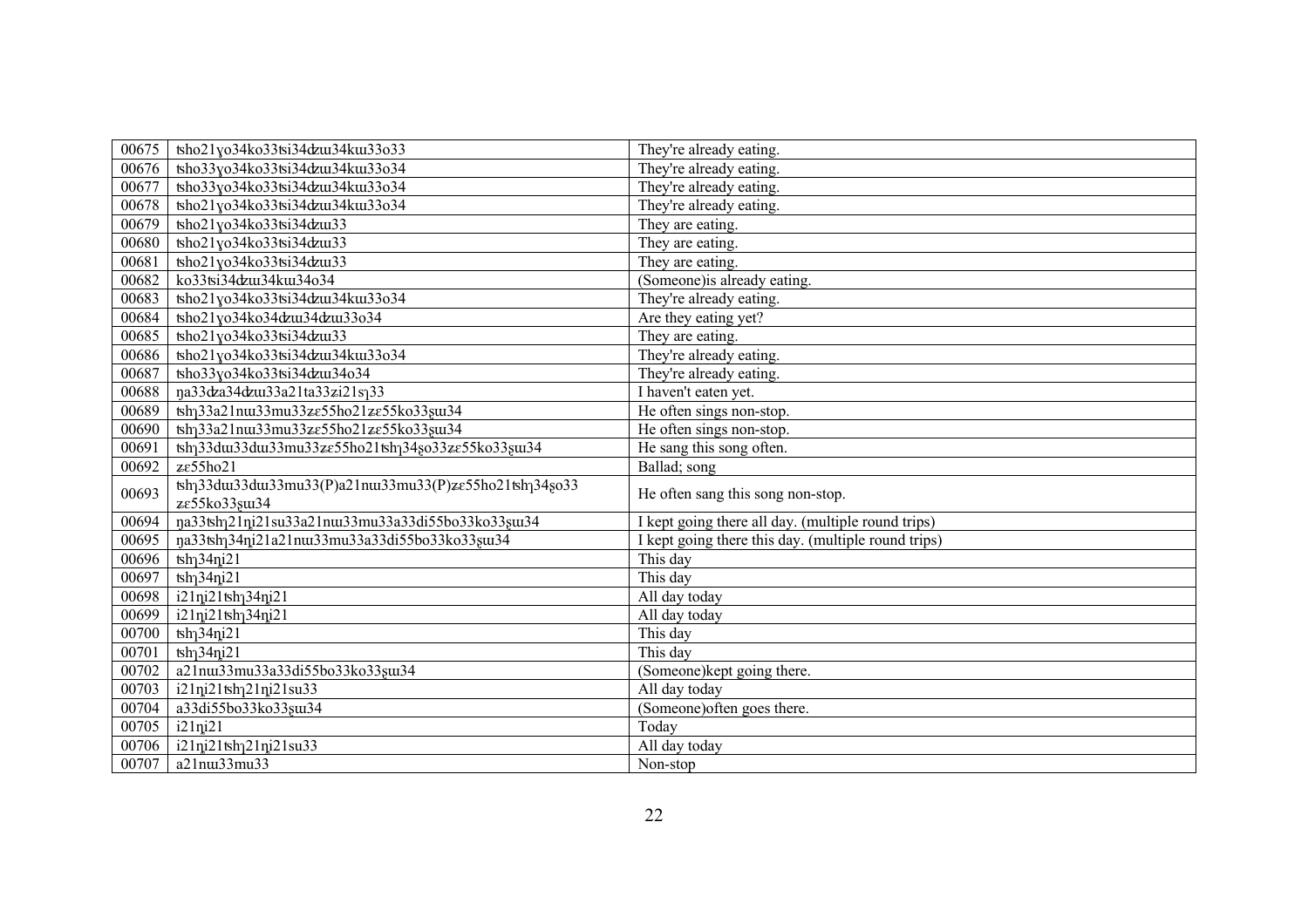| 00675 | tsho21yo34ko33tsi34dzui34kui33o33                                                                | They're already eating.                             |
|-------|--------------------------------------------------------------------------------------------------|-----------------------------------------------------|
| 00676 | tsho33yo34ko33tsi34dzui34kui33o34                                                                | They're already eating.                             |
| 00677 | tsho33yo34ko33tsi34dzu134ku133o34                                                                | They're already eating.                             |
| 00678 | tsho21yo34ko33tsi34dzu134ku133o34                                                                | They're already eating.                             |
| 00679 | $\frac{\tanh21y}{34k}$ <sub>633</sub> tsi34 $\frac{\tanh33}{\tanh2}$                             | They are eating.                                    |
| 00680 | tsho21yo34ko33tsi34dzui33                                                                        | They are eating.                                    |
| 00681 | tsho21yo34ko33tsi34dzui33                                                                        | They are eating.                                    |
| 00682 | ko33tsi34dzui34kui34o34                                                                          | (Someone) is already eating.                        |
| 00683 | tsho21yo34ko33tsi34dzu134ku133o34                                                                | They're already eating.                             |
| 00684 | tsho21yo34ko34dzux34dzux33o34                                                                    | Are they eating yet?                                |
| 00685 | tsho21yo34ko33tsi34dzui33                                                                        | They are eating.                                    |
| 00686 | tsho21yo34ko33tsi34dzu134ku133o34                                                                | They're already eating.                             |
| 00687 | tsho33yo34ko33tsi34dzui34o34                                                                     | They're already eating.                             |
| 00688 | na33dza34dzu33a21ta33zi21s133                                                                    | I haven't eaten yet.                                |
| 00689 | tsh <sub>1</sub> 33a21nu33mu33ze55ho21ze55ko33sus34                                              | He often sings non-stop.                            |
| 00690 | tsh <sub>1</sub> 33a21nu33mu33ze55ho21ze55ko33su34                                               | He often sings non-stop.                            |
| 00691 | tsh <sub>1</sub> 33du33du33mu33ze55ho21tsh <sub>1</sub> 34so33ze55ko33su34                       | He sang this song often.                            |
| 00692 | ze55ho21                                                                                         | Ballad; song                                        |
| 00693 | tsh <sub>1</sub> 33du33du33mu33(P)a21nu33mu33(P)ze55ho21tsh <sub>1</sub> 34so33<br>ze55ko33su134 | He often sang this song non-stop.                   |
| 00694 | na33tshq21ni21su33a21nux33mu33a33di55bo33ko33sux34                                               | I kept going there all day. (multiple round trips)  |
| 00695 | na33tshq34ni21a21nux33mu33a33di55bo33ko33sux34                                                   | I kept going there this day. (multiple round trips) |
| 00696 | $\frac{1}{2}$ tsh <sub>1</sub> 34ni21                                                            | This day                                            |
| 00697 | $\frac{1}{2}$ tsh <sub>1</sub> 34ni21                                                            | This day                                            |
| 00698 | i21ni21tsh <sub>1</sub> 34ni21                                                                   | All day today                                       |
| 00699 | i21ni21tsh134ni21                                                                                | All day today                                       |
| 00700 | $\frac{1}{2}$ tsh <sub>1</sub> 34ni21                                                            | This day                                            |
| 00701 | $\frac{1}{2}$ h $\frac{34}{12}$ l                                                                | This day                                            |
| 00702 | a21nu33mu33a33di55bo33ko33su134                                                                  | (Someone) kept going there.                         |
| 00703 | i21ni21tsh <sub>1</sub> 21ni21su33                                                               | All day today                                       |
| 00704 | a33di55bo33ko33su134                                                                             | (Someone) often goes there.                         |
|       |                                                                                                  |                                                     |
| 00705 | $i21$ n $i21$                                                                                    | Today                                               |
| 00706 | i21ni21tsh <sub>1</sub> 21ni21su33                                                               | All day today                                       |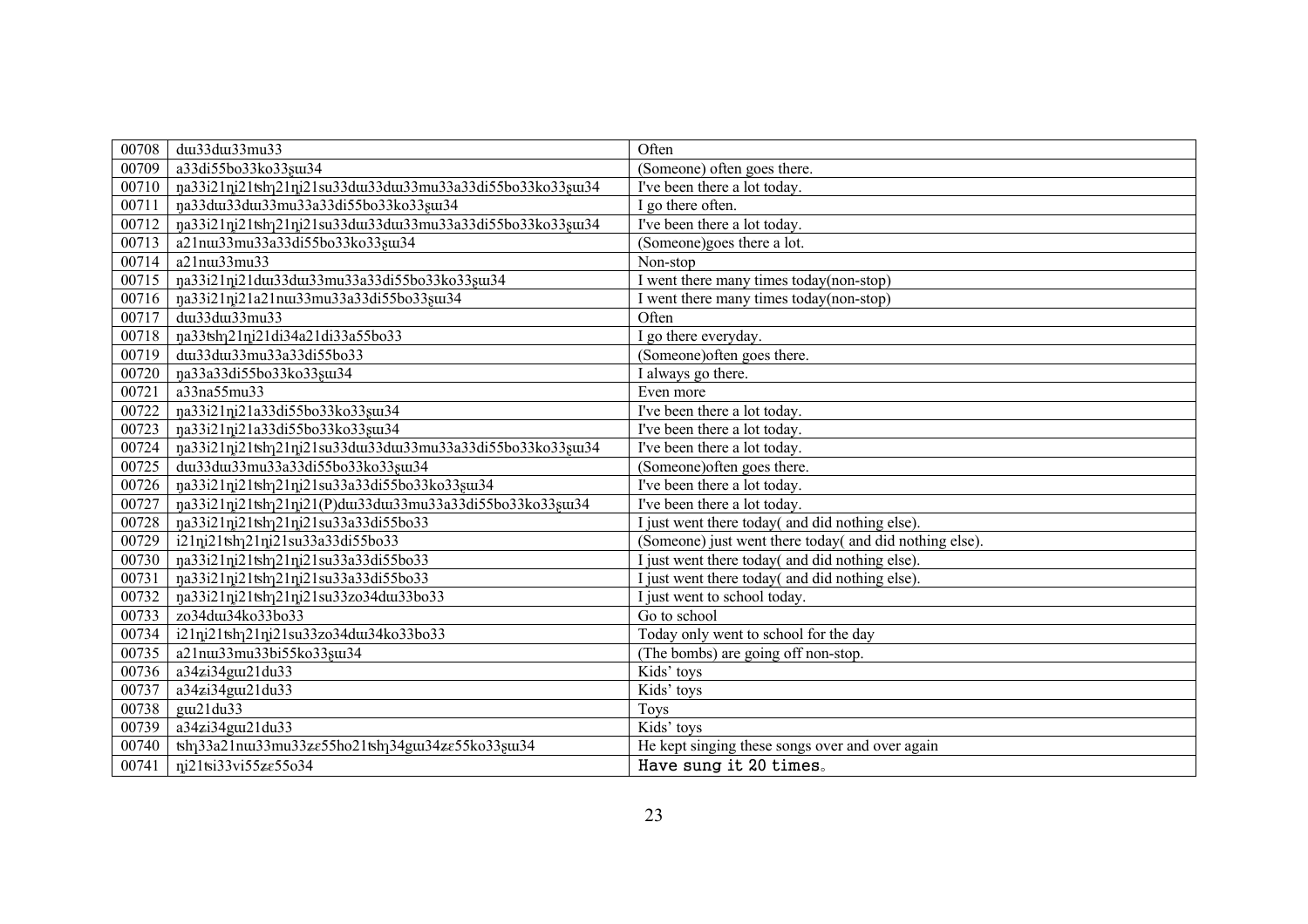| 00708 | dw33dw33mu33                                                              | Often                                                   |
|-------|---------------------------------------------------------------------------|---------------------------------------------------------|
| 00709 | a33di55bo33ko33sui34                                                      | (Someone) often goes there.                             |
| 00710 | na33i21ni21tshq21ni21su33du33du33mu33a33di55bo33ko33su34                  | I've been there a lot today.                            |
| 00711 | na33du33du33mu33a33di55bo33ko33su34                                       | I go there often.                                       |
| 00712 | rja33i21ni21tshq21ni21su33du33du33mu33a33di55bo33ko33su34                 | I've been there a lot today.                            |
| 00713 | a21nu33mu33a33di55bo33ko33su134                                           | (Someone)goes there a lot.                              |
| 00714 | a21nu33mu33                                                               | Non-stop                                                |
| 00715 | na33i21ni21dui33dui33mu33a33di55bo33ko33sui34                             | I went there many times today(non-stop)                 |
| 00716 | na33i21ni21a21nux33mu33a33di55bo33sux34                                   | I went there many times today(non-stop)                 |
| 00717 | dw33dw33mu33                                                              | Often                                                   |
| 00718 | na33tsh <sub>1</sub> 21ni21di34a21di33a55bo33                             | go there everyday.                                      |
| 00719 | dui33dui33mu33a33di55bo33                                                 | (Someone) often goes there.                             |
| 00720 | na33a33di55bo33ko33su34                                                   | I always go there.                                      |
| 00721 | a33na55mu33                                                               | Even more                                               |
| 00722 | na33i21ni21a33di55bo33ko33su134                                           | I've been there a lot today.                            |
| 00723 | na33i21ni21a33di55bo33ko33sui34                                           | I've been there a lot today.                            |
| 00724 | na33i21ni21tshq21ni21su33du33du33mu33a33di55bo33ko33su34                  | I've been there a lot today.                            |
| 00725 | dui33dui33mu33a33di55bo33ko33sui34                                        | (Someone) often goes there.                             |
| 00726 | na33i21ni21tshq21ni21su33a33di55bo33ko33su34                              | I've been there a lot today.                            |
| 00727 | rja33i21ni21tshq21ni21(P)dui33dui33mu33a33di55bo33ko33sui34               | I've been there a lot today.                            |
| 00728 | na33i21ni21tshq21ni21su33a33di55bo33                                      | just went there today( and did nothing else).           |
| 00729 | i21ni21tshq21ni21su33a33di55bo33                                          | (Someone) just went there today( and did nothing else). |
| 00730 | na33i21ni21tshq21ni21su33a33di55bo33                                      | just went there today( and did nothing else).           |
| 00731 | ŋa33i21ni21tshq21ni21su33a33di55bo33                                      | I just went there today( and did nothing else).         |
| 00732 | na33i21ni21tsh121ni21su33zo34du133bo33                                    | just went to school today.                              |
| 00733 | zo34dui34ko33bo33                                                         | Go to school                                            |
| 00734 | i21ni21tshq21ni21su33zo34du134ko33bo33                                    | Today only went to school for the day                   |
| 00735 | a21nm33mu33bi55ko33sm34                                                   | (The bombs) are going off non-stop.                     |
| 00736 | a34zi34guz21du33                                                          | Kids' toys                                              |
| 00737 | a34zi34guz21du33                                                          | Kids' toys                                              |
| 00738 | gui21du33                                                                 | Toys                                                    |
| 00739 | a34zi34gut21du33                                                          | Kids' toys                                              |
| 00740 | tsh <sub>1</sub> 33a21nu33mu33ze55ho21tsh <sub>1</sub> 34gu34ze55ko33su34 | He kept singing these songs over and over again         |
| 00741 | ni21tsi33vi55ze55o34                                                      | Have sung it 20 times.                                  |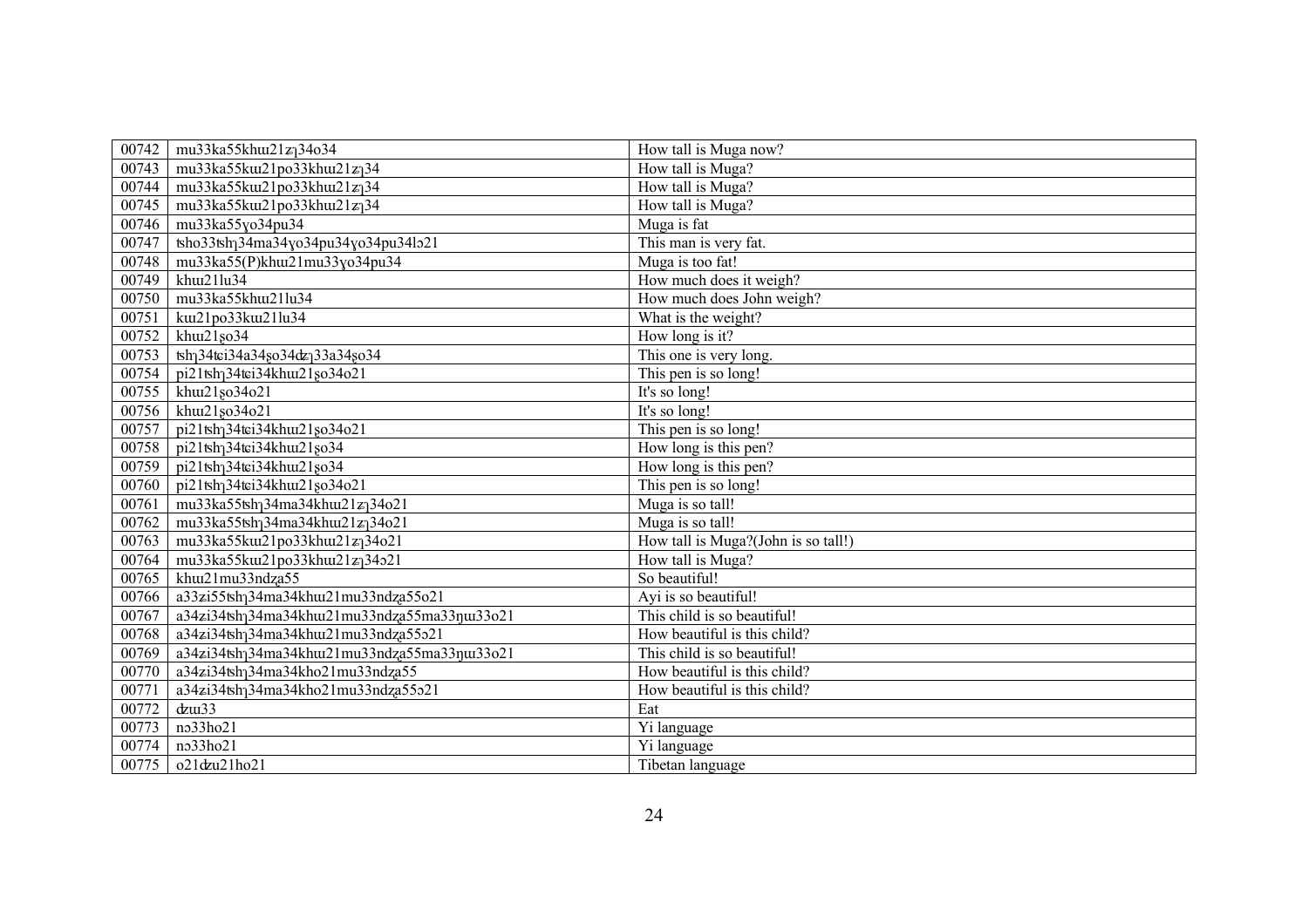| 00742 | mu33ka55khu121zq34o34                                     | How tall is Muga now?               |
|-------|-----------------------------------------------------------|-------------------------------------|
| 00743 | mu33ka55ku21po33khu21zq34                                 | How tall is Muga?                   |
| 00744 | mu33ka55ku21po33khu21zq34                                 | How tall is Muga?                   |
| 00745 | mu33ka55ku121po33khu121zq34                               | How tall is Muga?                   |
| 00746 | mu33ka55yo34pu34                                          | Muga is fat                         |
| 00747 | tsho33tshq34ma34yo34pu34yo34pu34lo21                      | This man is very fat.               |
| 00748 | mu33ka55(P)khu121mu33yo34pu34                             | Muga is too fat!                    |
| 00749 | khuz21lu34                                                | How much does it weigh?             |
| 00750 | mu33ka55khu121lu34                                        | How much does John weigh?           |
| 00751 | kw21po33kw21lu34                                          | What is the weight?                 |
| 00752 | khuz21so34                                                | How long is it?                     |
| 00753 | tsh <sub>1</sub> 34tci34a34so34dz <sub>1</sub> 33a34so34  | This one is very long.              |
| 00754 | pi21tsh <sub>1</sub> 34tei34khui21so34o21                 | This pen is so long!                |
| 00755 | khuz21 <sub>80</sub> 34 <sub>o21</sub>                    | It's so long!                       |
| 00756 | khu21so34o21                                              | It's so long!                       |
| 00757 | pi21tsh <sub>1</sub> 34tei34khui21 <sub>s0</sub> 34o21    | This pen is so long!                |
| 00758 | pi21tsh <sub>1</sub> 34tei34khui21so34                    | How long is this pen?               |
| 00759 | pi21tsh <sub>1</sub> 34tei34khui21 <sub>80</sub> 34       | How long is this pen?               |
| 00760 | pi21tsh <sub>1</sub> 34tci34khui21 <sub>80</sub> 34o21    | This pen is so long!                |
| 00761 | mu33ka55tsh <sub>1</sub> 34ma34khu121z <sub>1</sub> 34o21 | Muga is so tall!                    |
| 00762 | mu33ka55tsh <sub>1</sub> 34ma34khu121z <sub>1</sub> 34o21 | Muga is so tall!                    |
| 00763 | mu33ka55ku21po33khu21z <sub>1</sub> 34o21                 | How tall is Muga?(John is so tall!) |
| 00764 | mu33ka55ku21po33khu21zq34o21                              | How tall is Muga?                   |
| 00765 | khuzlmu33ndza55                                           | So beautiful!                       |
| 00766 | a33zi55tsh <sub>1</sub> 34ma34khuu21mu33ndza55o21         | Ayi is so beautiful!                |
| 00767 | a34zi34tshq34ma34khuu21mu33ndza55ma33quu33o21             | This child is so beautiful!         |
| 00768 | a34zi34tsh <sub>1</sub> 34ma34khu121mu33ndza55o21         | How beautiful is this child?        |
| 00769 | a34zi34tshq34ma34khuu21mu33ndza55ma33qui33o21             | This child is so beautiful!         |
| 00770 | a34zi34tshq34ma34kho21mu33ndza55                          | How beautiful is this child?        |
| 00771 | a34zi34tshq34ma34kho21mu33ndza55o21                       | How beautiful is this child?        |
| 00772 | $d$ zu $33$                                               | Eat                                 |
| 00773 | no33ho21                                                  | Yi language                         |
| 00774 | no33ho21                                                  | Yi language                         |
| 00775 | o21dzu21ho21                                              | Tibetan language                    |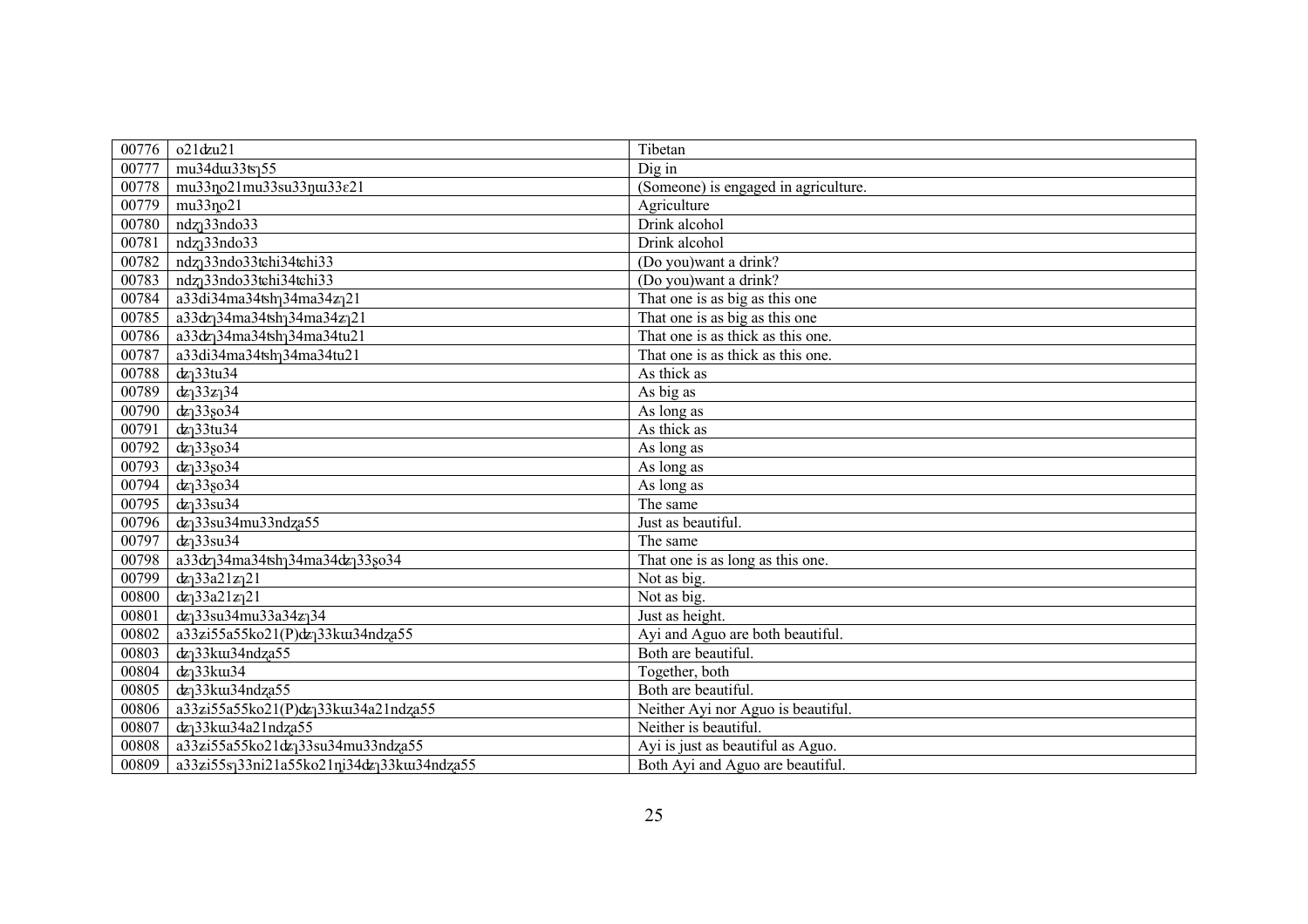| 00776 | $o21$ dzu $21$                                                         | Tibetan                              |
|-------|------------------------------------------------------------------------|--------------------------------------|
| 00777 | mu34du33ts155                                                          | Dig in                               |
| 00778 | mu33no21mu33su33nu33e21                                                | (Someone) is engaged in agriculture. |
| 00779 | mu33no21                                                               | Agriculture                          |
| 00780 | ndz <sub>1</sub> 33ndo33                                               | Drink alcohol                        |
| 00781 | ndz <sub>l</sub> 33ndo33                                               | Drink alcohol                        |
| 00782 | ndz <sub>1</sub> 33ndo33tehi34tehi33                                   | (Do you) want a drink?               |
| 00783 | ndz <sub>1</sub> 33ndo33tehi34tehi33                                   | (Do you) want a drink?               |
| 00784 | a33di34ma34tshq34ma34zq21                                              | That one is as big as this one       |
| 00785 | a33dz <sub>1</sub> 34ma34tsh <sub>1</sub> 34ma34z <sub>1</sub> 21      | That one is as big as this one       |
| 00786 | a33dz <sub>1</sub> 34ma34tsh <sub>1</sub> 34ma34tu21                   | That one is as thick as this one.    |
| 00787 | a33di34ma34tsh <sub>1</sub> 34ma34tu21                                 | That one is as thick as this one.    |
| 00788 | dz <sub>1</sub> 33tu34                                                 | As thick as                          |
| 00789 | $dz_133z_134$                                                          | As big as                            |
| 00790 | $dz_133so34$                                                           | As long as                           |
| 00791 | $dz$ <sup>33tu34</sup>                                                 | As thick as                          |
| 00792 | $dz$ ] 338034                                                          | As long as                           |
| 00793 | $dz$ ] 338034                                                          | As long as                           |
| 00794 | $d z_1 33$ so $34$                                                     | As long as                           |
| 00795 | $dz$ <sup>33su34</sup>                                                 | The same                             |
| 00796 | $dz$ <sup>33su34mu33ndza55</sup>                                       | Just as beautiful.                   |
| 00797 | $dz$ <sup>33su34</sup>                                                 | The same                             |
| 00798 | a33dz <sub>1</sub> 34ma34tsh <sub>1</sub> 34ma34dz <sub>1</sub> 33go34 | That one is as long as this one.     |
| 00799 | $dx$ <sup>33a21z</sup> <sup>21</sup>                                   | Not as big.                          |
| 00800 | $dz_133a21z_121$                                                       | Not as $big$ .                       |
| 00801 | $dz_1$ 33su34mu33a34 $z_1$ 34                                          | Just as height.                      |
| 00802 | a33zi55a55ko21(P)dz <sub>1</sub> 33ku34ndza55                          | Ayi and Aguo are both beautiful.     |
| 00803 | dz <sub>1</sub> 33ku34ndza55                                           | Both are beautiful.                  |
| 00804 | dz <sub>1</sub> 33ku34                                                 | Together, both                       |
| 00805 | $dz$ <sup>33</sup> ku34ndza55                                          | Both are beautiful.                  |
| 00806 | a33zi55a55ko21(P)dz <sub>1</sub> 33ku34a21ndza55                       | Neither Ayi nor Aguo is beautiful.   |
| 00807 | dz <sub>1</sub> 33ku34a21ndza55                                        | Neither is beautiful.                |
| 00808 | a33zi55a55ko21dz <sub>1</sub> 33su34mu33ndza55                         | Ayi is just as beautiful as Aguo.    |
| 00809 | a33zi55sq33ni21a55ko21ni34dzq33ku34ndza55                              | Both Ayi and Aguo are beautiful.     |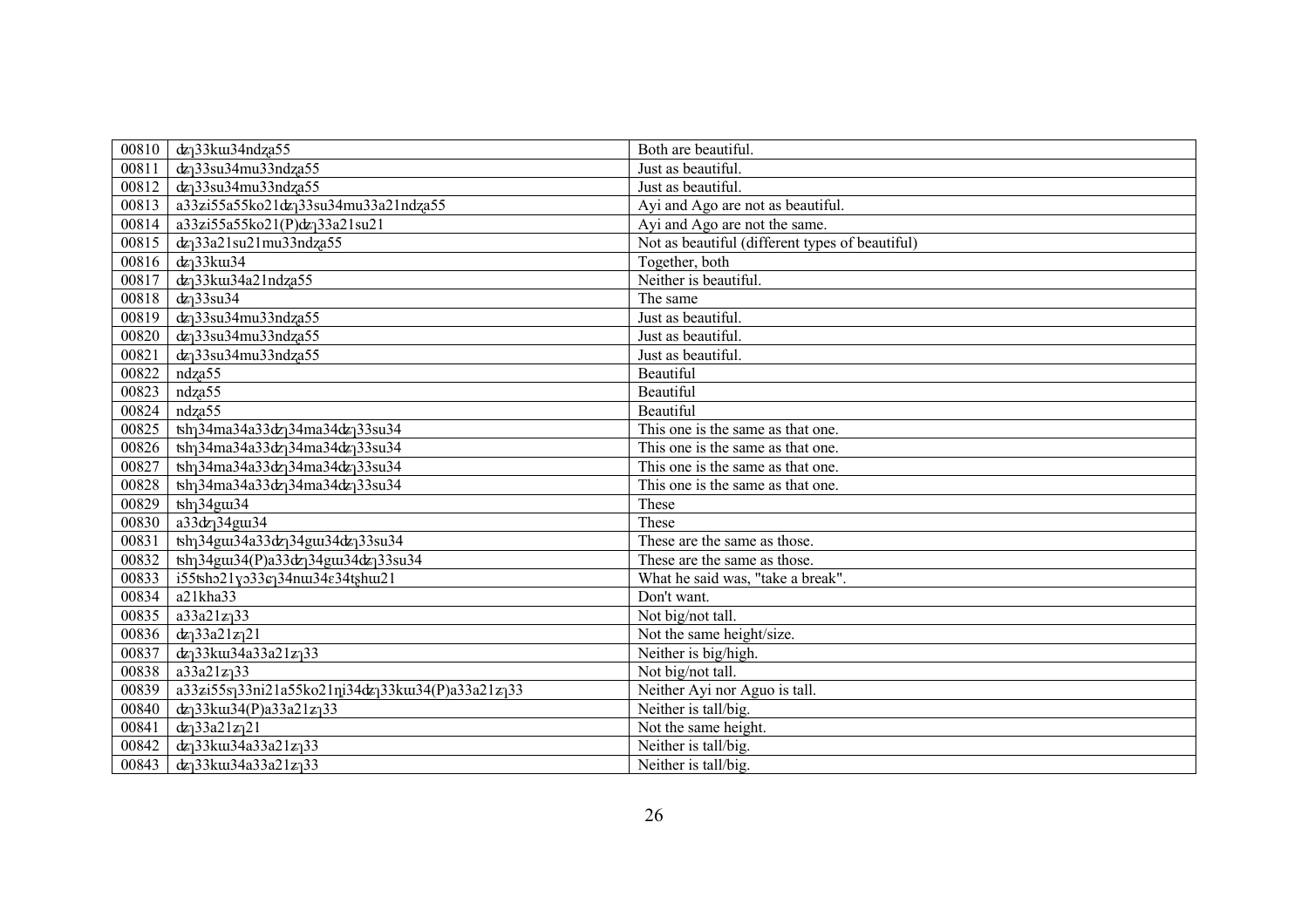| 00810 | dz <sub>1</sub> 33ku34ndza55                                                         | Both are beautiful.                             |
|-------|--------------------------------------------------------------------------------------|-------------------------------------------------|
| 00811 | $dz$ <sup>33su34mu33ndza55</sup>                                                     | Just as beautiful.                              |
| 00812 | dz <sub>1</sub> 33su34mu33ndza55                                                     | Just as beautiful.                              |
| 00813 | a33zi55a55ko21dz <sub>1</sub> 33su34mu33a21ndza55                                    | Ayi and Ago are not as beautiful.               |
| 00814 | a33zi55a55ko21(P)dz <sub>1</sub> 33a21su21                                           | Ayi and Ago are not the same.                   |
| 00815 | $dz$ <sup>33a21su21mu33ndza55</sup>                                                  | Not as beautiful (different types of beautiful) |
| 00816 | $dz$ <sup>33</sup> k $u$ 34                                                          | Together, both                                  |
| 00817 | dz <sub>1</sub> 33ku34a21ndza55                                                      | Neither is beautiful.                           |
| 00818 | $dz$ <sup>33su34</sup>                                                               | The same                                        |
| 00819 | $dz$ <sup>33su34mu33ndza55</sup>                                                     | Just as beautiful.                              |
| 00820 | $dz$ <sup>33su34mu33ndza55</sup>                                                     | Just as beautiful.                              |
| 00821 | $dz$ <sup>33su34mu33ndza55</sup>                                                     | Just as beautiful.                              |
| 00822 | ndza55                                                                               | Beautiful                                       |
| 00823 | ndza55                                                                               | Beautiful                                       |
| 00824 | ndza55                                                                               | Beautiful                                       |
| 00825 | $\frac{1}{2}$ tsh <sub>1</sub> 34ma34a33dz <sub>1</sub> 34ma34dz <sub>1</sub> 33su34 | This one is the same as that one.               |
| 00826 | tsh <sub>1</sub> 34ma34a33dz <sub>1</sub> 34ma34dz <sub>1</sub> 33su34               | This one is the same as that one.               |
| 00827 | tsh <sub>1</sub> 34ma34a33dz <sub>1</sub> 34ma34dz <sub>1</sub> 33su34               | This one is the same as that one.               |
| 00828 | tsh <sub>1</sub> 34ma34a33dz <sub>1</sub> 34ma34dz <sub>1</sub> 33su34               | This one is the same as that one.               |
| 00829 | $\text{tsh}_134\overline{\text{g} \text{u} \text{u} \text{u} \text{u}$               | These                                           |
| 00830 | a33dz <sub>1</sub> 34gut34                                                           | These                                           |
| 00831 | tsh <sub>1</sub> 34gut34a33dz <sub>1</sub> 34gut34dz <sub>1</sub> 33su34             | These are the same as those.                    |
| 00832 | tsh <sub>1</sub> 34gut34(P)a33dz <sub>1</sub> 34gut34dz <sub>1</sub> 33su34          | These are the same as those.                    |
| 00833 | $i55$ tsho2 $\overline{1}$ yo33 $\varepsilon$ q34nuu34 $\varepsilon$ 34tshuu21       | What he said was, "take a break".               |
| 00834 | a21kha33                                                                             | Don't want.                                     |
| 00835 | $a33a21z_133$                                                                        | Not big/not tall.                               |
| 00836 | $dz_1$ 33a21 $z_1$ 21                                                                | Not the same height/size.                       |
| 00837 | $dz_1$ 33kuu34a33a21 $z_1$ 33                                                        | Neither is big/high.                            |
| 00838 | $a33a21z_133$                                                                        | Not big/not tall.                               |
| 00839 | a33zi55sq33ni21a55ko21ni34dzq33ku34(P)a33a21zq33                                     | Neither Ayi nor Aguo is tall.                   |
| 00840 | $dz_1$ 33kuu34(P)a33a21z $_1$ 33                                                     | Neither is tall/big.                            |
| 00841 | $dz_133a21z_121$                                                                     | Not the same height.                            |
| 00842 | $dz_1$ 33kuu34a33a21 $z_1$ 33                                                        | Neither is tall/big.                            |
| 00843 | $dz_1$ 33kuu34a33a21 $z_1$ 33                                                        | Neither is tall/big.                            |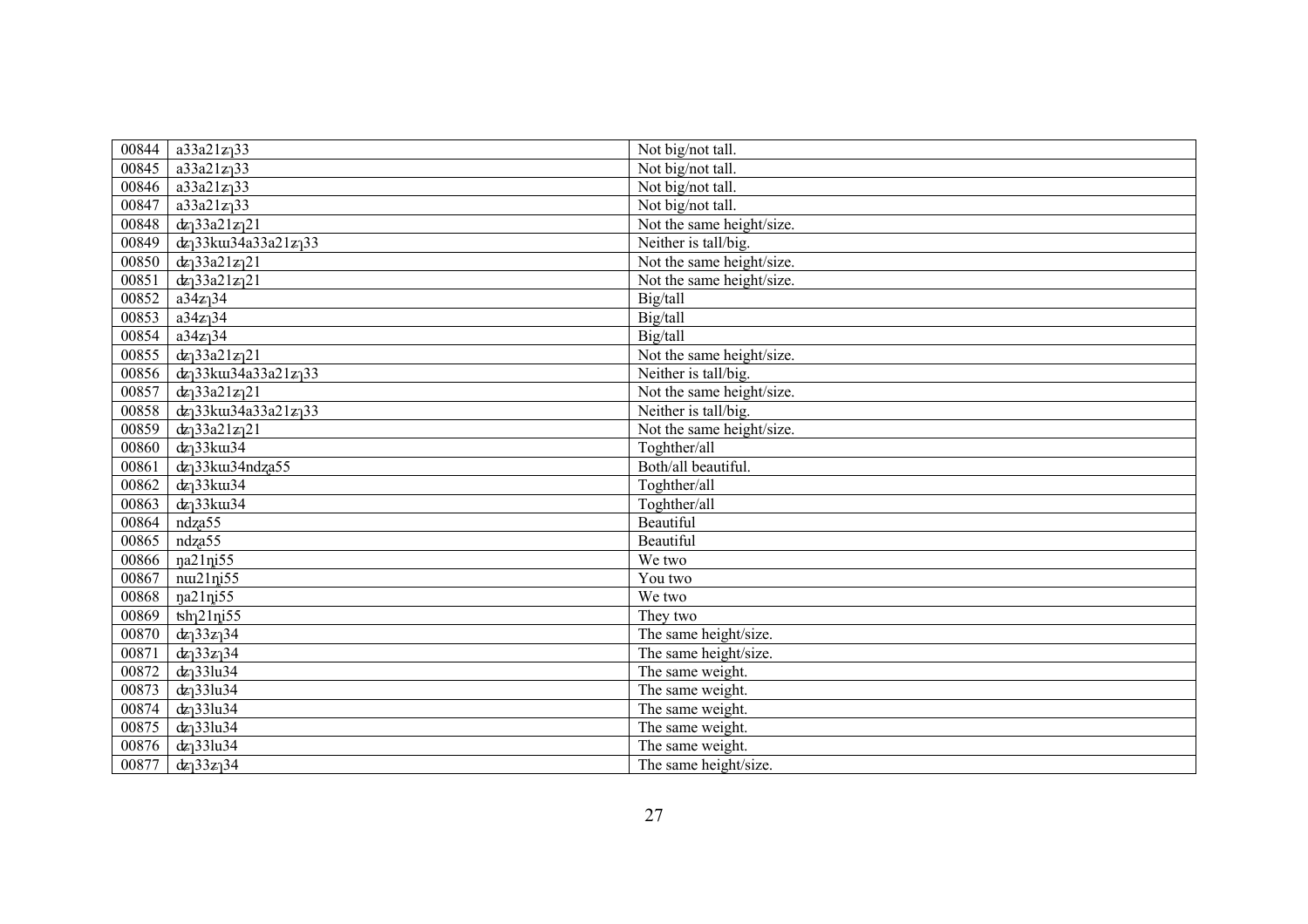| 00844 | $a33a21z_133$                           | Not big/not tall.         |
|-------|-----------------------------------------|---------------------------|
| 00845 | $a33a21z_133$                           | Not big/not tall.         |
| 00846 | $\overline{a}33a21z_133$                | Not big/not tall.         |
| 00847 | $a33a21z_133$                           | Not big/not tall.         |
| 00848 | $d\mathbf{z}$ ] 33a21 $\mathbf{z}$ ] 21 | Not the same height/size. |
| 00849 | $dz_1$ 33kuu34a33a21 $z_1$ 33           | Neither is tall/big.      |
| 00850 | $dx_133a21z_121$                        | Not the same height/size. |
| 00851 | $dz_1$ 33a21 $z_1$ 21                   | Not the same height/size. |
| 00852 | $a34z$ <sup>34</sup>                    | Big/tall                  |
| 00853 | $a34z$ <sup>34</sup>                    | Big/tall                  |
| 00854 | $a34z$ <sup>34</sup>                    | Big/tall                  |
| 00855 | $dx_133a21z_121$                        | Not the same height/size. |
| 00856 | $dz_1$ 33kuu34a33a21 $z_1$ 33           | Neither is tall/big.      |
| 00857 | $dz_133a21z_121$                        | Not the same height/size. |
| 00858 | $dz_1$ 33kuu34a33a21 $z_1$ 33           | Neither is tall/big.      |
| 00859 | $dz_133a21z_121$                        | Not the same height/size. |
| 00860 | $dz$ <sup>33</sup> ku34                 | Toghther/all              |
| 00861 | dz <sub>1</sub> 33ku34ndza55            | Both/all beautiful.       |
| 00862 | $dz$ <sup>33</sup> ku34                 | Toghther/all              |
| 00863 | $dz$ <sup>33</sup> ku34                 | Toghther/all              |
| 00864 | ndza55                                  | Beautiful                 |
| 00865 | ndza55                                  | Beautiful                 |
| 00866 | na21ni55                                | We two                    |
| 00867 | $nu21$ ni $55$                          | You two                   |
| 00868 | na21ni55                                | We two                    |
| 00869 | $\frac{1}{2}$ lni <sup>55</sup>         | They two                  |
| 00870 | $dx_133z_134$                           | The same height/size.     |
| 00871 | $dx_133z_134$                           | The same height/size.     |
| 00872 | $dz_1$ 33lu34                           | The same weight.          |
| 00873 | $dz_1$ 33lu34                           | The same weight.          |
| 00874 | $d\mathbf{z}$ 33 lu34                   | The same weight.          |
| 00875 | $dz_1$ 33lu34                           | The same weight.          |
| 00876 | $dz_1$ 33lu34                           | The same weight.          |
| 00877 | $d\mathbf{z}$ ] 33 $\mathbf{z}$ ] 34    | The same height/size.     |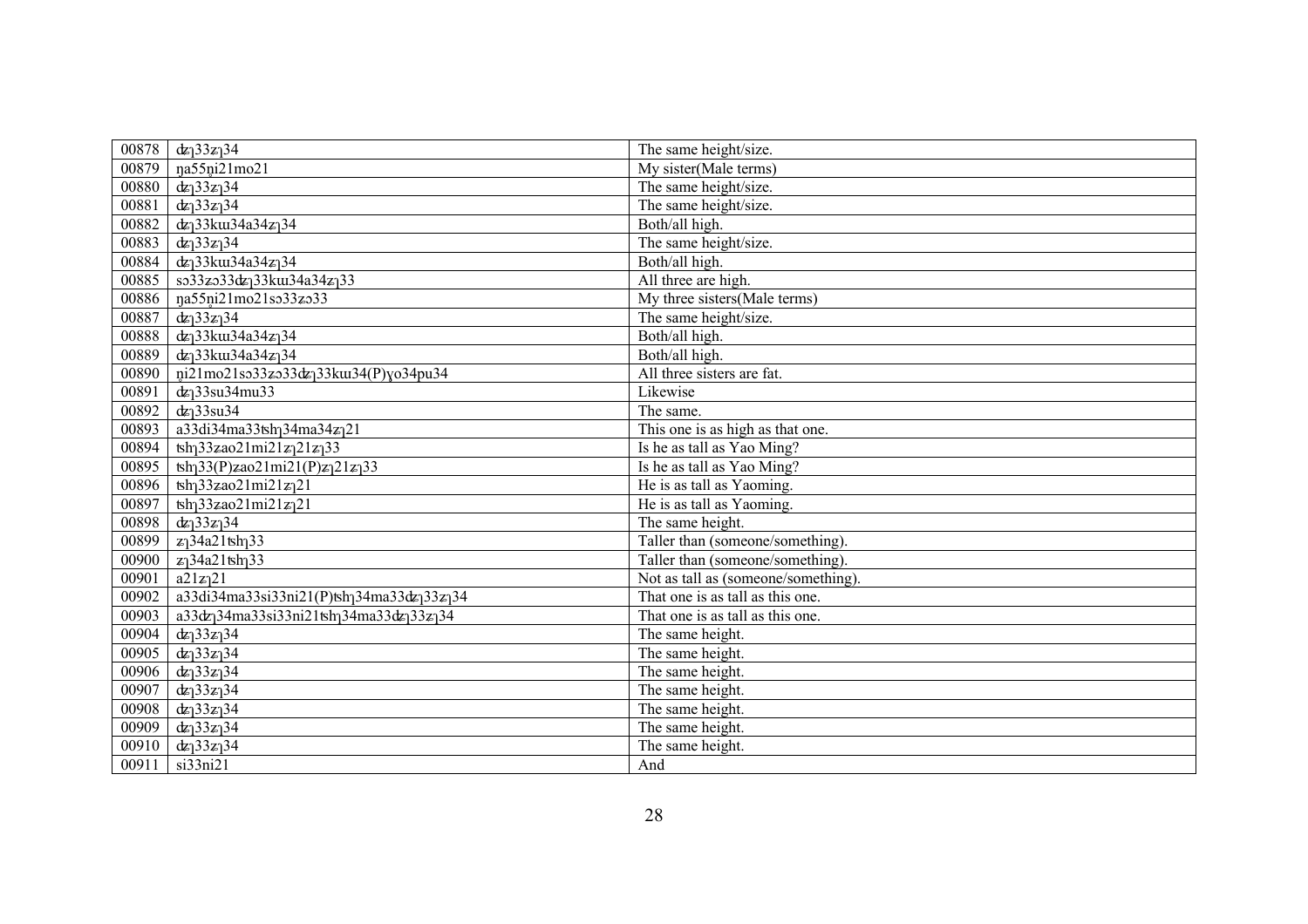| 00878 | $dz_133z_134$                                                                               | The same height/size.               |
|-------|---------------------------------------------------------------------------------------------|-------------------------------------|
| 00879 | na55ni21mo21                                                                                | My sister(Male terms)               |
| 00880 | $dz_133z_134$                                                                               | The same height/size.               |
| 00881 | $dx_133z_134$                                                                               | The same height/size.               |
| 00882 | dz <sub>1</sub> 33ku34a34z <sub>1</sub> 34                                                  | Both/all high.                      |
| 00883 | $dz_133z_134$                                                                               | The same height/size.               |
| 00884 | dz <sub>1</sub> 33ku34a34z <sub>1</sub> 34                                                  | Both/all high.                      |
| 00885 | so33zo33dz <sub>1</sub> 33ku34a34z <sub>1</sub> 33                                          | All three are high.                 |
| 00886 | na55ni21mo21so33zo33                                                                        | My three sisters (Male terms)       |
| 00887 | $dz_133z_134$                                                                               | The same height/size.               |
| 00888 | dz <sub>1</sub> 33ku34a34z <sub>1</sub> 34                                                  | Both/all high.                      |
| 00889 | $dz_1$ 33kui34a34 $z_1$ 34                                                                  | Both/all high.                      |
| 00890 | ni21mo21so33zo33dz <sub>1</sub> 33ku34(P)yo34pu34                                           | All three sisters are fat.          |
| 00891 | $dz$ <sup>33su34mu33</sup>                                                                  | Likewise                            |
| 00892 | $dz$ <sup>33su34</sup>                                                                      | The same.                           |
| 00893 | a33di34ma33tsh <sub>1</sub> 34ma34z <sub>1</sub> 21                                         | This one is as high as that one.    |
| 00894 | $\frac{1}{2}$ tsh <sub>1</sub> 33zao21mi21z <sub>1</sub> 21z <sub>1</sub> 33                | Is he as tall as Yao Ming?          |
| 00895 | $\text{tsh}_133(P)$ zao21mi21(P)z $_121z_133$                                               | Is he as tall as Yao Ming?          |
| 00896 | $\frac{1}{2}$ sh <sub>1</sub> 33zao21mi21z <sub>1</sub> 21                                  | He is as tall as Yaoming.           |
| 00897 | $\frac{1}{2}$ sh <sub>1</sub> 33zao21mi21z <sub>1</sub> 21                                  | He is as tall as Yaoming.           |
| 00898 | $dx_133z_134$                                                                               | The same height.                    |
| 00899 | $z_1$ 34a21tsh $_1$ 33                                                                      | Taller than (someone/something).    |
| 00900 | $z_1$ 34a21tsh $_1$ 33                                                                      | Taller than (someone/something).    |
| 00901 | a21z <sub>1</sub> 21                                                                        | Not as tall as (someone/something). |
| 00902 | $a33d i34ma 33si 33ni 21(P) tsh134ma 33d z133z134$                                          | That one is as tall as this one.    |
| 00903 | a33dz <sub>1</sub> 34ma33si33ni21tsh <sub>1</sub> 34ma33dz <sub>1</sub> 33z <sub>1</sub> 34 | That one is as tall as this one.    |
| 00904 | $dz_133z_134$                                                                               | The same height.                    |
| 00905 | $dz_133z_134$                                                                               | The same height.                    |
| 00906 | $dz_133z_134$                                                                               | The same height.                    |
| 00907 | $dx_133z_134$                                                                               | The same height.                    |
| 00908 | $dx_133z_134$                                                                               | The same height.                    |
| 00909 | $d\mathbf{z}$ ] 33 $\mathbf{z}$ ] 34                                                        | The same height.                    |
| 00910 | $dx_133z_134$                                                                               | The same height.                    |
| 00911 | si33ni21                                                                                    | And                                 |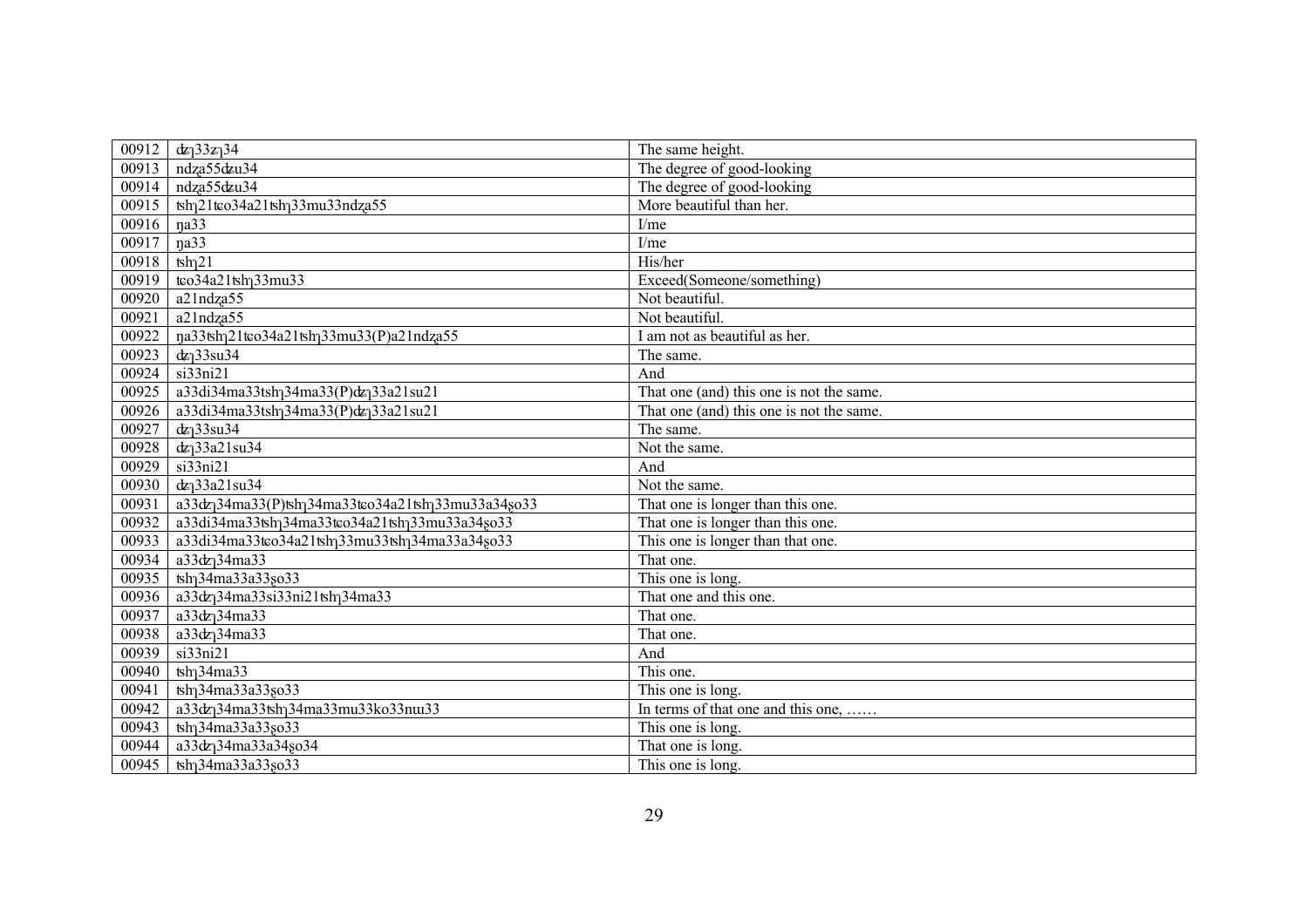| 00912 | $dx_133z_134$                                                                             | The same height.                         |
|-------|-------------------------------------------------------------------------------------------|------------------------------------------|
| 00913 | ndza55dzu34                                                                               | The degree of good-looking               |
| 00914 | ndza55dzu34                                                                               | The degree of good-looking               |
| 00915 | tsh <sub>1</sub> 21tco34a21tsh <sub>1</sub> 33mu33ndza55                                  | More beautiful than her.                 |
| 00916 | na33                                                                                      | I/me                                     |
| 00917 | na33                                                                                      | I/me                                     |
| 00918 | $\th$ <sup>21</sup>                                                                       | His/her                                  |
| 00919 | tco34a21tsh <sub>1</sub> 33mu33                                                           | Exceed(Someone/something)                |
| 00920 | a21ndza55                                                                                 | Not beautiful.                           |
| 00921 | a21ndza55                                                                                 | Not beautiful.                           |
| 00922 | na33tshq21tco34a21tshq33mu33(P)a21ndza55                                                  | I am not as beautiful as her.            |
| 00923 | $dz$ <sup>33su34</sup>                                                                    | The same.                                |
| 00924 | si33ni21                                                                                  | And                                      |
| 00925 | a33di34ma33tsh <sub>1</sub> 34ma33(P)dz <sub>1</sub> 33a21su21                            | That one (and) this one is not the same. |
| 00926 | a33di34ma33tshq34ma33(P)dzq33a21su21                                                      | That one (and) this one is not the same. |
| 00927 | $dz$ <sup>33su34</sup>                                                                    | The same.                                |
| 00928 | $dz$ <sup>33a21su34</sup>                                                                 | Not the same.                            |
| 00929 | $si33ni\overline{21}$                                                                     | And                                      |
| 00930 | $dz$ <sup>33a21su34</sup>                                                                 | Not the same.                            |
| 00931 | a33dz <sub>1</sub> 34ma33(P)tsh <sub>1</sub> 34ma33tco34a21tsh <sub>1</sub> 33mu33a34so33 | That one is longer than this one.        |
| 00932 | a33di34ma33tsh <sub>1</sub> 34ma33tco34a21tsh <sub>1</sub> 33mu33a34so33                  | That one is longer than this one.        |
| 00933 | a33di34ma33tco34a21tsh <sub>1</sub> 33mu33tsh <sub>1</sub> 34ma33a34so33                  | This one is longer than that one.        |
| 00934 | a33dz <sub>1</sub> 34ma33                                                                 | That one.                                |
| 00935 | tsh <sub>1</sub> 34ma33a33 <sub>80</sub> 33                                               | This one is long.                        |
| 00936 | a33dz <sub>1</sub> 34ma33si33ni21tsh <sub>1</sub> 34ma33                                  | That one and this one.                   |
| 00937 | a33dz <sub>1</sub> 34ma33                                                                 | That one.                                |
| 00938 | a33dz <sub>1</sub> 34ma33                                                                 | That one.                                |
| 00939 | si33ni21                                                                                  | And                                      |
| 00940 | $\text{tsh}$ <sub>34ma</sub> 33                                                           | This one.                                |
| 00941 | tsh <sub>1</sub> 34ma33a33 <sub>80</sub> 33                                               | This one is long.                        |
| 00942 | a33dz <sub>1</sub> 34ma33tsh <sub>1</sub> 34ma33mu33ko33nu33                              | In terms of that one and this one,       |
| 00943 | tsh <sub>1</sub> 34ma33a33so33                                                            | This one is long.                        |
| 00944 | a33dz <sub>1</sub> 34ma33a34go34                                                          | That one is long.                        |
| 00945 | tsh <sub>1</sub> 34ma33a33so33                                                            | This one is long.                        |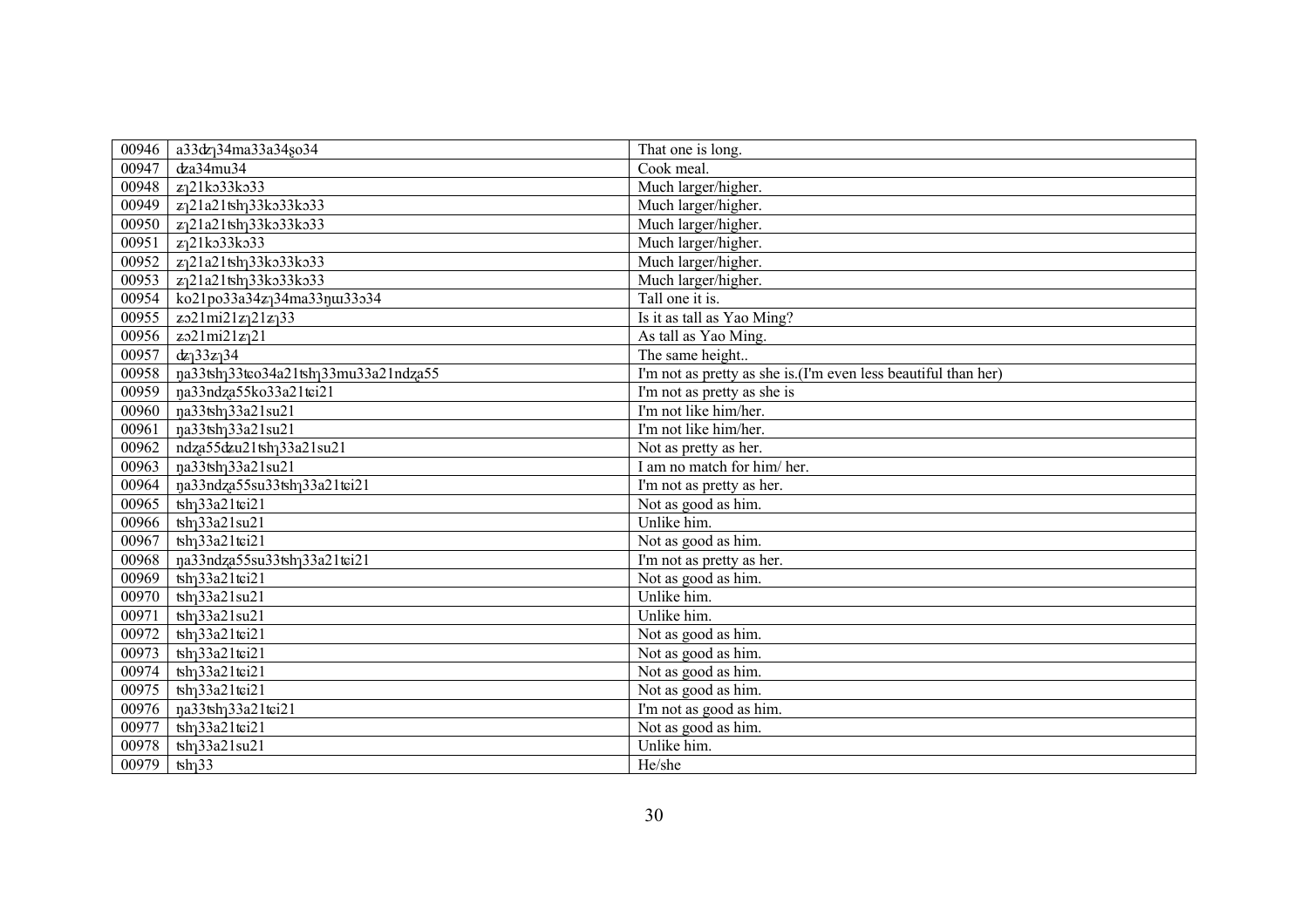| 00946 | a33dz <sub>1</sub> 34ma33a34so34                                | That one is long.                                              |
|-------|-----------------------------------------------------------------|----------------------------------------------------------------|
| 00947 | dza34mu34                                                       | Cook meal.                                                     |
| 00948 | z <sub>1</sub> 21ko33ko33                                       | Much larger/higher.                                            |
| 00949 | z <sub>1</sub> 21a21tsh <sub>1</sub> 33ko33ko33                 | Much larger/higher.                                            |
| 00950 | z <sub>1</sub> 21a21tsh <sub>1</sub> 33ko33ko33                 | Much larger/higher.                                            |
| 00951 | z <sub>1</sub> 21ko33ko33                                       | Much larger/higher.                                            |
| 00952 | z <sub>1</sub> 21a21tsh <sub>1</sub> 33ko33ko33                 | Much larger/higher.                                            |
| 00953 | z <sub>1</sub> 21a21tsh <sub>1</sub> 33ko33ko33                 | Much larger/higher.                                            |
| 00954 | ko21po33a34z <sub>1</sub> 34ma33nu33o34                         | Tall one it is.                                                |
| 00955 | $z_021m i21z_121z_133$                                          | Is it as tall as Yao Ming?                                     |
| 00956 | $z_021mi21z_121$                                                | As tall as Yao Ming.                                           |
| 00957 | $dz_133z_134$                                                   | The same height                                                |
| 00958 | ŋa33tsh <sub>1</sub> 33tco34a21tsh <sub>1</sub> 33mu33a21ndza55 | I'm not as pretty as she is.(I'm even less beautiful than her) |
| 00959 | na33ndza55ko33a21tei21                                          | I'm not as pretty as she is                                    |
| 00960 | na33tsh <sub>1</sub> 33a21su21                                  | I'm not like him/her.                                          |
| 00961 | na33tsh <sub>1</sub> 33a21su21                                  | I'm not like him/her.                                          |
| 00962 | ndza55dzu21tsh <sub>1</sub> 33a21su21                           | Not as pretty as her.                                          |
| 00963 | na33tsh <sub>1</sub> 33a21su21                                  | I am no match for him/her.                                     |
| 00964 | ŋa33ndza55su33tsh <sub>1</sub> 33a21tei21                       | I'm not as pretty as her.                                      |
| 00965 | $\frac{1}{2}$ sh <sub>1</sub> 33a <sub>21tci21</sub>            | Not as good as him.                                            |
| 00966 | $\frac{1}{2}33a21su21$                                          | Unlike him.                                                    |
| 00967 | tsh <sub>1</sub> 33a21tci <sub>21</sub>                         | Not as good as him.                                            |
| 00968 | na33ndza55su33tsh <sub>1</sub> 33a21tei21                       | I'm not as pretty as her.                                      |
| 00969 | $\frac{1}{2}$ sh <sub>1</sub> 33a21tci21                        | Not as good as him.                                            |
| 00970 | tsh <sub>1</sub> 33a21su21                                      | Unlike him.                                                    |
| 00971 | $\frac{1}{2}33a21su21$                                          | Unlike him.                                                    |
| 00972 | $\frac{1}{2}$ sh <sub>1</sub> 33a21tci21                        | Not as good as him.                                            |
| 00973 | $\frac{1}{2}33a21\text{tei}21$                                  | Not as good as him.                                            |
| 00974 | $\frac{1}{2}$ 33a21tci21                                        | Not as good as him.                                            |
| 00975 | $\frac{1}{2}$ sh <sub>1</sub> 33a21tci21                        | Not as good as him.                                            |
| 00976 | na33tsh <sub>1</sub> 33a21tci21                                 | I'm not as good as him.                                        |
| 00977 | $\frac{1}{2}$ sh <sub>1</sub> 33a21tci21                        | Not as good as him.                                            |
| 00978 | $\frac{1}{2}$ sh <sub>1</sub> 33a21su21                         | Unlike him.                                                    |
| 00979 | $\th$ <sub>33</sub>                                             | He/she                                                         |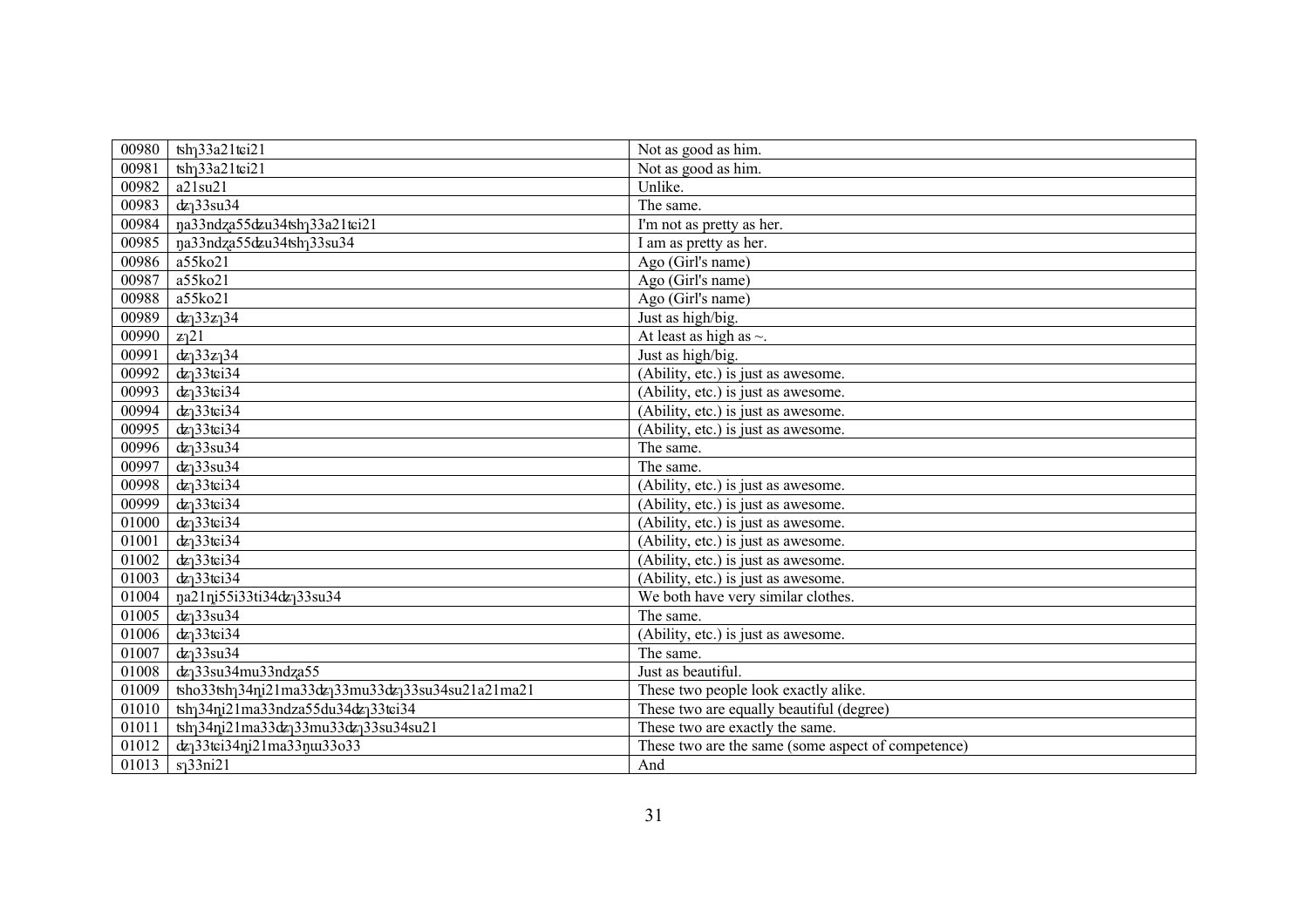| 00980 | $\frac{1}{2}$ sh <sub>1</sub> 33a21tci21                                    | Not as good as him.                                |
|-------|-----------------------------------------------------------------------------|----------------------------------------------------|
| 00981 | $\frac{1}{2}$ sh <sub>1</sub> 33a21tci21                                    | Not as good as him.                                |
| 00982 | a21su21                                                                     | Unlike.                                            |
| 00983 | $dz$ <sup>33su34</sup>                                                      | The same.                                          |
| 00984 | na33ndza55dzu34tshq33a21tei21                                               | I'm not as pretty as her.                          |
| 00985 | na33ndza55dzu34tshq33su34                                                   | I am as pretty as her.                             |
| 00986 | a55ko21                                                                     | Ago (Girl's name)                                  |
| 00987 | a55ko21                                                                     | Ago (Girl's name)                                  |
| 00988 | a55ko21                                                                     | Ago (Girl's name)                                  |
| 00989 | $dz_133z_134$                                                               | Just as high/big.                                  |
| 00990 | z <sub>1</sub> 21                                                           | At least as high as $\sim$ .                       |
| 00991 | $dz_133z_134$                                                               | Just as high/big.                                  |
| 00992 | $dz$ <sup>33tci34</sup>                                                     | (Ability, etc.) is just as awesome.                |
| 00993 | $dz$ <sup>33tci34</sup>                                                     | (Ability, etc.) is just as awesome.                |
| 00994 | $dz$ <sup>33tei34</sup>                                                     | (Ability, etc.) is just as awesome.                |
| 00995 | $dz$ <sup>33tci34</sup>                                                     | (Ability, etc.) is just as awesome.                |
| 00996 | $dz$ <sup>33su34</sup>                                                      | The same.                                          |
| 00997 | $dz$ <sup>33su34</sup>                                                      | The same.                                          |
| 00998 | $dz$ <sup>33tci34</sup>                                                     | $(Ability, etc.)$ is just as awesome.              |
| 00999 | $dz$ <sup>33tci34</sup>                                                     | (Ability, etc.) is just as awesome.                |
| 01000 | $dz$ <sup>33tci34</sup>                                                     | $(Ability, etc.)$ is just as awesome.              |
| 01001 | $dz$ <sup>33tci34</sup>                                                     | (Ability, etc.) is just as awesome.                |
| 01002 | $dz$ <sup>33tci34</sup>                                                     | (Ability, etc.) is just as awesome.                |
| 01003 | $dz$ <sup>33tci34</sup>                                                     | (Ability, etc.) is just as awesome.                |
| 01004 | na21ni55i33ti34dz <sub>1</sub> 33su34                                       | We both have very similar clothes.                 |
| 01005 | $dz$ <sup>33su34</sup>                                                      | The same.                                          |
| 01006 | $dz$ <sup>33tci34</sup>                                                     | (Ability, etc.) is just as awesome.                |
| 01007 | $dz$ <sup>33su34</sup>                                                      | The same.                                          |
| 01008 | $dz$ <sup>33su34mu33ndza55</sup>                                            | Just as beautiful.                                 |
| 01009 | tsho33tshq34ni21ma33dzq33mu33dzq33su34su21a21ma21                           | These two people look exactly alike.               |
| 01010 | tsh <sub>1</sub> 34ni21ma33ndza55du34dz <sub>1</sub> 33tei34                | These two are equally beautiful (degree)           |
| 01011 | tsh <sub>1</sub> 34ni21ma33dz <sub>1</sub> 33mu33dz <sub>1</sub> 33su34su21 | These two are exactly the same.                    |
| 01012 | dz <sub>1</sub> 33tei34ni21ma33nu33o33                                      | These two are the same (some aspect of competence) |
| 01013 | s <sub>1</sub> 33ni <sub>21</sub>                                           | And                                                |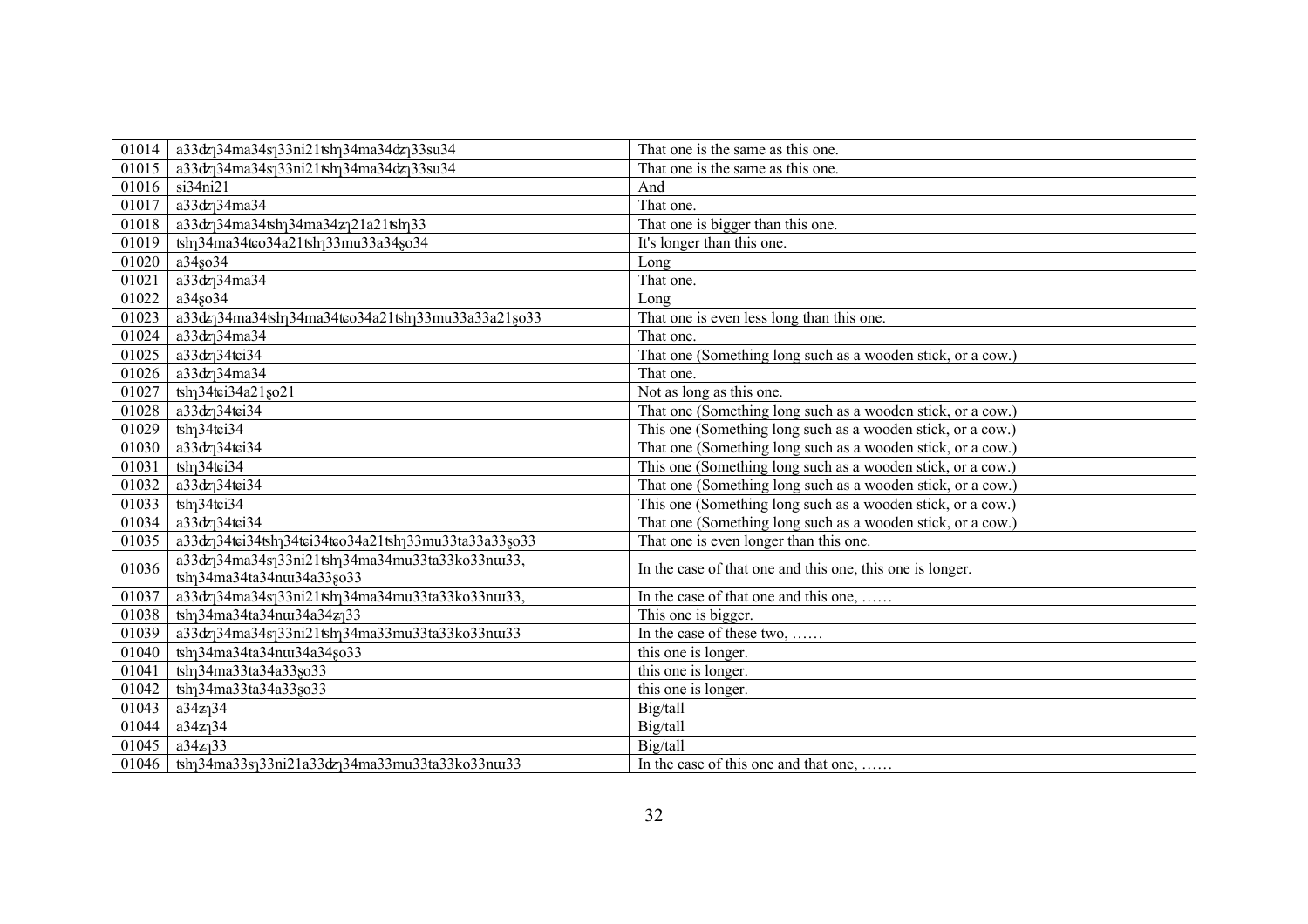| 01014 | a33dz <sub>1</sub> 34ma34s <sub>1</sub> 33ni21tsh <sub>1</sub> 34ma34dz <sub>1</sub> 33su34  | That one is the same as this one.                           |
|-------|----------------------------------------------------------------------------------------------|-------------------------------------------------------------|
| 01015 | $a33dz_134ma34s_133ni21tsh_134ma34dz_133su34$                                                | That one is the same as this one.                           |
| 01016 | si34ni21                                                                                     | And                                                         |
| 01017 | a33dz <sub>1</sub> 34ma34                                                                    | That one.                                                   |
| 01018 | a33dz <sub>1</sub> 34ma34tsh <sub>1</sub> 34ma34z <sub>1</sub> 21a21tsh <sub>1</sub> 33      | That one is bigger than this one.                           |
| 01019 | tsh <sub>1</sub> 34ma34tco34a21tsh <sub>1</sub> 33mu33a34so34                                | It's longer than this one.                                  |
| 01020 | a34so34                                                                                      | Long                                                        |
| 01021 | a33dz <sub>1</sub> 34ma34                                                                    | That one.                                                   |
| 01022 | a34so34                                                                                      | Long                                                        |
| 01023 | a33dz <sub>1</sub> 34ma34tsh <sub>1</sub> 34ma34tso34a21tsh <sub>1</sub> 33mu33a33a21so33    | That one is even less long than this one.                   |
| 01024 | a33dz <sub>1</sub> 34ma34                                                                    | That one.                                                   |
| 01025 | $a33dz$ <sup>34</sup> tci <sup>34</sup>                                                      | That one (Something long such as a wooden stick, or a cow.) |
| 01026 | $a33dz$ <sup>34</sup> ma34                                                                   | That one.                                                   |
| 01027 | tsh <sub>1</sub> 34tci34a21 <sub>8021</sub>                                                  | Not as long as this one.                                    |
| 01028 | $a33dz$ <sup>34</sup> tei34                                                                  | That one (Something long such as a wooden stick, or a cow.) |
| 01029 | $tsh$ <sub>1</sub> 34 $tfi$ 34                                                               | This one (Something long such as a wooden stick, or a cow.) |
| 01030 | $a33dz$ <sub>1</sub> 34tci34                                                                 | That one (Something long such as a wooden stick, or a cow.) |
| 01031 | $\text{tsh}_134\text{t}$ ci34                                                                | This one (Something long such as a wooden stick, or a cow.) |
| 01032 | $a33dz$ <sup>34</sup> tci <sup>34</sup>                                                      | That one (Something long such as a wooden stick, or a cow.) |
| 01033 | $tsh$ <sub>1</sub> 34 $tfi$ 34                                                               | This one (Something long such as a wooden stick, or a cow.) |
| 01034 | $a33dz$ <sup>34</sup> tci <sup>34</sup>                                                      | That one (Something long such as a wooden stick, or a cow.) |
| 01035 | a33dz <sub>1</sub> 34tei34tsh <sub>1</sub> 34tei34teo34a21tsh <sub>1</sub> 33mu33ta33a33so33 | That one is even longer than this one.                      |
| 01036 | a33dz <sub>1</sub> 34ma34s <sub>1</sub> 33ni21tsh <sub>1</sub> 34ma34mu33ta33ko33nu33,       | In the case of that one and this one, this one is longer.   |
|       | tsh <sub>1</sub> 34ma34ta34nus34a33so33                                                      |                                                             |
| 01037 | a33dz <sub>1</sub> 34ma34s <sub>1</sub> 33ni21tsh <sub>1</sub> 34ma34mu33ta33ko33nu33,       | In the case of that one and this one,                       |
| 01038 | tsh <sub>1</sub> 34ma34ta34nu34a34z <sub>1</sub> 33                                          | This one is bigger.                                         |
| 01039 | a33dz <sub>1</sub> 34ma34s <sub>1</sub> 33ni21tsh <sub>1</sub> 34ma33mu33ta33ko33nu33        | In the case of these two,                                   |
| 01040 | tsh <sub>1</sub> 34ma34ta34nux34a34so33                                                      | this one is longer.                                         |
| 01041 | tsh <sub>1</sub> 34ma33ta34a33so33                                                           | this one is longer.                                         |
| 01042 | tsh <sub>1</sub> 34ma33ta34a33so33                                                           | this one is longer.                                         |
| 01043 | $a34z$ <sup>34</sup>                                                                         | Big/tall                                                    |
| 01044 | $a34z$ <sup>34</sup>                                                                         | Big/tall                                                    |
| 01045 | $a34z_133$                                                                                   | Big/tall                                                    |
| 01046 | tsh <sub>1</sub> 34ma33s <sub>1</sub> 33ni21a33dz <sub>1</sub> 34ma33mu33ta33ko33nu33        | In the case of this one and that one,                       |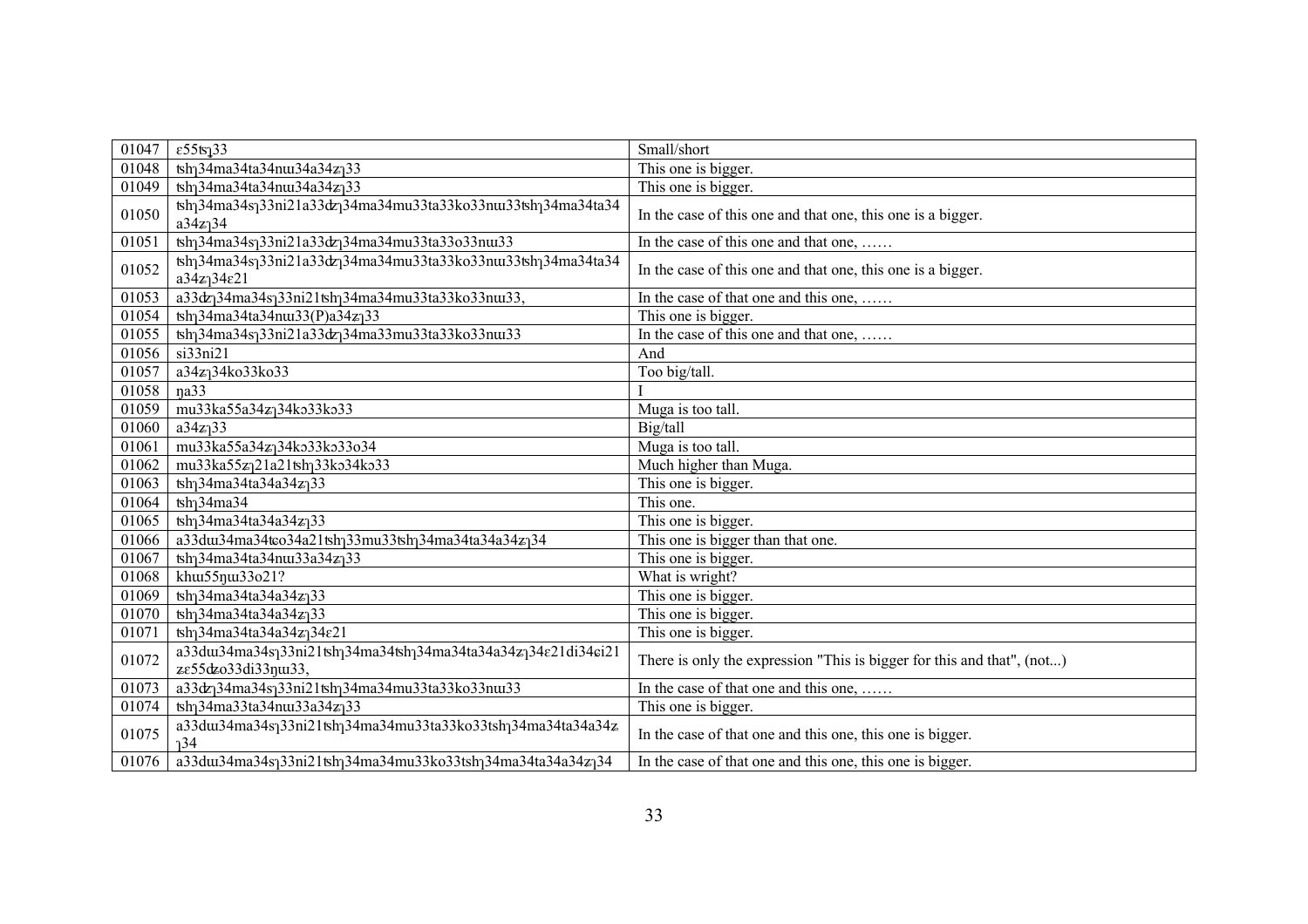| 01047 | $\epsilon$ 55tsj33                                                                                                                          | Small/short                                                            |
|-------|---------------------------------------------------------------------------------------------------------------------------------------------|------------------------------------------------------------------------|
| 01048 | $\overline{\text{tsh}}$ 34ma34ta34nu34a34z                                                                                                  | This one is bigger.                                                    |
| 01049 | tsh <sub>1</sub> 34ma34ta34nux34a34z <sub>1</sub> 33                                                                                        | This one is bigger.                                                    |
| 01050 | tsh <sub>1</sub> 34ma34s <sub>1</sub> 33ni21a33dz <sub>1</sub> 34ma34mu33ta33ko33nu33tsh <sub>1</sub> 34ma34ta34<br>$a34z_134$              | In the case of this one and that one, this one is a bigger.            |
| 01051 | tsh <sub>1</sub> 34ma34s <sub>1</sub> 33ni21a33dz <sub>1</sub> 34ma34mu33ta33o33nu33                                                        | In the case of this one and that one,                                  |
| 01052 | tsh <sub>1</sub> 34ma34s <sub>1</sub> 33ni21a33dz <sub>1</sub> 34ma34mu33ta33ko33nu33tsh <sub>1</sub> 34ma34ta34<br>$a34z_134\varepsilon21$ | In the case of this one and that one, this one is a bigger.            |
| 01053 | a33dz <sub>1</sub> 34ma34s <sub>1</sub> 33ni21tsh <sub>1</sub> 34ma34mu33ta33ko33nu33,                                                      | In the case of that one and this one,                                  |
| 01054 | tsh <sub>1</sub> 34ma34ta34nux33(P)a34z <sub>1</sub> 33                                                                                     | This one is bigger.                                                    |
| 01055 | tsh <sub>1</sub> 34ma34s <sub>1</sub> 33ni21a33dz <sub>1</sub> 34ma33mu33ta33ko33nu33                                                       | In the case of this one and that one,                                  |
| 01056 | si33ni21                                                                                                                                    | And                                                                    |
| 01057 | a34z <sub>1</sub> 34ko33ko33                                                                                                                | Too big/tall.                                                          |
| 01058 | na33                                                                                                                                        |                                                                        |
| 01059 | mu33ka55a34zq34ko33ko33                                                                                                                     | Muga is too tall.                                                      |
| 01060 | $a34z$ <sup>33</sup>                                                                                                                        | Big/tall                                                               |
| 01061 | mu33ka55a34zq34ko33ko33o34                                                                                                                  | Muga is too tall.                                                      |
| 01062 | mu33ka55zq21a21tshq33ko34ko33                                                                                                               | Much higher than Muga.                                                 |
| 01063 | $\frac{1}{2}$ h 34ma 34ta 34a 34z 33                                                                                                        | This one is bigger.                                                    |
| 01064 | $\frac{1}{2}$ h $\frac{34}{2}$                                                                                                              | This one.                                                              |
| 01065 | $\frac{1}{2}$ h 34ma 34ta 34a 34z 33                                                                                                        | This one is bigger.                                                    |
| 01066 | a33du34ma34tco34a21tshq33mu33tshq34ma34ta34a34zq34                                                                                          | This one is bigger than that one.                                      |
| 01067 | tsh <sub>1</sub> 34ma34ta34nux33a34z <sub>1</sub> 33                                                                                        | This one is bigger.                                                    |
| 01068 | khui55nui33o21?                                                                                                                             | What is wright?                                                        |
| 01069 | $\frac{1}{2}$ h 34ma 34ta 34a 34z 33                                                                                                        | This one is bigger.                                                    |
| 01070 | $\frac{1}{2}$ tsh <sub>1</sub> 34ma34ta34a34z <sub>1</sub> 33                                                                               | This one is bigger.                                                    |
| 01071 | $\frac{1}{2}$ tsh <sub>1</sub> 34ma34ta34a34z <sub>1</sub> 34 $\varepsilon$ 21                                                              | This one is bigger.                                                    |
| 01072 | a33du134ma34s133ni21tsh134ma34tsh134ma34ta34a34z134e21di34ei21<br>ze55dzo33di33nui33,                                                       | There is only the expression "This is bigger for this and that", (not) |
| 01073 | a33dz <sub>1</sub> 34ma34s <sub>1</sub> 33ni21tsh <sub>1</sub> 34ma34mu33ta33ko33nu33                                                       | In the case of that one and this one,                                  |
| 01074 | tsh <sub>1</sub> 34ma33ta34nu33a34z <sub>1</sub> 33                                                                                         | This one is bigger.                                                    |
| 01075 | a33dur34ma34sq33ni21tshq34ma34mu33ta33ko33tshq34ma34ta34a34z<br>า34                                                                         | In the case of that one and this one, this one is bigger.              |
| 01076 | a33du34ma34sq33ni21tshq34ma34mu33ko33tshq34ma34ta34a34zq34                                                                                  | In the case of that one and this one, this one is bigger.              |